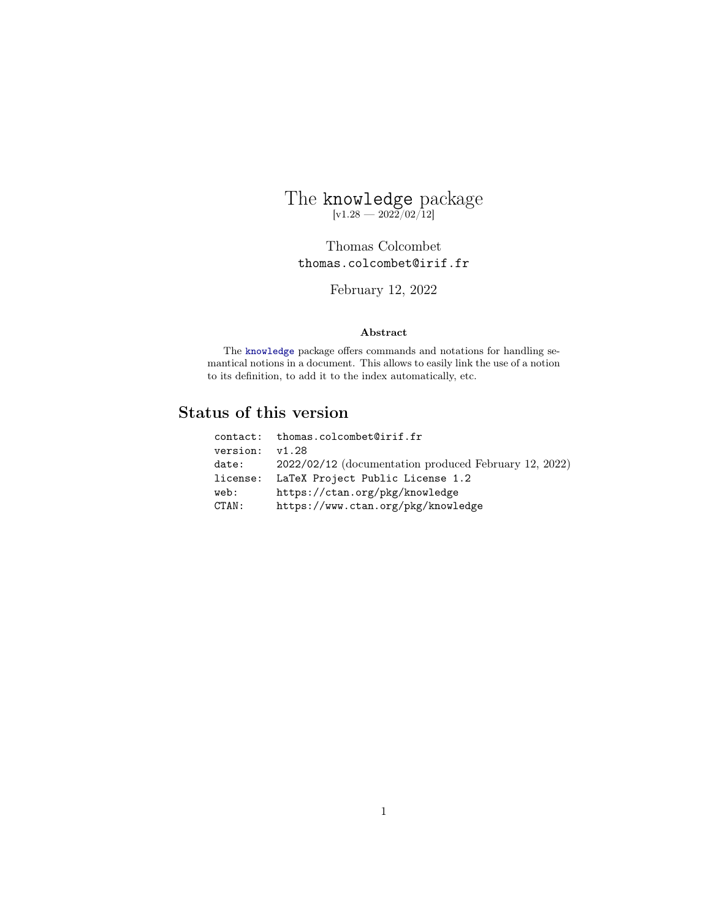# <span id="page-0-0"></span>The knowledge package  $[v1.28 - 2022/02/12]$

Thomas Colcombet thomas.colcombet@irif.fr

February 12, 2022

# Abstract

The [knowledge](#page-0-0) package offers commands and notations for handling semantical notions in a document. This allows to easily link the use of a notion to its definition, to add it to the index automatically, etc.

# Status of this version

|          | contact: thomas.colcombet@irif.fr                       |
|----------|---------------------------------------------------------|
| version: | v1.28                                                   |
| date:    | $2022/02/12$ (documentation produced February 12, 2022) |
| license: | LaTeX Project Public License 1.2                        |
| web:     | https://ctan.org/pkg/knowledge                          |
| CTAN:    | https://www.ctan.org/pkg/knowledge                      |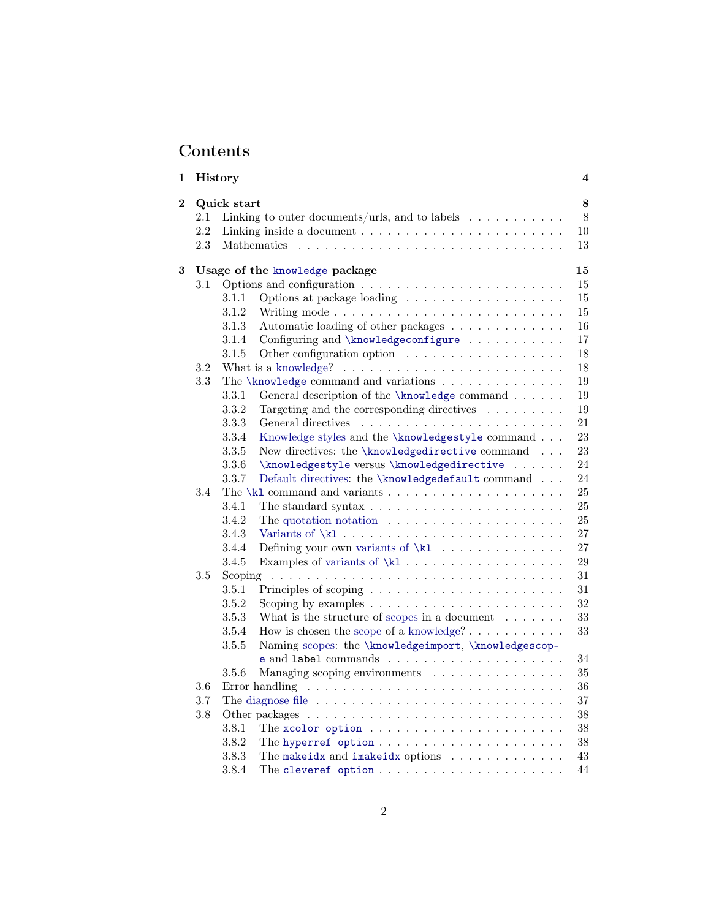# Contents

| 1                                   | History |             |                                                                                       | $\overline{\mathbf{4}}$ |
|-------------------------------------|---------|-------------|---------------------------------------------------------------------------------------|-------------------------|
| $\overline{2}$                      |         | Quick start |                                                                                       | 8                       |
|                                     | 2.1     |             | Linking to outer documents/urls, and to labels $\dots \dots \dots$                    | 8                       |
|                                     | 2.2     |             | Linking inside a document $\dots \dots \dots \dots \dots \dots \dots \dots$           | 10                      |
|                                     | 2.3     |             |                                                                                       | 13                      |
| Usage of the knowledge package<br>3 |         |             |                                                                                       | 15                      |
|                                     | $3.1\,$ |             |                                                                                       | 15                      |
|                                     |         | 3.1.1       |                                                                                       | 15                      |
|                                     |         | 3.1.2       |                                                                                       | 15                      |
|                                     |         | 3.1.3       | Automatic loading of other packages                                                   | 16                      |
|                                     |         | 3.1.4       | Configuring and \knowledgeconfigure                                                   | 17                      |
|                                     |         | 3.1.5       |                                                                                       | 18                      |
|                                     | 3.2     |             | What is a knowledge? $\ldots \ldots \ldots \ldots \ldots \ldots \ldots \ldots \ldots$ | 18                      |
|                                     | 3.3     |             |                                                                                       | 19                      |
|                                     |         | 3.3.1       | General description of the \knowledge command                                         | 19                      |
|                                     |         | 3.3.2       | Targeting and the corresponding directives $\ldots \ldots \ldots$                     | 19                      |
|                                     |         | 3.3.3       |                                                                                       | 21                      |
|                                     |         | 3.3.4       | Knowledge styles and the \knowledgestyle command                                      | 23                      |
|                                     |         | 3.3.5       | New directives: the \knowledgedirective command                                       | 23                      |
|                                     |         | 3.3.6       | \knowledgestyle versus \knowledgedirective                                            | 24                      |
|                                     |         | 3.3.7       | Default directives: the \knowledgedefault command                                     | 24                      |
|                                     | 3.4     |             |                                                                                       | 25                      |
|                                     |         | 3.4.1       | The standard syntax $\dots \dots \dots \dots \dots \dots \dots \dots$                 | 25                      |
|                                     |         | 3.4.2       | The quotation notation $\ldots \ldots \ldots \ldots \ldots \ldots \ldots$             | $25\,$                  |
|                                     |         | 3.4.3       |                                                                                       | 27                      |
|                                     |         | 3.4.4       |                                                                                       | 27                      |
|                                     |         | 3.4.5       |                                                                                       | 29                      |
|                                     | $3.5\,$ |             |                                                                                       | 31                      |
|                                     |         | 3.5.1       |                                                                                       | 31                      |
|                                     |         | 3.5.2       |                                                                                       | 32                      |
|                                     |         | 3.5.3       | What is the structure of scopes in a document $\ldots \ldots$                         | $33\,$                  |
|                                     |         | 3.5.4       | How is chosen the scope of a knowledge? $\dots \dots \dots$                           | 33                      |
|                                     |         | 3.5.5       | Naming scopes: the \knowledgeimport, \knowledgescop-                                  |                         |
|                                     |         |             |                                                                                       | 34                      |
|                                     |         | 3.5.6       | Managing scoping environments                                                         | $35\,$                  |
|                                     | $3.6\,$ |             |                                                                                       | 36                      |
|                                     | 3.7     |             | The diagnose file $\ldots \ldots \ldots \ldots \ldots \ldots \ldots \ldots \ldots$    | 37                      |
|                                     | 3.8     |             |                                                                                       | 38                      |
|                                     |         | 3.8.1       |                                                                                       | 38                      |
|                                     |         | 3.8.2       |                                                                                       | 38                      |
|                                     |         | 3.8.3       | The makeidx and imakeidx options                                                      | 43                      |
|                                     |         | 3.8.4       |                                                                                       | 44                      |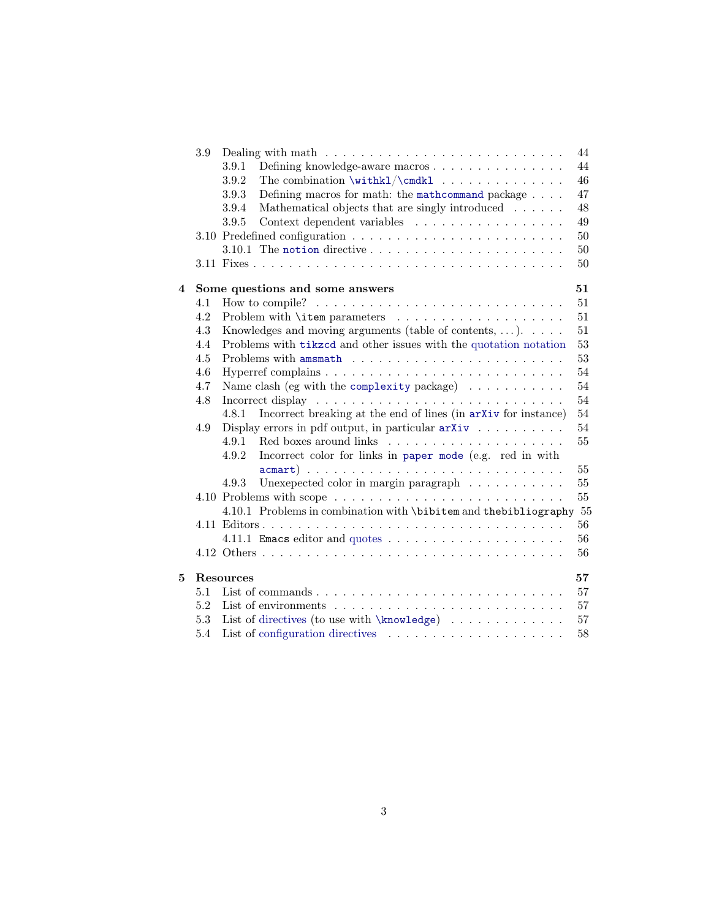|   | 3.9 | Dealing with math $\dots \dots \dots \dots \dots \dots \dots \dots \dots \dots$       | 44     |
|---|-----|---------------------------------------------------------------------------------------|--------|
|   |     | 3.9.1<br>Defining knowledge-aware macros                                              | 44     |
|   |     | The combination $\width{ \label{thm:ll} \cmdk1 \ldots \ldots \ldots \ldots$<br>3.9.2  | 46     |
|   |     | Defining macros for math: the math command package $\ldots$ .<br>3.9.3                | 47     |
|   |     | Mathematical objects that are singly introduced<br>3.9.4                              | 48     |
|   |     | 3.9.5<br>Context dependent variables                                                  | 49     |
|   |     |                                                                                       | 50     |
|   |     |                                                                                       | 50     |
|   |     |                                                                                       | 50     |
| 4 |     | Some questions and some answers                                                       | 51     |
|   | 4.1 | How to compile? $\ldots \ldots \ldots \ldots \ldots \ldots \ldots \ldots \ldots$      | 51     |
|   | 4.2 |                                                                                       | 51     |
|   | 4.3 | Knowledges and moving arguments (table of contents, $\dots$ ). $\dots$                | 51     |
|   | 4.4 | Problems with tikzcd and other issues with the quotation notation                     | $53\,$ |
|   | 4.5 |                                                                                       | $53\,$ |
|   | 4.6 |                                                                                       | 54     |
|   | 4.7 | Name clash (eg with the complexity package) $\dots \dots \dots$                       | 54     |
|   | 4.8 | Incorrect display $\dots \dots \dots \dots \dots \dots \dots \dots \dots \dots \dots$ | 54     |
|   |     | Incorrect breaking at the end of lines (in arXiv for instance)<br>4.8.1               | 54     |
|   | 4.9 | Display errors in pdf output, in particular $arXiv$                                   | 54     |
|   |     | 4.9.1                                                                                 | 55     |
|   |     | 4.9.2<br>Incorrect color for links in paper mode (e.g. red in with                    |        |
|   |     |                                                                                       | 55     |
|   |     | 4.9.3<br>Unexepected color in margin paragraph $\ldots \ldots \ldots$                 | 55     |
|   |     |                                                                                       | 55     |
|   |     | 4.10.1 Problems in combination with \bibitem and thebibliography 55                   |        |
|   |     |                                                                                       | 56     |
|   |     |                                                                                       | 56     |
|   |     |                                                                                       | 56     |
| 5 |     | <b>Resources</b>                                                                      | 57     |
|   | 5.1 |                                                                                       | 57     |
|   | 5.2 |                                                                                       | 57     |
|   | 5.3 |                                                                                       | $57\,$ |
|   | 5.4 |                                                                                       | 58     |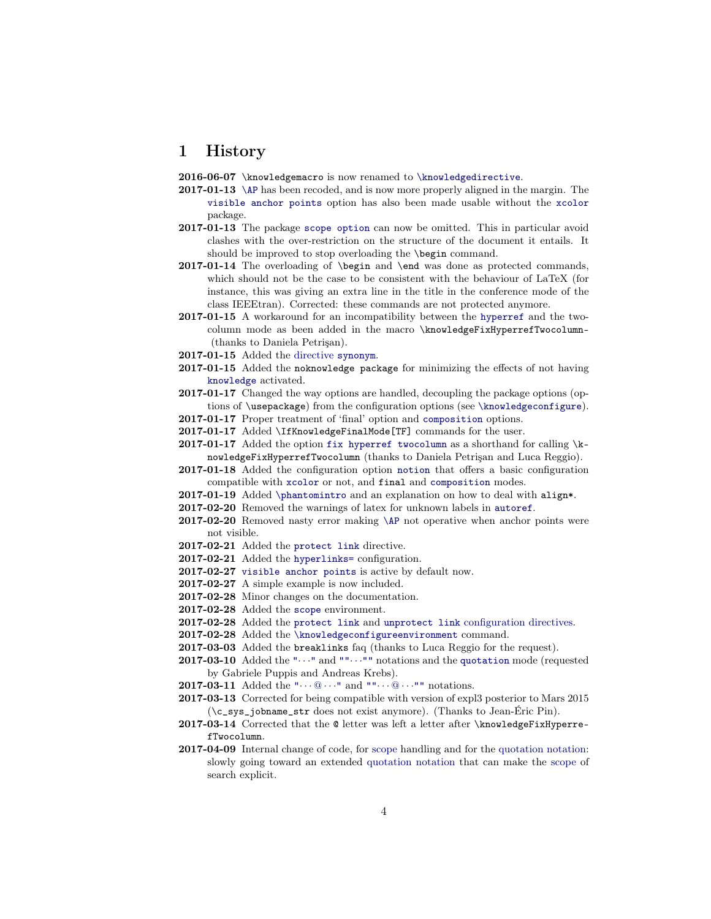# <span id="page-3-0"></span>1 History

2016-06-07 \knowledgemacro is now renamed to [\knowledgedirective](#page-22-1).

- 2017-01-13 [\AP](#page-40-0) has been recoded, and is now more properly aligned in the margin. The [visible anchor points](#page-41-0) option has also been made usable without the [xcolor](https://www.ctan.org/pkg/xcolor) package.
- 2017-01-13 The package [scope option](#page-32-2) can now be omitted. This in particular avoid clashes with the over-restriction on the structure of the document it entails. It should be improved to stop overloading the \begin command.
- 2017-01-14 The overloading of \begin and \end was done as protected commands, which should not be the case to be consistent with the behaviour of LaTeX (for instance, this was giving an extra line in the title in the conference mode of the class IEEEtran). Corrected: these commands are not protected anymore.
- 2017-01-15 A workaround for an incompatibility between the [hyperref](https://www.ctan.org/pkg/hyperref) and the twocolumn mode as been added in the macro \knowledgeFixHyperrefTwocolumn- (thanks to Daniela Petrişan).
- 2017-01-15 Added the [directive](#page-18-3) [synonym](#page-21-0).
- 2017-01-15 Added the noknowledge package for minimizing the effects of not having [knowledge](#page-0-0) activated.
- 2017-01-17 Changed the way options are handled, decoupling the package options (options of \usepackage) from the configuration options (see [\knowledgeconfigure](#page-16-0)).
- 2017-01-17 Proper treatment of 'final' option and [composition](#page-14-4) options.
- 2017-01-17 Added \IfKnowledgeFinalMode[TF] commands for the user.
- 2017-01-17 Added the option fix hyperref two column as a shorthand for calling  $\kappa$ nowledgeFixHyperrefTwocolumn (thanks to Daniela Petrişan and Luca Reggio).
- 2017-01-18 Added the configuration option [notion](#page-49-4) that offers a basic configuration compatible with [xcolor](https://www.ctan.org/pkg/xcolor) or not, and final and [composition](#page-14-4) modes.
- 2017-01-19 Added [\phantomintro](#page-39-0) and an explanation on how to deal with align\*.
- 2017-02-20 Removed the warnings of latex for unknown labels in [autoref](#page-38-0).
- 2017-02-20 Removed nasty error making [\AP](#page-40-0) not operative when anchor points were not visible.
- 2017-02-21 Added the [protect link](#page-38-1) directive.
- 2017-02-21 Added the [hyperlinks=](#page-38-2) configuration.
- 2017-02-27 [visible anchor points](#page-41-0) is active by default now.
- 2017-02-27 A simple example is now included.
- 2017-02-28 Minor changes on the documentation.
- 2017-02-28 Added the [scope](#page-32-3) environment.
- 2017-02-28 Added the [protect link](#page-16-1) and [unprotect link](#page-16-1) [configuration directives.](#page-16-0)
- 2017-02-28 Added the [\knowledgeconfigureenvironment](#page-34-1) command.
- 2017-03-03 Added the breaklinks faq (thanks to Luca Reggio for the request).
- **2017-03-10** Added the " $\cdots$ " and "" $\cdots$ " notations and the [quotation](#page-24-2) mode (requested by Gabriele Puppis and Andreas Krebs).
- 2017-03-11 Added the " $\cdots$   $\mathbb{Q}$   $\cdots$  " and "" $\cdots$   $\mathbb{Q}$   $\cdots$ "" notations.
- 2017-03-13 Corrected for being compatible with version of expl3 posterior to Mars 2015 (\c\_sys\_jobname\_str does not exist anymore). (Thanks to Jean-Éric Pin).
- 2017-03-14 Corrected that the @ letter was left a letter after \knowledgeFixHyperrefTwocolumn.
- 2017-04-09 Internal change of code, for [scope](#page-17-2) handling and for the [quotation notation:](#page-24-2) slowly going toward an extended [quotation notation](#page-24-2) that can make the [scope](#page-17-2) of search explicit.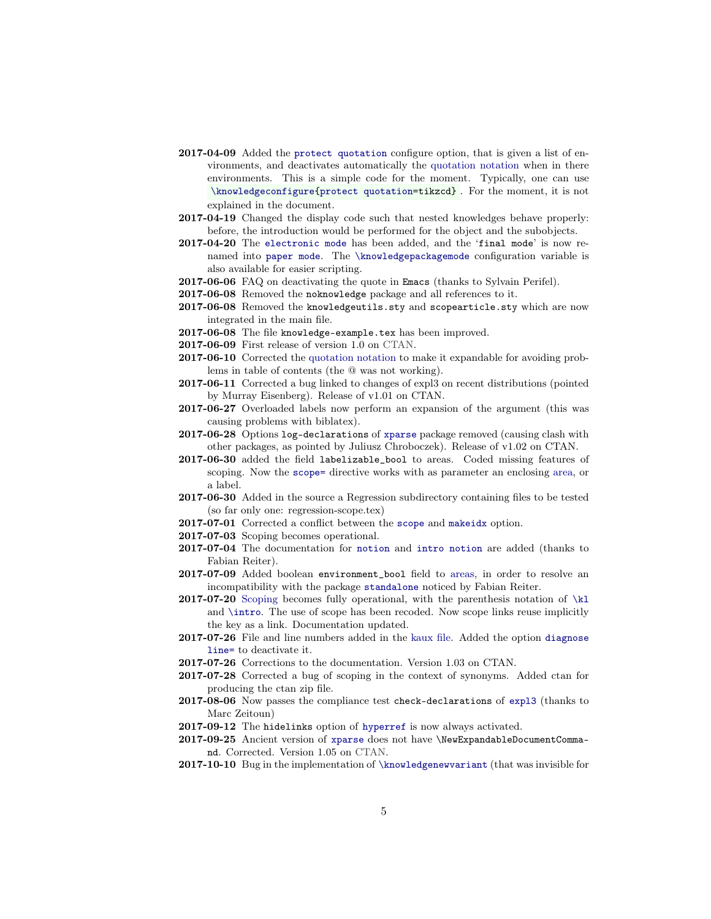- 2017-04-09 Added the [protect quotation](#page-25-4) configure option, that is given a list of environments, and deactivates automatically the [quotation notation](#page-24-2) when in there environments. This is a simple code for the moment. Typically, one can use [\knowledgeconfigure{](#page-16-0)[protect quotation=](#page-25-4)tikzcd} . For the moment, it is not explained in the document.
- 2017-04-19 Changed the display code such that nested knowledges behave properly: before, the introduction would be performed for the object and the subobjects.
- 2017-04-20 The [electronic mode](#page-14-5) has been added, and the 'final mode' is now renamed into [paper mode](#page-14-6). The [\knowledgepackagemode](#page-15-1) configuration variable is also available for easier scripting.
- 2017-06-06 FAQ on deactivating the quote in Emacs (thanks to Sylvain Perifel).
- 2017-06-08 Removed the noknowledge package and all references to it.
- 2017-06-08 Removed the knowledgeutils.sty and scopearticle.sty which are now integrated in the main file.
- 2017-06-08 The file knowledge-example.tex has been improved.
- 2017-06-09 First release of version 1.0 on [CTAN.](https://www.ctan.org/)
- 2017-06-10 Corrected the [quotation notation](#page-24-2) to make it expandable for avoiding problems in table of contents (the @ was not working).
- 2017-06-11 Corrected a bug linked to changes of expl3 on recent distributions (pointed by Murray Eisenberg). Release of v1.01 on CTAN.
- 2017-06-27 Overloaded labels now perform an expansion of the argument (this was causing problems with biblatex).
- 2017-06-28 Options log-declarations of [xparse](https://www.ctan.org/pkg/xparse) package removed (causing clash with other packages, as pointed by Juliusz Chroboczek). Release of v1.02 on CTAN.
- 2017-06-30 added the field labelizable\_bool to areas. Coded missing features of scoping. Now the [scope=](#page-19-0) directive works with as parameter an enclosing area, or a label.
- 2017-06-30 Added in the source a Regression subdirectory containing files to be tested (so far only one: regression-scope.tex)
- 2017-07-01 Corrected a conflict between the [scope](#page-32-2) and [makeidx](#page-42-1) option.
- 2017-07-03 Scoping becomes operational.
- 2017-07-04 The documentation for [notion](#page-49-5) and [intro notion](#page-49-6) are added (thanks to Fabian Reiter).
- 2017-07-09 Added boolean environment\_bool field to areas, in order to resolve an incompatibility with the package [standalone](https://www.ctan.org/pkg/standalone) noticed by Fabian Reiter.
- 2017-07-20 [Scoping](#page-30-0) becomes fully operational, with the parenthesis notation of  $\kappa$ and [\intro](#page-38-0). The use of scope has been recoded. Now scope links reuse implicitly the key as a link. Documentation updated.
- 2017-07-26 File and line numbers added in the [kaux file.](#page-36-0) Added the option [diagnose](#page-37-3) [line=](#page-37-3) to deactivate it.
- 2017-07-26 Corrections to the documentation. Version 1.03 on CTAN.
- 2017-07-28 Corrected a bug of scoping in the context of synonyms. Added ctan for producing the ctan zip file.
- 2017-08-06 Now passes the compliance test check-declarations of [expl3](https://www.ctan.org/pkg/expl3) (thanks to Marc Zeitoun)
- 2017-09-12 The hidelinks option of [hyperref](https://www.ctan.org/pkg/hyperref) is now always activated.
- 2017-09-25 Ancient version of [xparse](https://www.ctan.org/pkg/xparse) does not have \NewExpandableDocumentCommand. Corrected. Version 1.05 on [CTAN.](https://www.ctan.org/)
- 2017-10-10 Bug in the implementation of [\knowledgenewvariant](#page-26-2) (that was invisible for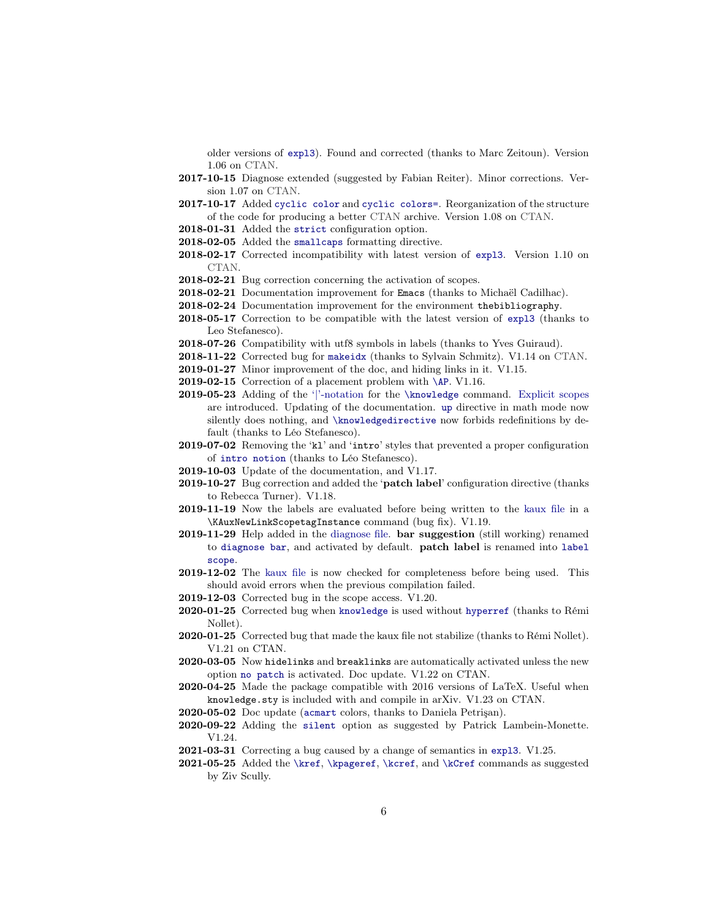older versions of [expl3](https://www.ctan.org/pkg/expl3)). Found and corrected (thanks to Marc Zeitoun). Version 1.06 on [CTAN.](https://www.ctan.org/)

- 2017-10-15 Diagnose extended (suggested by Fabian Reiter). Minor corrections. Version 1.07 on [CTAN.](https://www.ctan.org/)
- 2017-10-17 Added [cyclic color](#page-37-4) and [cyclic colors=](#page-37-4). Reorganization of the structure of the code for producing a better [CTAN](https://www.ctan.org/) archive. Version 1.08 on [CTAN.](https://www.ctan.org/)
- 2018-01-31 Added the [strict](#page-17-3) configuration option.
- 2018-02-05 Added the [smallcaps](#page-20-1) formatting directive.
- 2018-02-17 Corrected incompatibility with latest version of [expl3](https://www.ctan.org/pkg/expl3). Version 1.10 on [CTAN.](https://www.ctan.org/)
- 2018-02-21 Bug correction concerning the activation of scopes.
- 2018-02-21 Documentation improvement for Emacs (thanks to Michaël Cadilhac).
- 2018-02-24 Documentation improvement for the environment thebibliography.
- 2018-05-17 Correction to be compatible with the latest version of [expl3](https://www.ctan.org/pkg/expl3) (thanks to Leo Stefanesco).
- 2018-07-26 Compatibility with utf8 symbols in labels (thanks to Yves Guiraud).
- 2018-11-22 Corrected bug for [makeidx](#page-42-1) (thanks to Sylvain Schmitz). V1.14 on [CTAN.](https://www.ctan.org/)
- 2019-01-27 Minor improvement of the doc, and hiding links in it. V1.15.
- 2019-02-15 Correction of a placement problem with [\AP](#page-40-0). V1.16.
- 2019-05-23 Adding of the ['|'-notation](#page-18-4) for the [\knowledge](#page-18-1) command. [Explicit scopes](#page-31-0) are introduced. Updating of the documentation. [up](#page-20-2) directive in math mode now silently does nothing, and [\knowledgedirective](#page-22-1) now forbids redefinitions by default (thanks to Léo Stefanesco).
- 2019-07-02 Removing the 'kl' and 'intro' styles that prevented a proper configuration of [intro notion](#page-49-6) (thanks to Léo Stefanesco).
- 2019-10-03 Update of the documentation, and V1.17.
- 2019-10-27 Bug correction and added the 'patch label' configuration directive (thanks to [Rebecca Turner\)](https://becca.ooo/). V1.18.
- 2019-11-19 Now the labels are evaluated before being written to the [kaux file](#page-36-0) in a \KAuxNewLinkScopetagInstance command (bug fix). V1.19.
- 2019-11-29 Help added in the [diagnose file.](#page-36-0) bar suggestion (still working) renamed to [diagnose bar](#page-37-5), and activated by default. patch label is renamed into [label](#page-33-1) [scope](#page-33-1).
- 2019-12-02 The [kaux file](#page-36-0) is now checked for completeness before being used. This should avoid errors when the previous compilation failed.
- 2019-12-03 Corrected bug in the scope access. V1.20.
- 2020-01-25 Corrected bug when [knowledge](#page-0-0) is used without [hyperref](https://www.ctan.org/pkg/hyperref) (thanks to Rémi Nollet).
- 2020-01-25 Corrected bug that made the kaux file not stabilize (thanks to Rémi Nollet). V1.21 on CTAN.
- 2020-03-05 Now hidelinks and breaklinks are automatically activated unless the new option [no patch](#page-17-4) is activated. Doc update. V1.22 on CTAN.
- 2020-04-25 Made the package compatible with 2016 versions of LaTeX. Useful when knowledge.sty is included with and compile in arXiv. V1.23 on CTAN.
- 2020-05-02 Doc update ([acmart](https://www.ctan.org/pkg/acmart) colors, thanks to Daniela Petrişan).
- 2020-09-22 Adding the [silent](#page-17-5) option as suggested by Patrick Lambein-Monette. V1.24.
- 2021-03-31 Correcting a bug caused by a change of semantics in [expl3](https://www.ctan.org/pkg/expl3). V1.25.
- 2021-05-25 Added the [\kref](#page-26-3), [\kpageref](#page-26-4), [\kcref](#page-43-0), and [\kCref](#page-43-0) commands as suggested by Ziv Scully.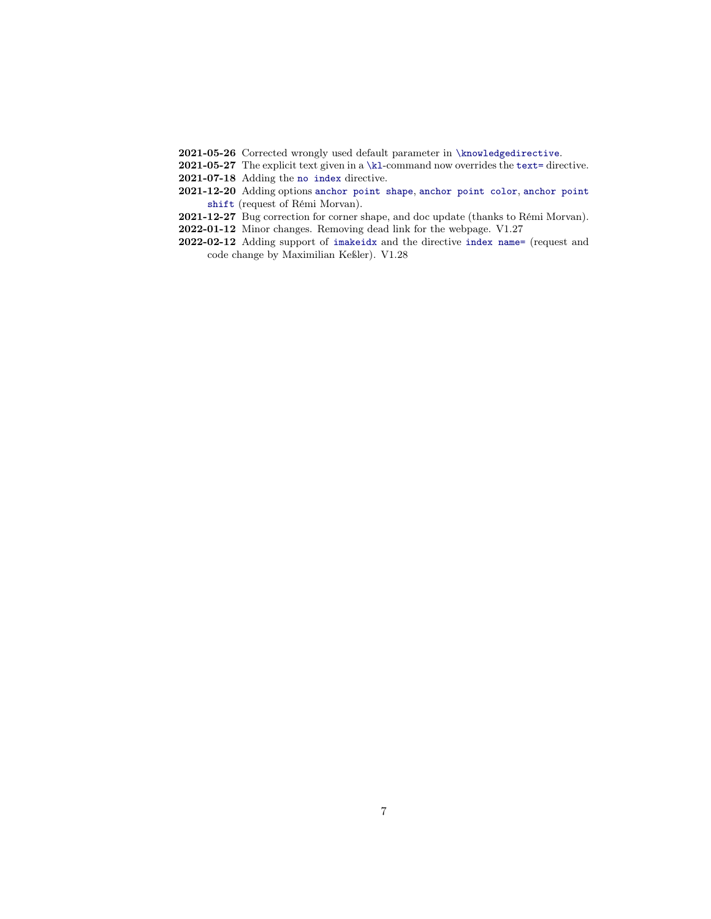- 2021-05-26 Corrected wrongly used default parameter in [\knowledgedirective](#page-22-1).
- 2021-05-27 The explicit text given in a [\kl](#page-24-1)-command now overrides the [text=](#page-21-1) directive.
- 2021-07-18 Adding the [no index](#page-42-2) directive.
- 2021-12-20 Adding options [anchor point shape](#page-41-1), [anchor point color](#page-41-2), [anchor point](#page-41-1) [shift](#page-41-1) (request of Rémi Morvan).
- 2021-12-27 Bug correction for corner shape, and doc update (thanks to Rémi Morvan).
- 2022-01-12 Minor changes. Removing dead link for the webpage. V1.27
- 2022-02-12 Adding support of [imakeidx](https://www.ctan.org/pkg/imakeidx) and the directive [index name=](#page-42-3) (request and code change by Maximilian Keßler). V1.28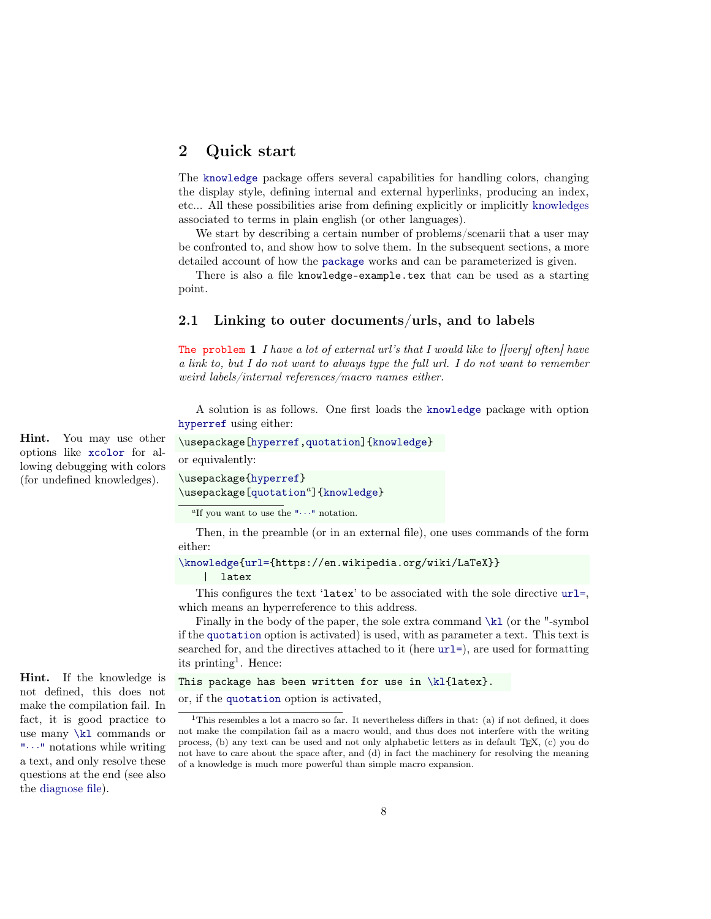# <span id="page-7-0"></span>2 Quick start

The [knowledge](#page-0-0) package offers several capabilities for handling colors, changing the display style, defining internal and external hyperlinks, producing an index, etc... All these possibilities arise from defining explicitly or implicitly [knowledges](#page-17-1) associated to terms in plain english (or other languages).

We start by describing a certain number of problems/scenarii that a user may be confronted to, and show how to solve them. In the subsequent sections, a more detailed account of how the [package](#page-0-0) works and can be parameterized is given.

There is also a file knowledge-example.tex that can be used as a starting point.

# <span id="page-7-1"></span>2.1 Linking to outer documents/urls, and to labels

The problem 1 I have a lot of external url's that I would like to [[very] often] have a link to, but I do not want to always type the full url. I do not want to remember weird labels/internal references/macro names either.

A solution is as follows. One first loads the [knowledge](#page-0-0) package with option [hyperref](#page-37-6) using either:

```
\usepackage[hyperref,quotation]{knowledge}
or equivalently:
\usepackage{hyperref}
\u[quotationa{knowledge}
```
<span id="page-7-2"></span><sup>a</sup>If you want to use the " $\cdots$ " notation.

Then, in the preamble (or in an external file), one uses commands of the form either:

```
\knowledge{url={https://en.wikipedia.org/wiki/LaTeX}}
```
| latex

This configures the text 'latex' to be associated with the sole directive [url=](#page-38-1), which means an hyperreference to this address.

Finally in the body of the paper, the sole extra command  $\kappa$  (or the "-symbol" if the [quotation](#page-24-2) option is activated) is used, with as parameter a text. This text is searched for, and the directives attached to it (here [url=](#page-38-1)), are used for formatting its printing<sup>[1](#page-7-3)</sup>. Hence:

```
\kl{latex}.
or, if the quotation option is activated,
```
Hint. You may use other options like [xcolor](#page-37-1) for allowing debugging with colors (for undefined knowledges).

Hint. If the knowledge is not defined, this does not make the compilation fail. In fact, it is good practice to use many [\kl](#page-24-1) commands or "[· · ·](#page-25-0)" notations while writing a text, and only resolve these questions at the end (see also the [diagnose file\)](#page-36-0).

<span id="page-7-3"></span><sup>&</sup>lt;sup>1</sup>This resembles a lot a macro so far. It nevertheless differs in that: (a) if not defined, it does not make the compilation fail as a macro would, and thus does not interfere with the writing process, (b) any text can be used and not only alphabetic letters as in default TFX, (c) you do not have to care about the space after, and (d) in fact the machinery for resolving the meaning of a knowledge is much more powerful than simple macro expansion.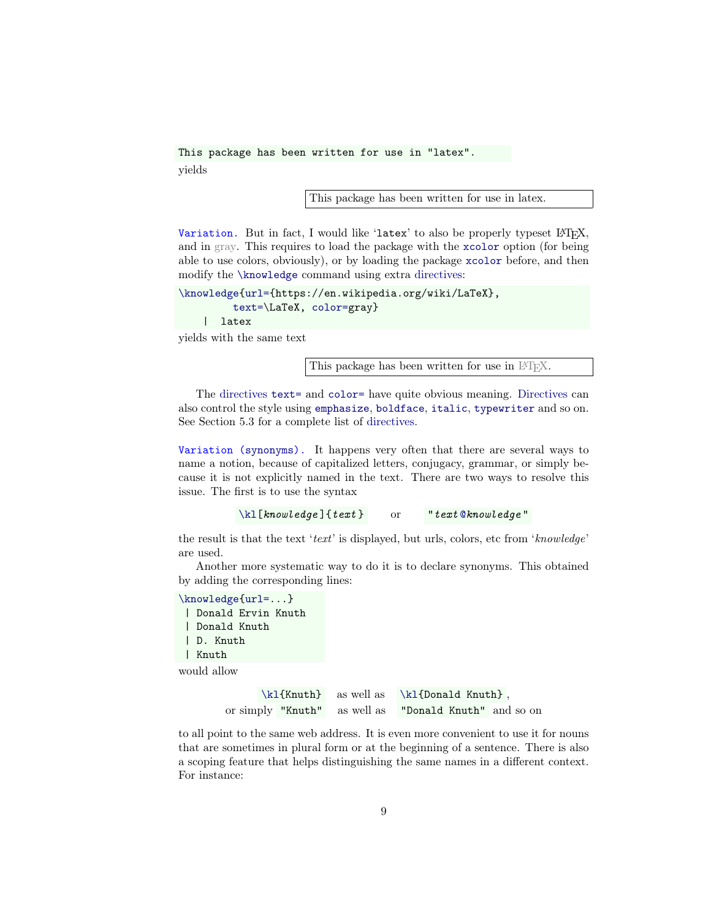This package has been written for use in "latex". yields

This package has been written for use in [latex.](https://en.wikipedia.org/wiki/LaTeX)

Variation. But in fact, I would like 'latex' to also be properly typeset LATEX, and in gray. This requires to load the package with the [xcolor](#page-37-1) option (for being able to use colors, obviously), or by loading the package [xcolor](https://www.ctan.org/pkg/xcolor) before, and then modify the [\knowledge](#page-18-1) command using extra directives:

```
\knowledge{url={https://en.wikipedia.org/wiki/LaTeX},
         text=\LaTeX, color=gray}
    | latex
```
yields with the same text

This package has been written for use in LAT<sub>EX</sub>.

The [directives](#page-18-3) [text=](#page-21-1) and [color=](#page-37-7) have quite obvious meaning. Directives can also control the style using [emphasize](#page-20-3), [boldface](#page-20-4), [italic](#page-20-2), [typewriter](#page-20-5) and so on. See Section [5.3](#page-56-3) for a complete list of [directives.](#page-18-3)

Variation (synonyms). It happens very often that there are several ways to name a notion, because of capitalized letters, conjugacy, grammar, or simply because it is not explicitly named in the text. There are two ways to resolve this issue. The first is to use the syntax

 $\kappa$ la [knowledge ]{text} or "text [@](#page-24-2)knowledge"

the result is that the text 'text' is displayed, but urls, colors, etc from 'knowledge' are used.

Another more systematic way to do it is to declare synonyms. This obtained by adding the corresponding lines:

[\knowledge](#page-18-1)[{url=.](#page-38-1)..} | Donald Ervin Knuth | Donald Knuth | D. Knuth | Knuth

would allow

 $\k1\{Knuth\}$  as well as  $\k1\{Donald Knuth\}$ , or simply "Knuth" as well as "Donald Knuth" and so on

to all point to the same web address. It is even more convenient to use it for nouns that are sometimes in plural form or at the beginning of a sentence. There is also a scoping feature that helps distinguishing the same names in a different context. For instance: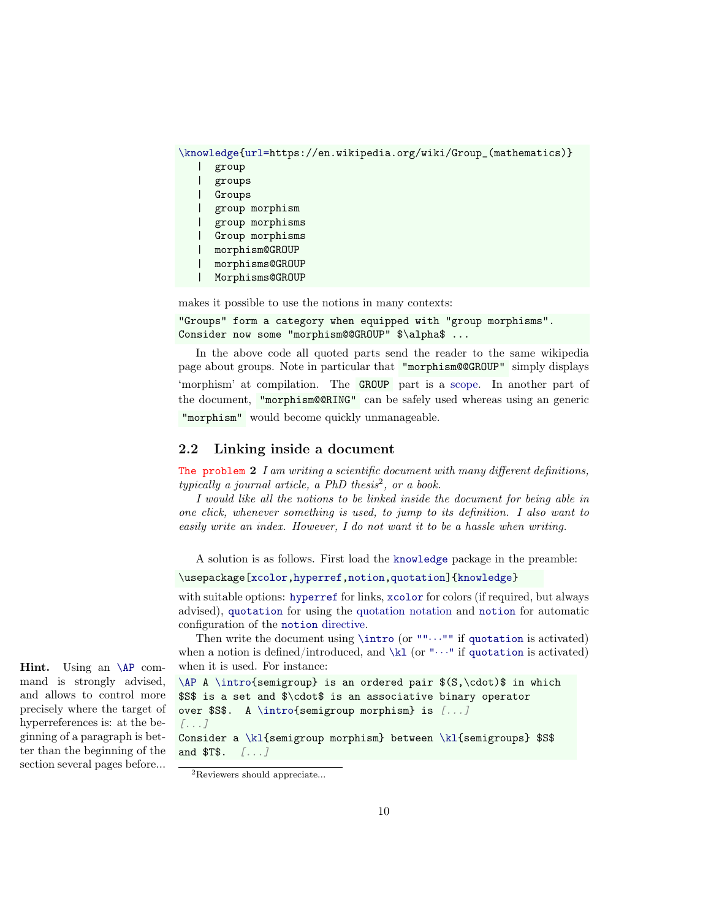```
\knowledge{url=https://en.wikipedia.org/wiki/Group_(mathematics)}
   | group
   | groups
   | Groups
   | group morphism
   | group morphisms
   | Group morphisms
   | morphism@GROUP
   | morphisms@GROUP
   | Morphisms@GROUP
```
makes it possible to use the notions in many contexts:

```
"Groups" form a category when equipped with "group morphisms".
Consider now some "morphism@@GROUP" $\alpha$ ...
```
In the above code all quoted parts send the reader to the same wikipedia page about groups. Note in particular that "morphism@@GROUP" simply displays 'morphism' at compilation. The GROUP part is a [scope.](#page-17-2) In another part of the document, "morphism@@RING" can be safely used whereas using an generic "morphism" would become quickly unmanageable.

## <span id="page-9-0"></span>2.2 Linking inside a document

The problem  $2$  I am writing a scientific document with many different definitions,  $typically a journal article, a PhD thesis<sup>2</sup>, or a book.$  $typically a journal article, a PhD thesis<sup>2</sup>, or a book.$  $typically a journal article, a PhD thesis<sup>2</sup>, or a book.$ 

I would like all the notions to be linked inside the document for being able in one click, whenever something is used, to jump to its definition. I also want to easily write an index. However, I do not want it to be a hassle when writing.

A solution is as follows. First load the [knowledge](#page-0-0) package in the preamble:

\usepackage[\[xcolor,](#page-37-1)[hyperref,](#page-37-6)[notion,](#page-49-4)[quotation\]](#page-24-2)[{knowledge}](#page-0-0)

with suitable options: [hyperref](#page-37-6) for links, [xcolor](#page-37-1) for colors (if required, but always advised), [quotation](#page-24-2) for using the [quotation notation](#page-24-2) and [notion](#page-49-4) for automatic configuration of the [notion](#page-49-7) directive.

Then write the document using  $\int$  or "" $\cdots$ " if [quotation](#page-24-2) is activated) when a notion is defined/introduced, and  $\kappa$  (or " $\cdots$ " if [quotation](#page-24-2) is activated) when it is used. For instance:

```
\AP A \intro{semigroup} is an ordered pair $(S,\cdot)$ in which
$S$ is a set and $\cdot$ is an associative binary operator
over $S$. A \intro{semigroup morphism} is [...]
[...]
Consider a \kl{semigroup morphism} between \kl{semigroups} $S$
and $T$. [...]
```
Hint. Using an [\AP](#page-40-0) command is strongly advised, and allows to control more precisely where the target of hyperreferences is: at the beginning of a paragraph is better than the beginning of the section several pages before...

<span id="page-9-1"></span><sup>2</sup>Reviewers should appreciate...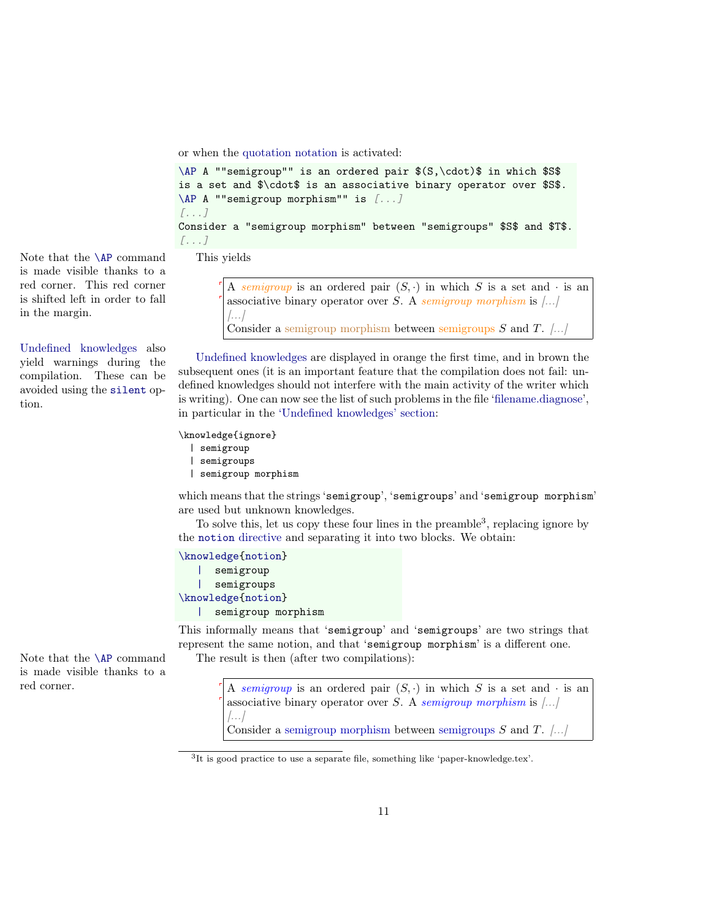or when the [quotation notation](#page-24-2) is activated:

```
\AP A ""semigroup"" is an ordered pair $(S,\cdot)$ in which $S$
is a set and $\cdot$ is an associative binary operator over $S$.
\AP A ""semigroup morphism"" is [...]
[...]
Consider a "semigroup morphism" between "semigroups" $S$ and $T$.
[...]
```
Note that the  $\Delta P$  command This yields is made visible thanks to a red corner. This red corner is shifted left in order to fall in the margin.

[Undefined knowledges](#page-36-1) also yield warnings during the compilation. These can be avoided using the [silent](#page-17-5) option.

A semigroup is an ordered pair  $(S, \cdot)$  in which S is a set and  $\cdot$  is an associative binary operator over S. A semigroup morphism is  $\left[\ldots\right]$  $\left[\ldots\right]$ Consider a semigroup morphism between semigroups  $S$  and  $T$ . [...]

[Undefined knowledges](#page-36-1) are displayed in orange the first time, and in brown the subsequent ones (it is an important feature that the compilation does not fail: undefined knowledges should not interfere with the main activity of the writer which is writing). One can now see the list of such problems in the file ['filename.diagnose'](#page-36-0), in particular in the ['Undefined knowledges' section:](#page-36-1)

\knowledge{ignore}

| semigroup  |
|------------|
| semigroups |

| semigroup morphism

which means that the strings 'semigroup', 'semigroups' and 'semigroup morphism' are used but unknown knowledges.

To solve this, let us copy these four lines in the preamble<sup>[3](#page-10-0)</sup>, replacing ignore by the [notion](#page-49-7) directive and separating it into two blocks. We obtain:

```
\knowledge{notion}
   | semigroup
   | semigroups
\knowledge{notion}
   | semigroup morphism
```
This informally means that 'semigroup' and 'semigroups' are two strings that represent the same notion, and that 'semigroup morphism' is a different one. Note that the  $\Delta P$  command The result is then (after two compilations):

red corner.  $\left[ \begin{array}{ccc} A & semigroup \end{array} \right]$  is an ordered pair  $(S, \cdot)$  in which S is a set and  $\cdot$  is an associative binary operator over S. A semigroup morphism is  $\left[\ldots\right]$  $\left[\ldots\right]$ 

<span id="page-10-2"></span><span id="page-10-1"></span>Consider a [semigroup morphism](#page-10-1) between [semigroups](#page-10-2)  $S$  and  $T$ . [...]

is made visible thanks to a

<span id="page-10-0"></span><sup>3</sup> It is good practice to use a separate file, something like 'paper-knowledge.tex'.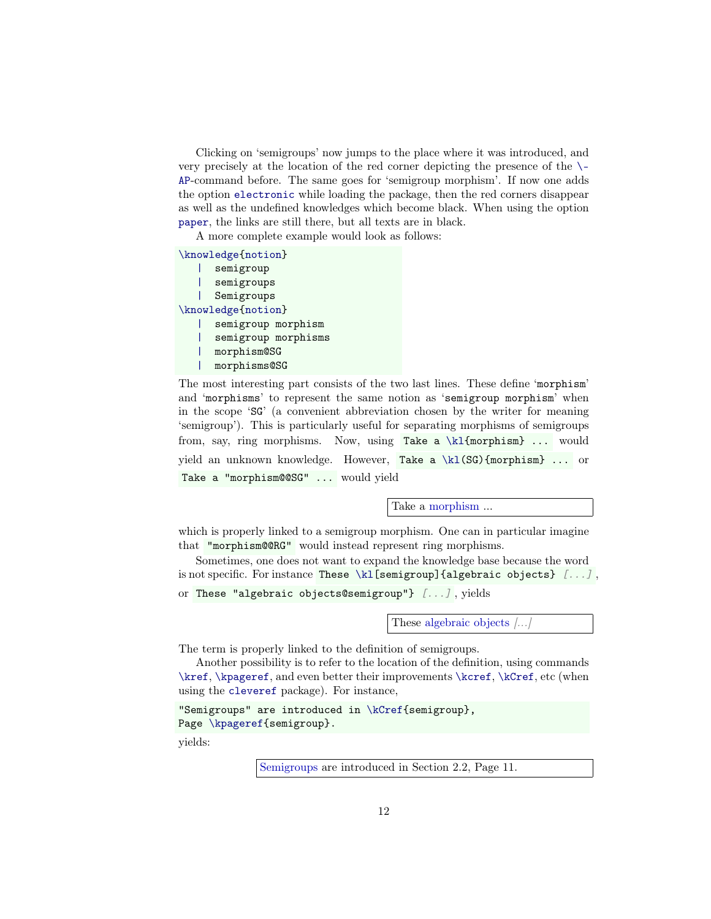Clicking on 'semigroups' now jumps to the place where it was introduced, and very precisely at the location of the red corner depicting the presence of the [\-](#page-40-0) [AP](#page-40-0)-command before. The same goes for 'semigroup morphism'. If now one adds the option [electronic](#page-14-5) while loading the package, then the red corners disappear as well as the undefined knowledges which become black. When using the option [paper](#page-14-6), the links are still there, but all texts are in black.

A more complete example would look as follows:

[\knowledge](#page-18-1)[{notion}](#page-49-7)

[|](#page-18-4) semigroup [|](#page-18-4) semigroups [|](#page-18-4) Semigroups [\knowledge](#page-18-1)[{notion}](#page-49-7) [|](#page-18-4) semigroup morphism semigroup morphisms [|](#page-18-4) morphism@SG [|](#page-18-4) morphisms@SG

The most interesting part consists of the two last lines. These define 'morphism' and 'morphisms' to represent the same notion as 'semigroup morphism' when in the scope 'SG' (a convenient abbreviation chosen by the writer for meaning 'semigroup'). This is particularly useful for separating morphisms of semigroups from, say, ring morphisms. Now, using Take a [\kl{](#page-24-1)morphism} ... would yield an unknown knowledge. However, Take a [\kl\(](#page-24-1)SG){morphism} ... or Take a "morphism@@SG" ... would yield

Take a [morphism](#page-10-1) ...

which is properly linked to a semigroup morphism. One can in particular imagine that "morphism@@RG" would instead represent ring morphisms.

Sometimes, one does not want to expand the knowledge base because the word is not specific. For instance These  $\kappa \leq \frac{\kappa}{\kappa}$  (algebraic objects) [...], or These "algebraic objects@semigroup"} [...] , yields

These [algebraic objects](#page-10-2)  $\left\langle \ldots \right\rangle$ 

The term is properly linked to the definition of semigroups.

Another possibility is to refer to the location of the definition, using commands [\kref](#page-26-3), [\kpageref](#page-26-4), and even better their improvements [\kcref](#page-43-0), [\kCref](#page-43-0), etc (when using the [cleveref](#page-43-0) package). For instance,

```
"Semigroups" are introduced in \kCref{semigroup},
\kpageref{semigroup}.
```
yields:

[Semigroups](#page-10-2) are introduced in Section [2.2,](#page-10-2) Page [11.](#page-10-2)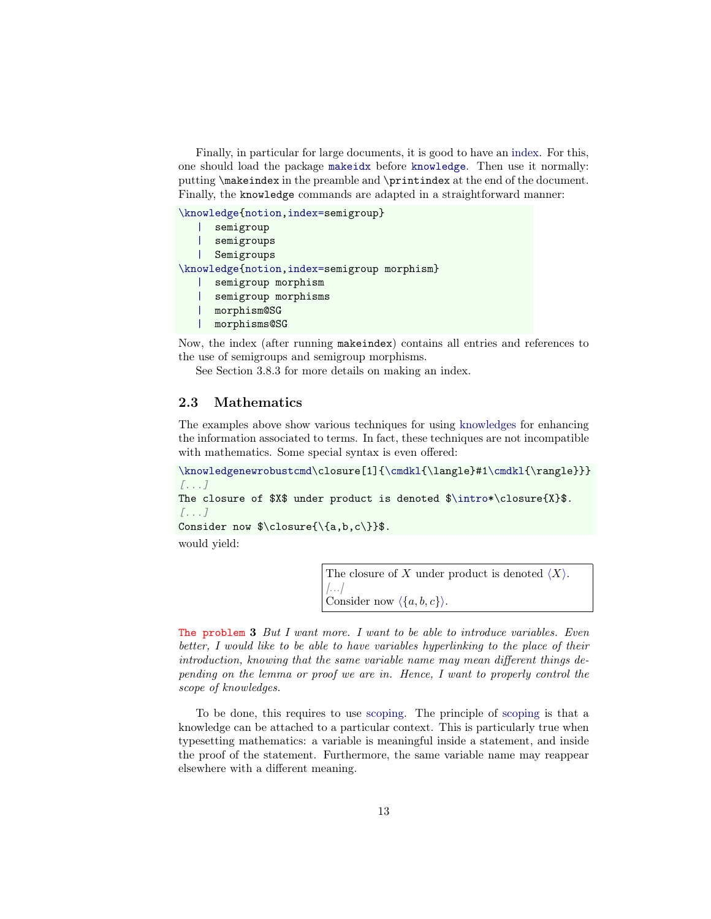Finally, in particular for large documents, it is good to have an index. For this, one should load the package [makeidx](https://www.ctan.org/pkg/makeidx) before [knowledge](#page-0-0). Then use it normally: putting \makeindex in the preamble and \printindex at the end of the document. Finally, the knowledge commands are adapted in a straightforward manner:

[\knowledge](#page-18-1)[{notion,](#page-49-7)[index=s](#page-42-4)emigroup}

| semigroup                                   |
|---------------------------------------------|
| semigroups                                  |
| Semigroups                                  |
| \knowledge{notion,index=semigroup morphism} |
| semigroup morphism                          |
| semigroup morphisms                         |
| morphism@SG                                 |
| morphisms@SG                                |
|                                             |

Now, the index (after running makeindex) contains all entries and references to the use of semigroups and semigroup morphisms.

See Section [3.8.3](#page-42-1) for more details on making an index.

# <span id="page-12-0"></span>2.3 Mathematics

The examples above show various techniques for using [knowledges](#page-17-1) for enhancing the information associated to terms. In fact, these techniques are not incompatible with mathematics. Some special syntax is even offered:

[\knowledgenewrobustcmd\](#page-44-0)closure[1][{\cmdkl{](#page-45-0)\langle}#[1\cmdkl{](#page-45-0)\rangle}}} [...]

The closure of \$X\$ under product is denoted [\\$\intro\\*](#page-38-0)\closure{X}\$. [...]

Consider now  $\clap{\delta, b, c}{\$ 

would yield:

<span id="page-12-1"></span>The closure of X under product is denoted  $\langle X \rangle$ .  $\left| \ldots \right|$ Consider now  $\langle \{a, b, c\}\rangle$ .

The problem 3 But I want more. I want to be able to introduce variables. Even better, I would like to be able to have variables hyperlinking to the place of their introduction, knowing that the same variable name may mean different things depending on the lemma or proof we are in. Hence, I want to properly control the scope of knowledges.

To be done, this requires to use [scoping.](#page-30-0) The principle of [scoping](#page-30-0) is that a knowledge can be attached to a particular context. This is particularly true when typesetting mathematics: a variable is meaningful inside a statement, and inside the proof of the statement. Furthermore, the same variable name may reappear elsewhere with a different meaning.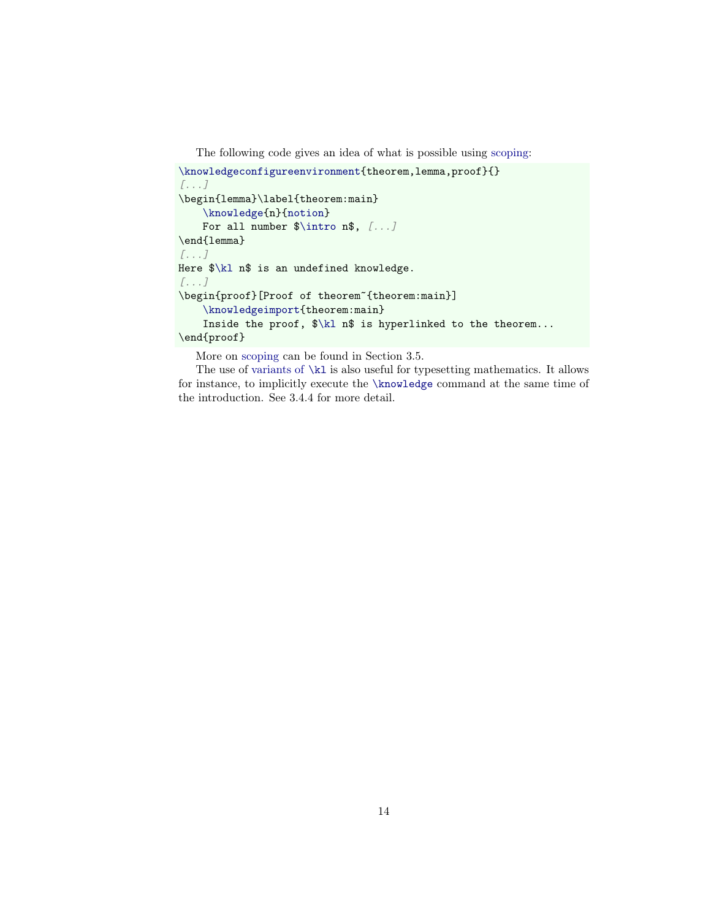The following code gives an idea of what is possible using [scoping:](#page-30-0)

```
\knowledgeconfigureenvironment{theorem,lemma,proof}{}
[...]
\begin{lemma}\label{theorem:main}
   \knowledge{n}{notion}
   $\intro n$, [...]
\end{lemma}
[...]
Here $\kl n$ is an undefined knowledge.
[...]
\begin{proof}[Proof of theorem˜{theorem:main}]
   \knowledgeimport{theorem:main}
   Inside the proof, $\kl n$ is hyperlinked to the theorem...
\end{proof}
```
More on [scoping](#page-30-0) can be found in Section [3.5.](#page-30-0)

The use of [variants of](#page-26-1) [\kl](#page-24-1) is also useful for typesetting mathematics. It allows for instance, to implicitly execute the [\knowledge](#page-18-1) command at the same time of the introduction. See [3.4.4](#page-26-1) for more detail.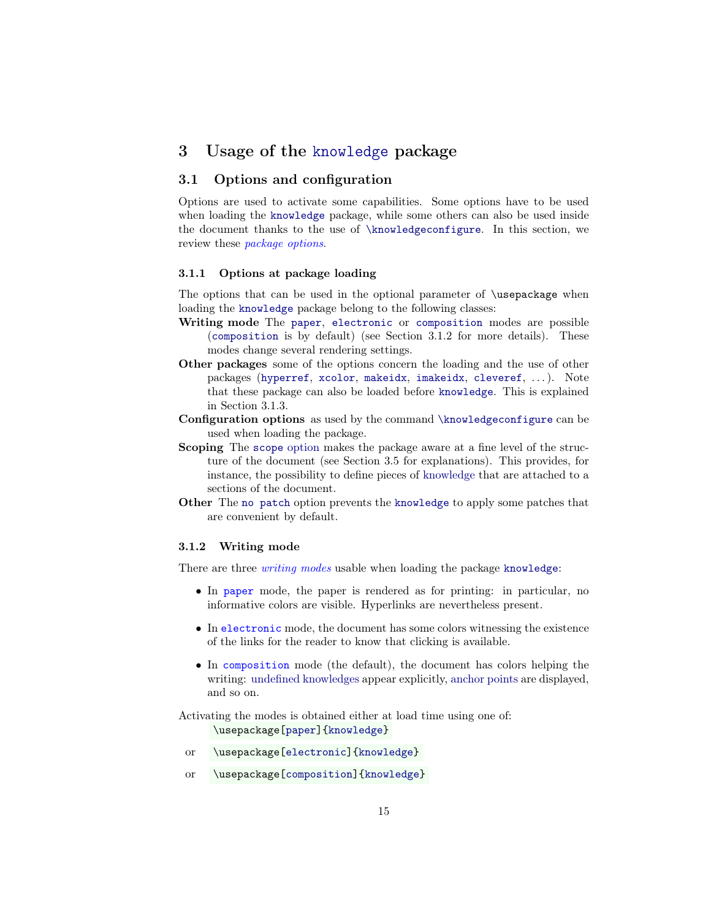# <span id="page-14-0"></span>3 Usage of the [knowledge](#page-0-0) package

# <span id="page-14-1"></span>3.1 Options and configuration

Options are used to activate some capabilities. Some options have to be used when loading the [knowledge](#page-0-0) package, while some others can also be used inside the document thanks to the use of [\knowledgeconfigure](#page-16-0). In this section, we review these *package options*.

#### <span id="page-14-2"></span>3.1.1 Options at package loading

The options that can be used in the optional parameter of \usepackage when loading the [knowledge](#page-0-0) package belong to the following classes:

- Writing mode The [paper](#page-14-6), [electronic](#page-14-5) or [composition](#page-14-4) modes are possible ([composition](#page-14-4) is by default) (see Section [3.1.2](#page-14-3) for more details). These modes change several rendering settings.
- Other packages some of the options concern the loading and the use of other packages ([hyperref](https://www.ctan.org/pkg/hyperref), [xcolor](https://www.ctan.org/pkg/xcolor), [makeidx](https://www.ctan.org/pkg/makeidx), [imakeidx](https://www.ctan.org/pkg/imakeidx), [cleveref](https://www.ctan.org/pkg/cleveref), ...). Note that these package can also be loaded before [knowledge](#page-0-0). This is explained in Section [3.1.3.](#page-15-0)
- Configuration options as used by the command [\knowledgeconfigure](#page-16-0) can be used when loading the package.
- Scoping The [scope](#page-32-2) [option](#page-14-1) makes the package aware at a fine level of the structure of the document (see Section [3.5](#page-30-0) for explanations). This provides, for instance, the possibility to define pieces of [knowledge](#page-17-1) that are attached to a sections of the document.
- Other The [no patch](#page-17-4) option prevents the [knowledge](#page-0-0) to apply some patches that are convenient by default.

#### <span id="page-14-3"></span>3.1.2 Writing mode

<span id="page-14-6"></span>There are three *writing modes* usable when loading the package [knowledge](#page-0-0):

- In paper mode, the paper is rendered as for printing: in particular, no informative colors are visible. Hyperlinks are nevertheless present.
- <span id="page-14-5"></span>• In electronic mode, the document has some colors witnessing the existence of the links for the reader to know that clicking is available.
- <span id="page-14-4"></span>• In composition mode (the default), the document has colors helping the writing: [undefined knowledges](#page-36-1) appear explicitly, [anchor points](#page-40-1) are displayed, and so on.

Activating the modes is obtained either at load time using one of: \usepackage[\[paper\]](#page-14-6)[{knowledge}](#page-0-0)

- or \usepackage[\[electronic\]](#page-14-5)[{knowledge}](#page-0-0)
- or \usepackage[\[composition\]](#page-14-4)[{knowledge}](#page-0-0)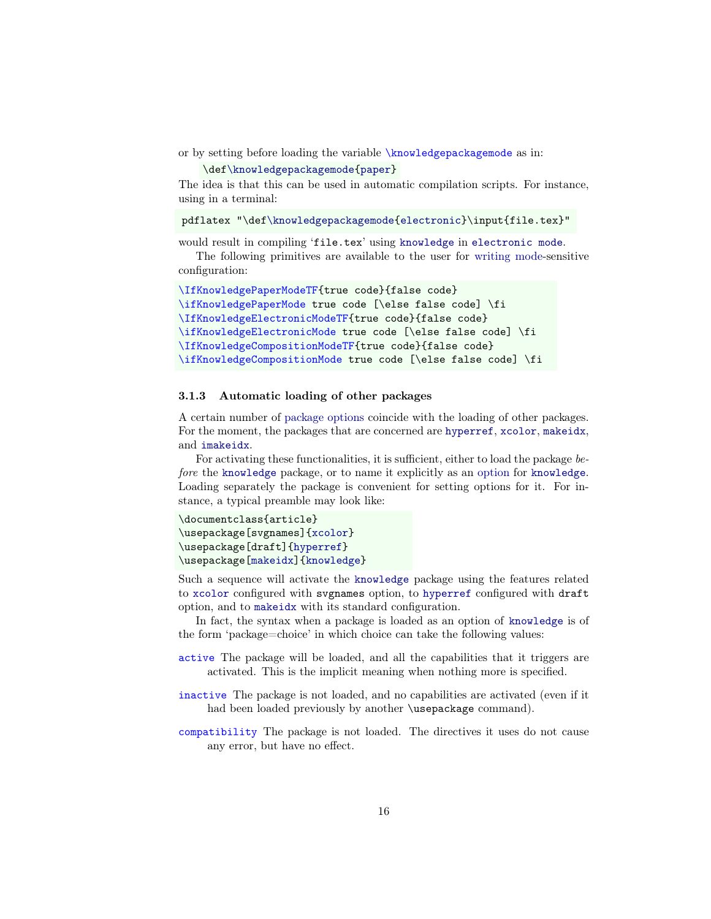<span id="page-15-1"></span>or by setting before loading the variable \knowledgepackagemode as in:

\de[f\knowledgepackagemode{](#page-15-1)[paper}](#page-14-6)

The idea is that this can be used in automatic compilation scripts. For instance, using in a terminal:

pdflatex "\de[f\knowledgepackagemode{](#page-15-1)[electronic}](#page-14-5)\input{file.tex}"

would result in compiling 'file.tex' using [knowledge](#page-0-0) in [electronic mode](#page-14-5).

The following primitives are available to the user for [writing mode-](#page-14-3)sensitive configuration:

```
\IfKnowledgePaperModeTF{true code}{false code}
\ifKnowledgePaperMode true code [\else false code] \fi
\IfKnowledgeElectronicModeTF{true code}{false code}
\ifKnowledgeElectronicMode true code [\else false code] \fi
\IfKnowledgeCompositionModeTF{true code}{false code}
\ifKnowledgeCompositionMode true code [\else false code] \fi
```
#### <span id="page-15-0"></span>3.1.3 Automatic loading of other packages

A certain number of [package options](#page-14-1) coincide with the loading of other packages. For the moment, the packages that are concerned are [hyperref](#page-37-6), [xcolor](#page-37-1), [makeidx](#page-42-1), and [imakeidx](#page-42-1).

For activating these functionalities, it is sufficient, either to load the package before the [knowledge](#page-0-0) package, or to name it explicitly as an [option](#page-14-1) for [knowledge](#page-0-0). Loading separately the package is convenient for setting options for it. For instance, a typical preamble may look like:

```
\documentclass{article}
\usepackage[svgnames]{xcolor}
\usepackage[draft]{hyperref}
\usepackage[makeidx]{knowledge}
```
Such a sequence will activate the [knowledge](#page-0-0) package using the features related to [xcolor](https://www.ctan.org/pkg/xcolor) configured with svgnames option, to [hyperref](https://www.ctan.org/pkg/hyperref) configured with draft option, and to [makeidx](https://www.ctan.org/pkg/makeidx) with its standard configuration.

In fact, the syntax when a package is loaded as an option of [knowledge](#page-0-0) is of the form 'package=choice' in which choice can take the following values:

- active The package will be loaded, and all the capabilities that it triggers are activated. This is the implicit meaning when nothing more is specified.
- inactive The package is not loaded, and no capabilities are activated (even if it had been loaded previously by another \usepackage command).
- compatibility The package is not loaded. The directives it uses do not cause any error, but have no effect.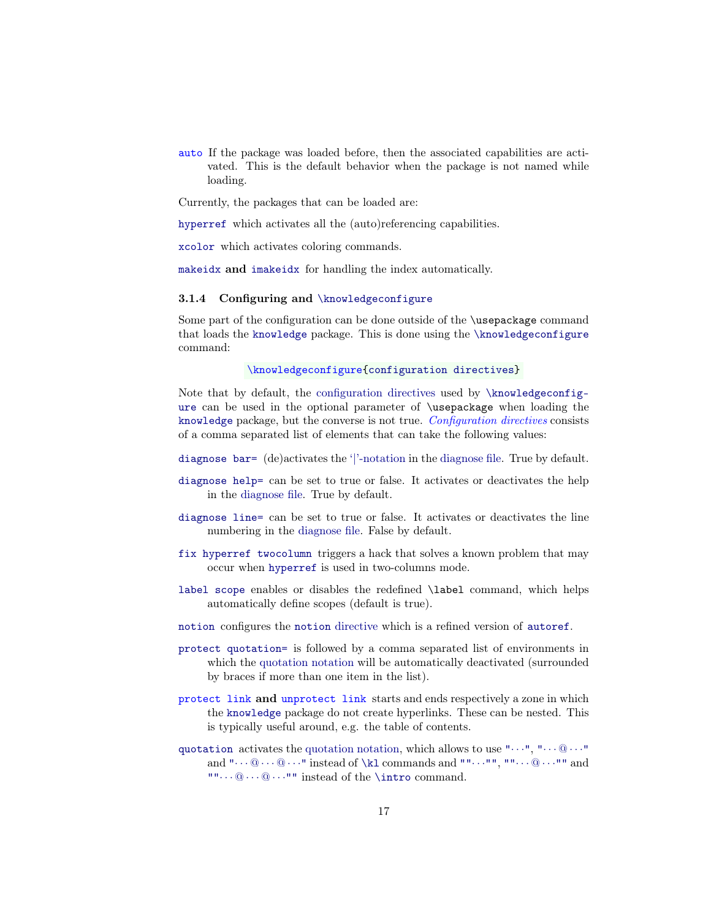auto If the package was loaded before, then the associated capabilities are activated. This is the default behavior when the package is not named while loading.

Currently, the packages that can be loaded are:

[hyperref](https://www.ctan.org/pkg/hyperref) which activates all the (auto)referencing capabilities.

[xcolor](https://www.ctan.org/pkg/xcolor) which activates coloring commands.

[makeidx](https://www.ctan.org/pkg/makeidx) and [imakeidx](https://www.ctan.org/pkg/imakeidx) for handling the index automatically.

#### <span id="page-16-0"></span>3.1.4 Configuring and [\knowledgeconfigure](#page-16-0)

Some part of the configuration can be done outside of the \usepackage command that loads the [knowledge](#page-0-0) package. This is done using the [\knowledgeconfigure](#page-16-0) command:

\knowledgeconfigure[{configuration directives}](#page-16-0)

Note that by default, the [configuration directives](#page-16-0) used by [\knowledgeconfig](#page-16-0)[ure](#page-16-0) can be used in the optional parameter of \usepackage when loading the [knowledge](#page-0-0) package, but the converse is not true. Configuration directives consists of a comma separated list of elements that can take the following values:

- [diagnose bar=](#page-37-5) (de)activates the ['|'-notation](#page-18-4) in the [diagnose file.](#page-36-0) True by default.
- diagnose help= can be set to true or false. It activates or deactivates the help in the [diagnose file.](#page-36-0) True by default.
- [diagnose line=](#page-37-3) can be set to true or false. It activates or deactivates the line numbering in the [diagnose file.](#page-36-0) False by default.
- [fix hyperref twocolumn](#page-49-3) triggers a hack that solves a known problem that may occur when [hyperref](https://www.ctan.org/pkg/hyperref) is used in two-columns mode.
- [label scope](#page-33-1) enables or disables the redefined \label command, which helps automatically define scopes (default is true).
- [notion](#page-49-4) configures the [notion](#page-49-7) directive which is a refined version of [autoref](#page-38-0).
- [protect quotation=](#page-25-4) is followed by a comma separated list of environments in which the [quotation notation](#page-24-2) will be automatically deactivated (surrounded by braces if more than one item in the list).
- <span id="page-16-1"></span>protect link and unprotect link starts and ends respectively a zone in which the [knowledge](#page-0-0) package do not create hyperlinks. These can be nested. This is typically useful around, e.g. the table of contents.
- [quotation](#page-24-2) activates the [quotation notation,](#page-24-2) which allows to use " $\cdots$ ", " $\cdots$  @  $\cdots$ " and  $\cdots \mathbb{Q} \cdots \mathbb{Q}$  instead of [\kl](#page-24-1) commands and  $\cdots$ ,  $\cdots$ ,  $\cdots \mathbb{Q} \cdots \mathbb{Q}$  and  $\cdots \mathbb{Q} \cdots \mathbb{Q} \cdots$ " instead of the [\intro](#page-38-0) command.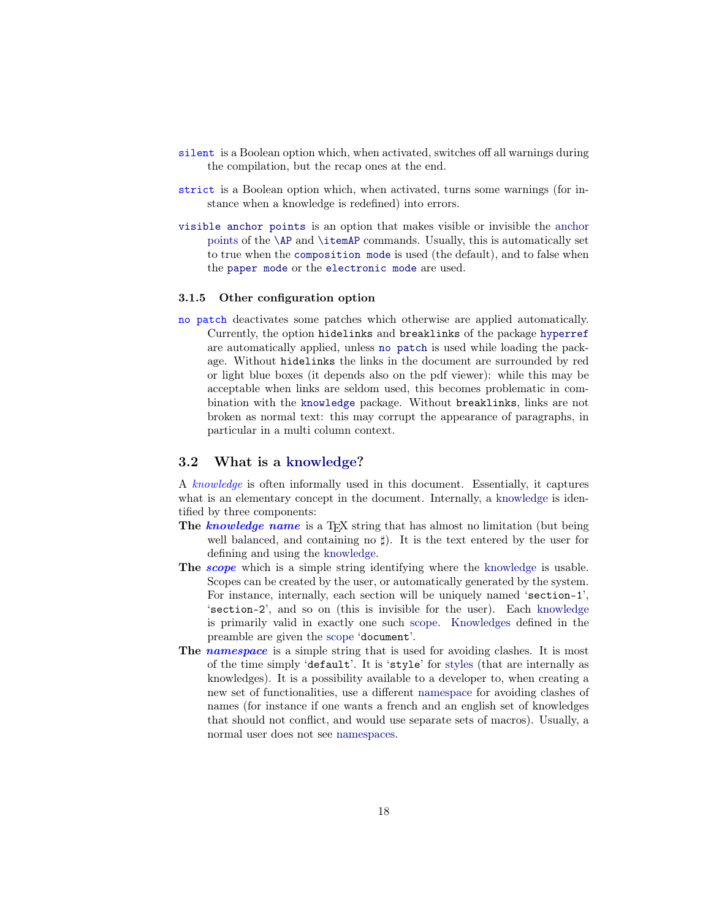- <span id="page-17-5"></span>silent is a Boolean option which, when activated, switches off all warnings during the compilation, but the recap ones at the end.
- <span id="page-17-3"></span>strict is a Boolean option which, when activated, turns some warnings (for instance when a knowledge is redefined) into errors.
- [visible anchor points](#page-41-0) is an option that makes visible or invisible the [anchor](#page-40-1) [points](#page-40-1) of the [\AP](#page-40-0) and [\itemAP](#page-40-2) commands. Usually, this is automatically set to true when the [composition mode](#page-14-4) is used (the default), and to false when the [paper mode](#page-14-6) or the [electronic mode](#page-14-5) are used.

#### <span id="page-17-0"></span>3.1.5 Other configuration option

<span id="page-17-4"></span>no patch deactivates some patches which otherwise are applied automatically. Currently, the option hidelinks and breaklinks of the package [hyperref](https://www.ctan.org/pkg/hyperref) are automatically applied, unless [no patch](#page-17-4) is used while loading the package. Without hidelinks the links in the document are surrounded by red or light blue boxes (it depends also on the pdf viewer): while this may be acceptable when links are seldom used, this becomes problematic in combination with the [knowledge](#page-0-0) package. Without breaklinks, links are not broken as normal text: this may corrupt the appearance of paragraphs, in particular in a multi column context.

### <span id="page-17-1"></span>3.2 What is a [knowledge?](#page-17-1)

A knowledge is often informally used in this document. Essentially, it captures what is an elementary concept in the document. Internally, a [knowledge](#page-17-1) is identified by three components:

- <span id="page-17-7"></span>The knowledge name is a T<sub>EX</sub> string that has almost no limitation (but being well balanced, and containing no  $\sharp$ ). It is the text entered by the user for defining and using the [knowledge.](#page-17-1)
- <span id="page-17-2"></span>The *scope* which is a simple string identifying where the [knowledge](#page-17-1) is usable. Scopes can be created by the user, or automatically generated by the system. For instance, internally, each section will be uniquely named 'section-1', 'section-2', and so on (this is invisible for the user). Each [knowledge](#page-17-1) is primarily valid in exactly one such [scope.](#page-17-2) [Knowledges](#page-17-1) defined in the preamble are given the [scope](#page-17-2) 'document'.
- <span id="page-17-6"></span>The namespace is a simple string that is used for avoiding clashes. It is most of the time simply 'default'. It is 'style' for [styles](#page-22-0) (that are internally as knowledges). It is a possibility available to a developer to, when creating a new set of functionalities, use a different [namespace](#page-17-6) for avoiding clashes of names (for instance if one wants a french and an english set of knowledges that should not conflict, and would use separate sets of macros). Usually, a normal user does not see [namespaces.](#page-17-6)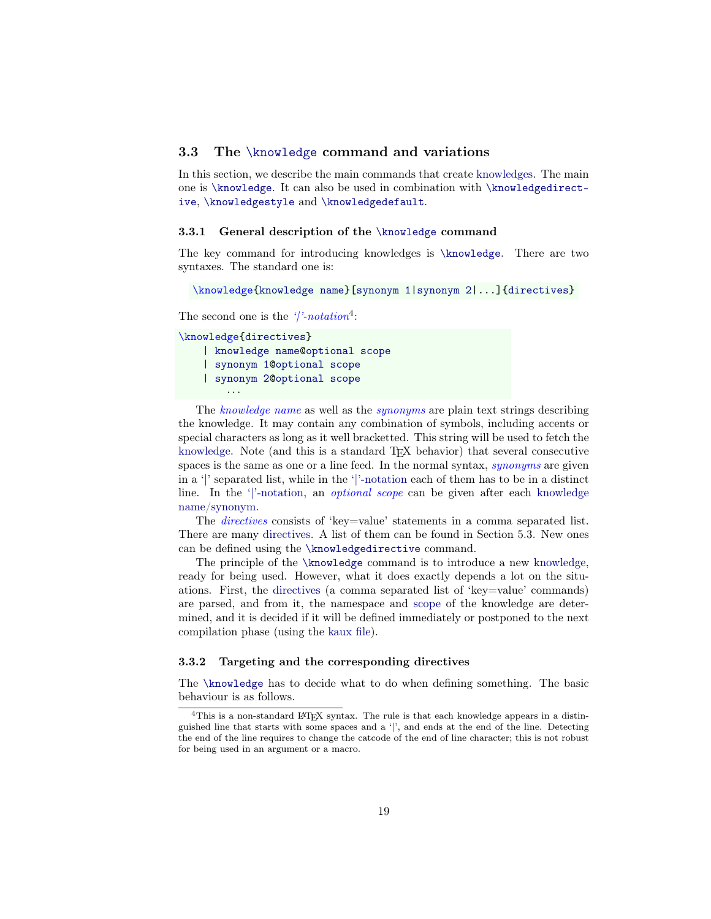# <span id="page-18-0"></span>3.3 The [\knowledge](#page-18-1) command and variations

In this section, we describe the main commands that create [knowledges.](#page-17-1) The main one is [\knowledge](#page-18-1). It can also be used in combination with [\knowledgedirect](#page-22-1)[ive](#page-22-1), [\knowledgestyle](#page-22-2) and [\knowledgedefault](#page-23-1).

#### <span id="page-18-1"></span>3.3.1 General description of the [\knowledge](#page-18-1) command

The key command for introducing knowledges is [\knowledge](#page-18-1). There are two syntaxes. The standard one is:

```
\knowledge{knowledge name}[synonym 1|synonym 2|...]{directives}
```
<span id="page-18-4"></span>The second one is the  $\frac{1}{2} \cdot notation^4$  $\frac{1}{2} \cdot notation^4$ :

```
\knowledge{directives}
    | knowledge name@optional scope
    | synonym 1@optional scope
    | synonym 2@optional scope
        · · ·
```
<span id="page-18-5"></span>The knowledge name as well as the synonyms are plain text strings describing the knowledge. It may contain any combination of symbols, including accents or special characters as long as it well bracketted. This string will be used to fetch the [knowledge.](#page-17-1) Note (and this is a standard TEX behavior) that several consecutive spaces is the same as one or a line feed. In the normal syntax, synonyms are given in a '|' separated list, while in the ['|'-notation](#page-18-4) each of them has to be in a distinct line. In the ['|'-notation,](#page-18-4) an optional scope can be given after each [knowledge](#page-18-5) [name/synonym.](#page-18-5)

<span id="page-18-7"></span><span id="page-18-3"></span>The *directives* consists of 'key=value' statements in a comma separated list. There are many [directives.](#page-18-3) A list of them can be found in Section [5.3.](#page-56-3) New ones can be defined using the [\knowledgedirective](#page-22-1) command.

The principle of the [\knowledge](#page-18-1) command is to introduce a new [knowledge,](#page-17-1) ready for being used. However, what it does exactly depends a lot on the situations. First, the [directives](#page-18-3) (a comma separated list of 'key=value' commands) are parsed, and from it, the namespace and [scope](#page-17-2) of the knowledge are determined, and it is decided if it will be defined immediately or postponed to the next compilation phase (using the [kaux file\)](#page-36-0).

#### <span id="page-18-2"></span>3.3.2 Targeting and the corresponding directives

The [\knowledge](#page-18-1) has to decide what to do when defining something. The basic behaviour is as follows.

<span id="page-18-6"></span><sup>&</sup>lt;sup>4</sup>This is a non-standard LAT<sub>E</sub>X syntax. The rule is that each knowledge appears in a distinguished line that starts with some spaces and a '|', and ends at the end of the line. Detecting the end of the line requires to change the catcode of the end of line character; this is not robust for being used in an argument or a macro.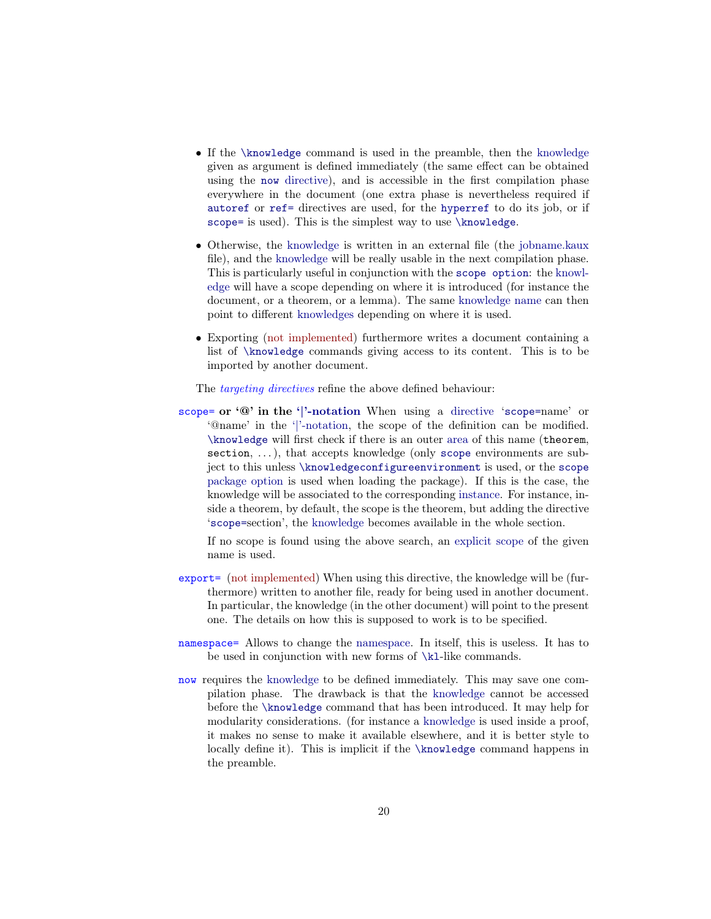- If the [\knowledge](#page-18-1) command is used in the preamble, then the [knowledge](#page-17-1) given as argument is defined immediately (the same effect can be obtained using the [now](#page-19-1) directive), and is accessible in the first compilation phase everywhere in the document (one extra phase is nevertheless required if [autoref](#page-38-0) or [ref=](#page-38-1) directives are used, for the [hyperref](https://www.ctan.org/pkg/hyperref) to do its job, or if [scope=](#page-19-0) is used). This is the simplest way to use [\knowledge](#page-18-1).
- Otherwise, the [knowledge](#page-17-1) is written in an external file (the [jobname.kaux](#page-36-0) file), and the [knowledge](#page-17-1) will be really usable in the next compilation phase. This is particularly useful in conjunction with the [scope option](#page-32-2): the [knowl](#page-17-1)[edge](#page-17-1) will have a scope depending on where it is introduced (for instance the document, or a theorem, or a lemma). The same [knowledge name](#page-17-7) can then point to different [knowledges](#page-17-1) depending on where it is used.
- Exporting (not implemented) furthermore writes a document containing a list of [\knowledge](#page-18-1) commands giving access to its content. This is to be imported by another document.

The *targeting directives* refine the above defined behaviour:

<span id="page-19-0"></span>scope= or '@' in the ['|'-notation](#page-18-4) When using a [directive](#page-18-3) '[scope=](#page-19-0)name' or '@name' in the ['|'-notation,](#page-18-4) the scope of the definition can be modified. [\knowledge](#page-18-1) will first check if there is an outer area of this name (theorem, section, ...), that accepts knowledge (only [scope](#page-32-3) environments are subject to this unless [\knowledgeconfigureenvironment](#page-34-1) is used, or the [scope](#page-32-2) [package option](#page-14-1) is used when loading the package). If this is the case, the knowledge will be associated to the corresponding instance. For instance, inside a theorem, by default, the scope is the theorem, but adding the directive '[scope=](#page-19-0)section', the [knowledge](#page-17-1) becomes available in the whole section.

If no scope is found using the above search, an [explicit scope](#page-31-0) of the given name is used.

- <span id="page-19-3"></span>export= (not implemented) When using this directive, the knowledge will be (furthermore) written to another file, ready for being used in another document. In particular, the knowledge (in the other document) will point to the present one. The details on how this is supposed to work is to be specified.
- <span id="page-19-2"></span>namespace= Allows to change the [namespace.](#page-17-6) In itself, this is useless. It has to be used in conjunction with new forms of [\kl](#page-24-1)-like commands.
- <span id="page-19-1"></span>now requires the [knowledge](#page-17-1) to be defined immediately. This may save one compilation phase. The drawback is that the [knowledge](#page-17-1) cannot be accessed before the [\knowledge](#page-18-1) command that has been introduced. It may help for modularity considerations. (for instance a [knowledge](#page-17-1) is used inside a proof, it makes no sense to make it available elsewhere, and it is better style to locally define it). This is implicit if the [\knowledge](#page-18-1) command happens in the preamble.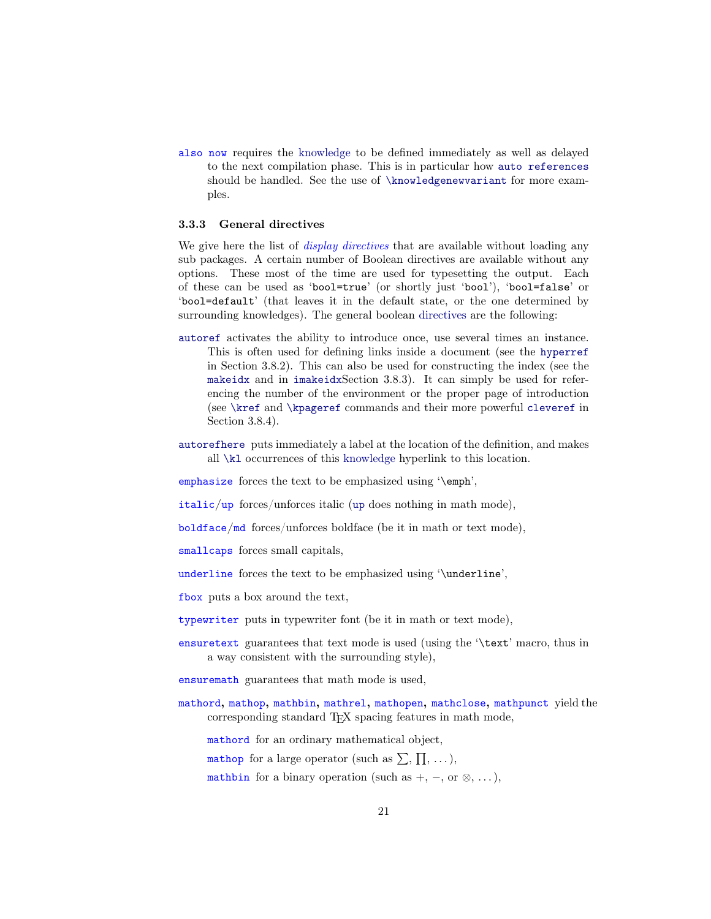<span id="page-20-6"></span>also now requires the [knowledge](#page-17-1) to be defined immediately as well as delayed to the next compilation phase. This is in particular how [auto references](#page-38-0) should be handled. See the use of [\knowledgenewvariant](#page-26-2) for more examples.

### <span id="page-20-0"></span>3.3.3 General directives

We give here the list of *display directives* that are available without loading any sub packages. A certain number of Boolean directives are available without any options. These most of the time are used for typesetting the output. Each of these can be used as 'bool=true' (or shortly just 'bool'), 'bool=false' or 'bool=default' (that leaves it in the default state, or the one determined by surrounding knowledges). The general boolean [directives](#page-18-3) are the following:

- [autoref](#page-38-0) activates the ability to introduce once, use several times an instance. This is often used for defining links inside a document (see the [hyperref](#page-37-6) in Section [3.8.2\)](#page-37-6). This can also be used for constructing the index (see the [makeidx](#page-42-1) and in [imakeidx](#page-42-1)Section [3.8.3\)](#page-42-1). It can simply be used for referencing the number of the environment or the proper page of introduction (see [\kref](#page-26-3) and [\kpageref](#page-26-4) commands and their more powerful [cleveref](#page-43-0) in Section [3.8.4\)](#page-43-0).
- [autorefhere](#page-40-3) puts immediately a label at the location of the definition, and makes all [\kl](#page-24-1) occurrences of this [knowledge](#page-17-1) hyperlink to this location.

<span id="page-20-3"></span>emphasize forces the text to be emphasized using '\emph',

<span id="page-20-2"></span>italic/[up](#page-20-2) forces/unforces italic (up does nothing in math mode),

<span id="page-20-4"></span>boldface/md forces/unforces boldface (be it in math or text mode),

<span id="page-20-1"></span>smallcaps forces small capitals,

<span id="page-20-11"></span>underline forces the text to be emphasized using '\underline',

<span id="page-20-9"></span>fbox puts a box around the text,

<span id="page-20-5"></span>typewriter puts in typewriter font (be it in math or text mode),

<span id="page-20-7"></span>ensuretext guarantees that text mode is used (using the '\text' macro, thus in a way consistent with the surrounding style),

<span id="page-20-8"></span>ensuremath guarantees that math mode is used,

<span id="page-20-10"></span>mathord, mathop, mathbin, mathrel, mathopen, mathclose, mathpunct yield the corresponding standard TEX spacing features in math mode,

mathord for an ordinary mathematical object,

mathop for a large operator (such as  $\sum$ ,  $\prod$ , ...),

mathbin for a binary operation (such as  $+$ ,  $-$ , or  $\otimes$ , ...),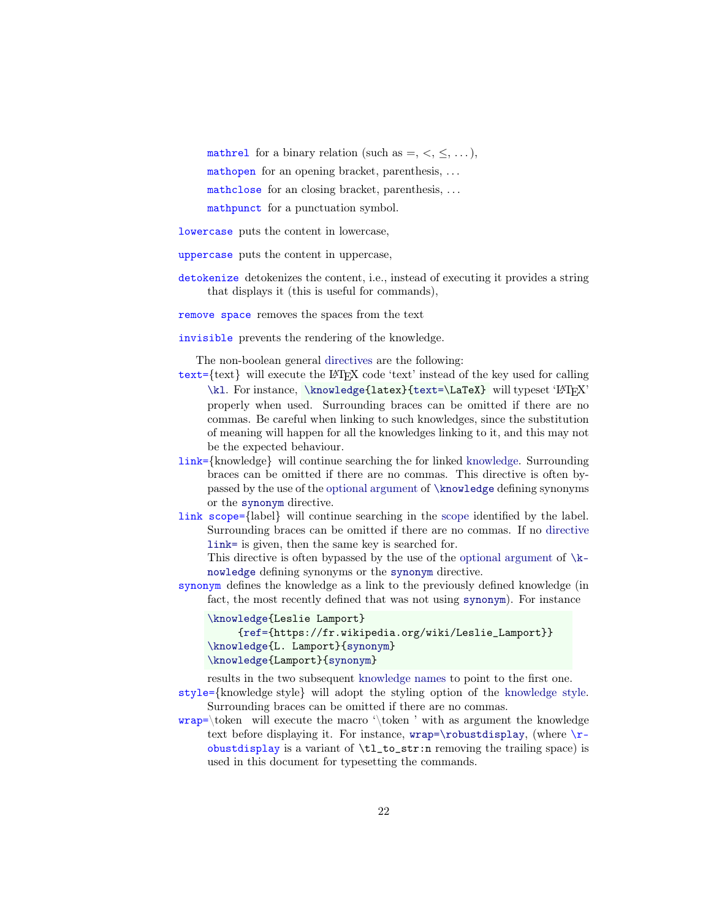mathrel for a binary relation (such as  $=$ ,  $\lt$ ,  $\leq$ , ...), mathopen for an opening bracket, parenthesis, ... mathclose for an closing bracket, parenthesis, ... mathpunct for a punctuation symbol.

<span id="page-21-9"></span>lowercase puts the content in lowercase,

<span id="page-21-10"></span>uppercase puts the content in uppercase,

<span id="page-21-6"></span>detokenize detokenizes the content, i.e., instead of executing it provides a string that displays it (this is useful for commands),

<span id="page-21-7"></span>remove space removes the spaces from the text

<span id="page-21-5"></span>invisible prevents the rendering of the knowledge.

The non-boolean general [directives](#page-18-3) are the following:

- <span id="page-21-1"></span> $text={ftext}$  will execute the LAT<sub>EX</sub> code 'text' instead of the key used for calling [\kl](#page-24-1). For instance, [\knowledge{](#page-18-1)latex}[{text=\](#page-21-1)LaTeX} will typeset 'LATEX' properly when used. Surrounding braces can be omitted if there are no commas. Be careful when linking to such knowledges, since the substitution of meaning will happen for all the knowledges linking to it, and this may not be the expected behaviour.
- <span id="page-21-2"></span>link={knowledge} will continue searching the for linked [knowledge.](#page-17-1) Surrounding braces can be omitted if there are no commas. This directive is often bypassed by the use of the [optional argument](#page-18-5) of [\knowledge](#page-18-1) defining synonyms or the [synonym](#page-21-0) directive.
- <span id="page-21-8"></span>link scope={label} will continue searching in the [scope](#page-17-2) identified by the label. Surrounding braces can be omitted if there are no commas. If no directive [link=](#page-21-2) is given, then the same key is searched for.

This directive is often bypassed by the use of the [optional argument](#page-18-5) of  $\kappa$ [nowledge](#page-18-1) defining synonyms or the [synonym](#page-21-0) directive.

<span id="page-21-0"></span>synonym defines the knowledge as a link to the previously defined knowledge (in fact, the most recently defined that was not using [synonym](#page-21-0)). For instance

```
\knowledge{Leslie Lamport}
     {ref={https://fr.wikipedia.org/wiki/Leslie_Lamport}}
\knowledge{L. Lamport}{synonym}
\knowledge{Lamport}{synonym}
```
<span id="page-21-4"></span>results in the two subsequent [knowledge names](#page-24-3) to point to the first one. style={knowledge style} will adopt the styling option of the [knowledge style.](#page-22-0)

Surrounding braces can be omitted if there are no commas.

<span id="page-21-3"></span> $wrap=\token$  will execute the macro '\token' with as argument the knowledge text before displaying it. For instance,  $wrap=\robustdisplay$ , (where  $\r$ obustdisplay is a variant of  $\t t_l_to_str:n$  removing the trailing space) is used in this document for typesetting the commands.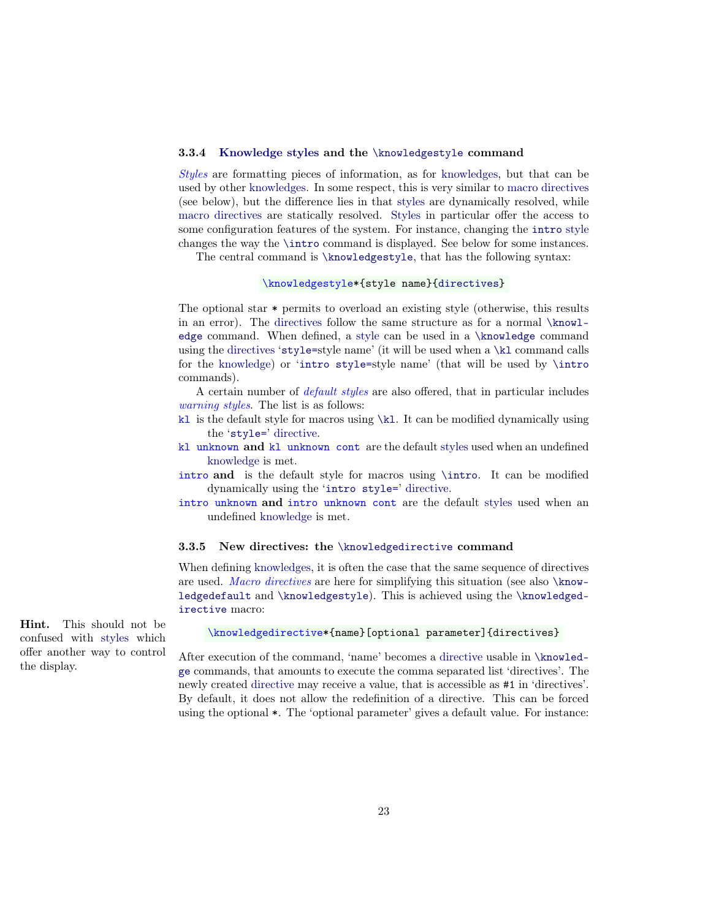#### <span id="page-22-0"></span>3.3.4 [Knowledge styles](#page-22-0) and the [\knowledgestyle](#page-22-2) command

Styles are formatting pieces of information, as for [knowledges,](#page-17-1) but that can be used by other [knowledges.](#page-17-1) In some respect, this is very similar to [macro directives](#page-22-1) (see below), but the difference lies in that [styles](#page-22-0) are dynamically resolved, while [macro directives](#page-22-1) are statically resolved. [Styles](#page-22-0) in particular offer the access to some configuration features of the system. For instance, changing the [intro](#page-22-3) [style](#page-22-0) changes the way the [\intro](#page-38-0) command is displayed. See below for some instances.

<span id="page-22-2"></span>The central command is [\knowledgestyle](#page-22-2), that has the following syntax:

#### \knowledgestyle\*{style name}[{directives}](#page-18-3)

The optional star \* permits to overload an existing style (otherwise, this results in an error). The [directives](#page-18-3) follow the same structure as for a normal [\knowl](#page-18-1)[edge](#page-18-1) command. When defined, a [style](#page-22-0) can be used in a [\knowledge](#page-18-1) command using the [directives](#page-18-3) '[style=](#page-21-4)style name' (it will be used when a [\kl](#page-24-1) command calls for the [knowledge\)](#page-17-1) or '[intro style=](#page-40-4)style name' (that will be used by [\intro](#page-38-0) commands).

<span id="page-22-7"></span>A certain number of *default styles* are also offered, that in particular includes warning styles. The list is as follows:

- <span id="page-22-5"></span> $k1$  is the default style for macros using  $\kappa$ . It can be modified dynamically using the '[style=](#page-21-4)' [directive.](#page-18-3)
- <span id="page-22-4"></span>kl unknown and kl unknown cont are the default [styles](#page-22-0) used when an undefined [knowledge](#page-17-1) is met.
- <span id="page-22-3"></span>intro and is the default style for macros using [\intro](#page-38-0). It can be modified dynamically using the '[intro style=](#page-40-4)' [directive.](#page-18-3)
- <span id="page-22-6"></span>intro unknown and intro unknown cont are the default [styles](#page-22-0) used when an undefined [knowledge](#page-17-1) is met.

#### <span id="page-22-1"></span>3.3.5 New directives: the [\knowledgedirective](#page-22-1) command

When defining [knowledges,](#page-17-1) it is often the case that the same sequence of directives are used. Macro directives are here for simplifying this situation (see also [\know](#page-23-1)[ledgedefault](#page-23-1) and [\knowledgestyle](#page-22-2)). This is achieved using the [\knowledged](#page-22-1)[irective](#page-22-1) macro:

#### \knowledgedirective\*{name}[optional parameter]{directives}

After execution of the command, 'name' becomes a [directive](#page-18-3) usable in [\knowled](#page-18-1)[ge](#page-18-1) commands, that amounts to execute the comma separated list 'directives'. The newly created [directive](#page-18-3) may receive a value, that is accessible as #1 in 'directives'. By default, it does not allow the redefinition of a directive. This can be forced using the optional \*. The 'optional parameter' gives a default value. For instance:

Hint. This should not be confused with [styles](#page-22-0) which offer another way to control the display.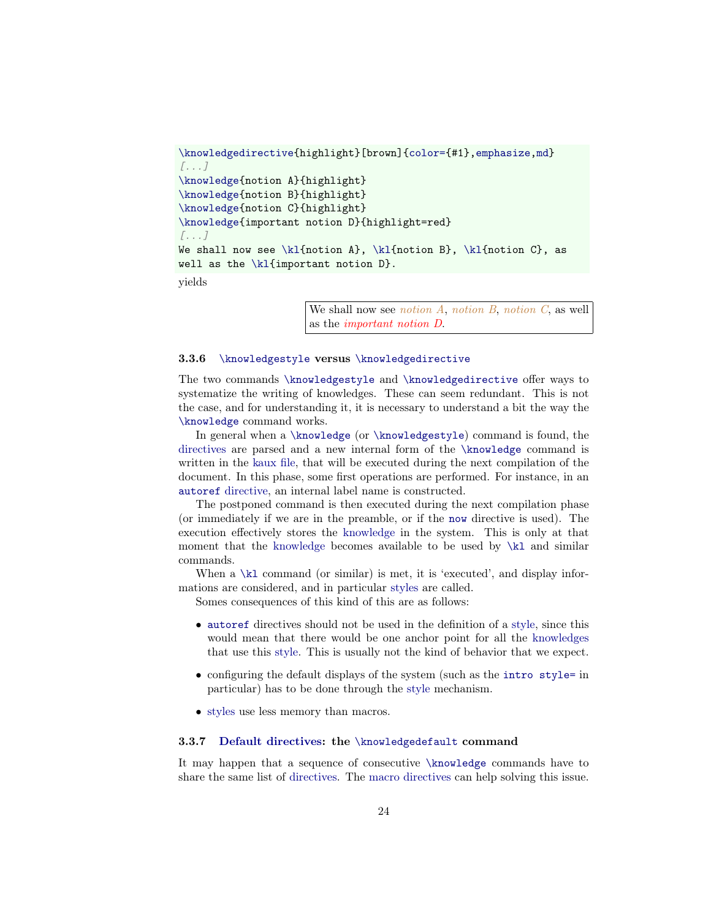```
\knowledgedirective{{color={,emphasize,md}
[...]
\knowledge{notion A}{highlight}
\knowledge{notion B}{highlight}
\knowledge{notion C}{highlight}
\knowledge{important notion D}{highlight=red}
[...]
We shall now see \kl{notion A}, \kl{notion B}, \kl{notion C}, as\kl{important notion D}.
```
yields

We shall now see *notion A*, *notion B*, *notion C*, as well as the important notion D.

#### <span id="page-23-0"></span>3.3.6 [\knowledgestyle](#page-22-2) versus [\knowledgedirective](#page-22-1)

The two commands [\knowledgestyle](#page-22-2) and [\knowledgedirective](#page-22-1) offer ways to systematize the writing of knowledges. These can seem redundant. This is not the case, and for understanding it, it is necessary to understand a bit the way the [\knowledge](#page-18-1) command works.

In general when a [\knowledge](#page-18-1) (or [\knowledgestyle](#page-22-2)) command is found, the [directives](#page-18-3) are parsed and a new internal form of the [\knowledge](#page-18-1) command is written in the [kaux file,](#page-36-0) that will be executed during the next compilation of the document. In this phase, some first operations are performed. For instance, in an [autoref](#page-38-0) [directive,](#page-18-3) an internal label name is constructed.

The postponed command is then executed during the next compilation phase (or immediately if we are in the preamble, or if the [now](#page-19-1) directive is used). The execution effectively stores the [knowledge](#page-17-1) in the system. This is only at that moment that the [knowledge](#page-17-1) becomes available to be used by [\kl](#page-24-1) and similar commands.

When a [\kl](#page-24-1) command (or similar) is met, it is 'executed', and display informations are considered, and in particular [styles](#page-22-0) are called.

Somes consequences of this kind of this are as follows:

- [autoref](#page-38-0) directives should not be used in the definition of a [style,](#page-22-0) since this would mean that there would be one anchor point for all the [knowledges](#page-17-1) that use this [style.](#page-22-0) This is usually not the kind of behavior that we expect.
- configuring the default displays of the system (such as the [intro style=](#page-40-4) in particular) has to be done through the [style](#page-22-0) mechanism.
- [styles](#page-22-0) use less memory than macros.

# <span id="page-23-1"></span>3.3.7 [Default directives:](#page-23-1) the [\knowledgedefault](#page-23-1) command

It may happen that a sequence of consecutive [\knowledge](#page-18-1) commands have to share the same list of [directives.](#page-18-3) The [macro directives](#page-22-1) can help solving this issue.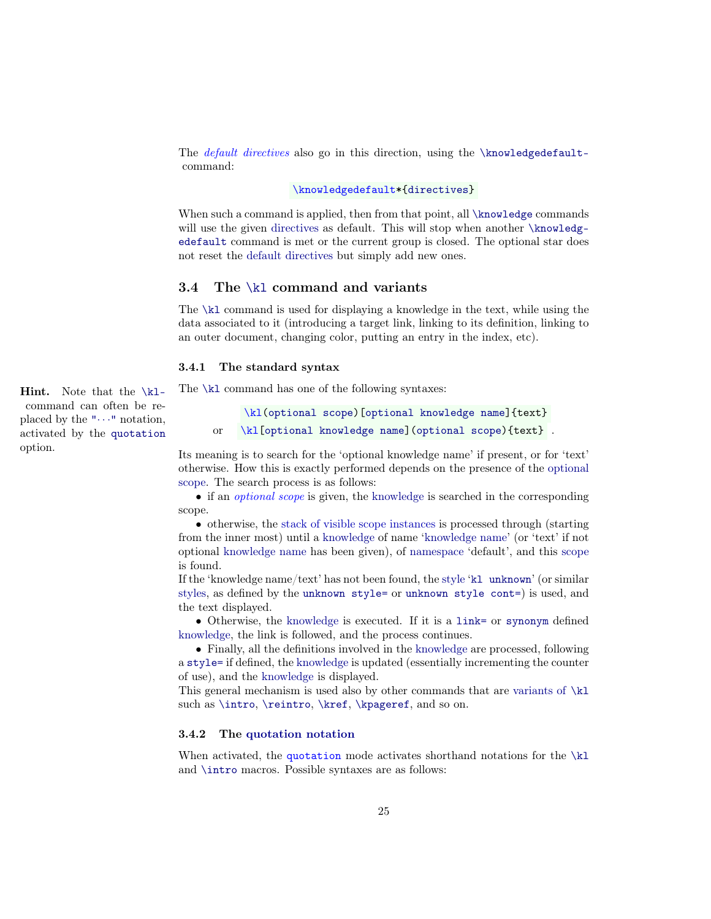The *default directives* also go in this direction, using the [\knowledgedefault](#page-23-1)command:

#### \knowledgedefault\*[{directives}](#page-18-3)

When such a command is applied, then from that point, all [\knowledge](#page-18-1) commands will use the given [directives](#page-18-3) as default. This will stop when another [\knowledg](#page-23-1)[edefault](#page-23-1) command is met or the current group is closed. The optional star does not reset the [default directives](#page-23-1) but simply add new ones.

### <span id="page-24-0"></span>3.4 The [\kl](#page-24-1) command and variants

The [\kl](#page-24-1) command is used for displaying a knowledge in the text, while using the data associated to it (introducing a target link, linking to its definition, linking to an outer document, changing color, putting an entry in the index, etc).

#### <span id="page-24-1"></span>3.4.1 The standard syntax

The [\kl](#page-24-1) command has one of the following syntaxes:

\kl[\(optional scope\)](#page-24-3)[\[optional knowledge name\]](#page-17-7){text} or \kl[\[optional knowledge name\]](#page-17-7)[\(optional scope\)](#page-24-3){text} .

Its meaning is to search for the 'optional knowledge name' if present, or for 'text' otherwise. How this is exactly performed depends on the presence of the [optional](#page-24-3) [scope.](#page-24-3) The search process is as follows:

<span id="page-24-3"></span>• if an *optional scope* is given, the [knowledge](#page-17-1) is searched in the corresponding scope.

• otherwise, the [stack of visible scope instances](#page-32-4) is processed through (starting from the inner most) until a [knowledge](#page-17-1) of name ['knowledge name'](#page-17-7) (or 'text' if not optional [knowledge name](#page-17-7) has been given), of [namespace](#page-17-6) 'default', and this [scope](#page-17-2) is found.

If the 'knowledge name/text' has not been found, the [style](#page-22-0) '[kl unknown](#page-22-4)' (or similar [styles,](#page-22-0) as defined by the [unknown style=](#page-27-0) or [unknown style cont=](#page-27-0)) is used, and the text displayed.

• Otherwise, the [knowledge](#page-17-1) is executed. If it is a [link=](#page-21-2) or [synonym](#page-21-0) defined [knowledge,](#page-17-1) the link is followed, and the process continues.

• Finally, all the definitions involved in the [knowledge](#page-17-1) are processed, following a [style=](#page-21-4) if defined, the [knowledge](#page-17-1) is updated (essentially incrementing the counter of use), and the [knowledge](#page-17-1) is displayed.

This general mechanism is used also by other commands that are [variants of](#page-26-1)  $\kappa$ such as [\intro](#page-38-0), [\reintro](#page-39-1), [\kref](#page-26-3), [\kpageref](#page-26-4), and so on.

#### <span id="page-24-2"></span>3.4.2 The [quotation notation](#page-24-2)

When activated, the quotation mode activates shorthand notations for the  $k$ and [\intro](#page-38-0) macros. Possible syntaxes are as follows:

Hint. Note that the [\kl](#page-24-1)command can often be replaced by the " $\cdots$ " notation, activated by the [quotation](#page-24-2) option.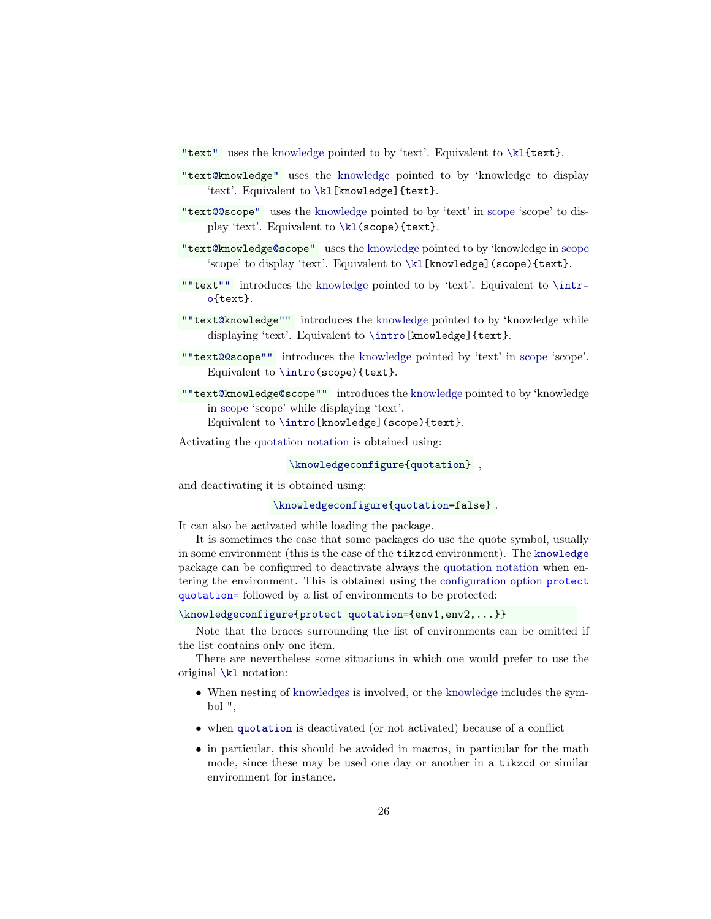- <span id="page-25-0"></span>["t](#page-24-2)ex[t"](#page-24-2) uses the [knowledge](#page-17-1) pointed to by 'text'. Equivalent to [\kl{](#page-24-1)text}.
- <span id="page-25-2"></span>["t](#page-24-2)ex[t@k](#page-24-2)nowledg[e"](#page-24-2) uses the [knowledge](#page-17-1) pointed to by 'knowledge to display 'text'. Equivalent to [\kl\[](#page-24-1)knowledge]{text}.
- ["t](#page-24-2)ex[t@@s](#page-24-2)cop[e"](#page-24-2) uses the [knowledge](#page-17-1) pointed to by 'text' in [scope](#page-17-2) 'scope' to dis-play 'text'. Equivalent to [\kl\(](#page-24-1)scope){text}.
- <span id="page-25-5"></span>["t](#page-24-2)ex[t@k](#page-24-2)nowledg[e@s](#page-24-2)cop[e"](#page-24-2) uses the [knowledge](#page-17-1) pointed to by 'knowledge in [scope](#page-17-2) 'scope' to display 'text'. Equivalent to [\kl\[](#page-24-1)knowledge](scope){text}.
- <span id="page-25-1"></span>[""t](#page-24-2)ex[t""](#page-24-2) introduces the [knowledge](#page-17-1) pointed to by 'text'. Equivalent to [\intr](#page-38-0)[o{](#page-38-0)text}.
- <span id="page-25-3"></span>[""t](#page-24-2)ex[t@k](#page-24-2)nowledg[e""](#page-24-2) introduces the [knowledge](#page-17-1) pointed to by 'knowledge while displaying 'text'. Equivalent to [\intro\[](#page-38-0)knowledge]{text}.
- [""t](#page-24-2)ex[t@@s](#page-24-2)cop[e""](#page-24-2) introduces the [knowledge](#page-17-1) pointed by 'text' in [scope](#page-17-2) 'scope'. Equivalent to [\intro\(](#page-38-0)scope){text}.
- <span id="page-25-6"></span>[""t](#page-24-2)ex[t@k](#page-24-2)nowledg[e@s](#page-24-2)cop[e""](#page-24-2) introduces the [knowledge](#page-17-1) pointed to by 'knowledge in [scope](#page-17-2) 'scope' while displaying 'text'.

Equivalent to [\intro\[](#page-38-0)knowledge](scope){text}.

Activating the [quotation notation](#page-24-2) is obtained using:

[\knowledgeconfigure{](#page-16-0)[quotation}](#page-24-2) ,

and deactivating it is obtained using:

[\knowledgeconfigure{](#page-16-0)[quotation=](#page-24-2)false} .

It can also be activated while loading the package.

<span id="page-25-4"></span>It is sometimes the case that some packages do use the quote symbol, usually in some environment (this is the case of the [tikzcd](#page-52-0) environment). The [knowledge](#page-0-0) package can be configured to deactivate always the [quotation notation](#page-24-2) when entering the environment. This is obtained using the [configuration option](#page-14-1) protect quotation= followed by a list of environments to be protected:

[\knowledgeconfigure{](#page-16-0)[protect quotation={](#page-25-4)env1,env2,...}}

Note that the braces surrounding the list of environments can be omitted if the list contains only one item.

There are nevertheless some situations in which one would prefer to use the original [\kl](#page-24-1) notation:

- When nesting of [knowledges](#page-17-1) is involved, or the [knowledge](#page-17-1) includes the symbol ",
- when [quotation](#page-24-2) is deactivated (or not activated) because of a conflict
- in particular, this should be avoided in macros, in particular for the math mode, since these may be used one day or another in a [tikzcd](#page-52-0) or similar environment for instance.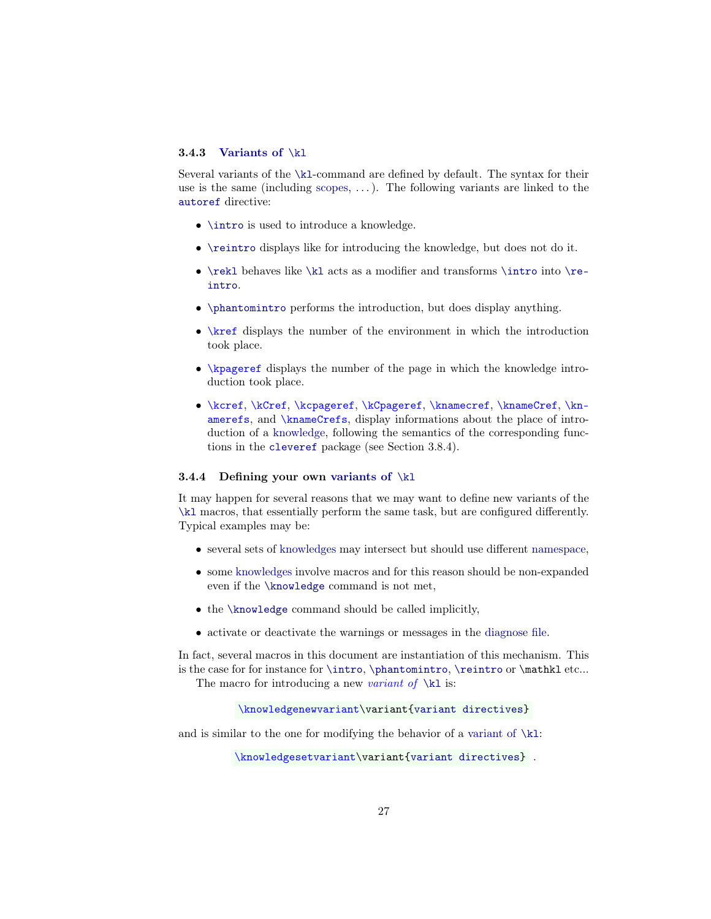### <span id="page-26-0"></span>3.4.3 [Variants of](#page-26-1) [\kl](#page-24-1)

Several variants of the [\kl](#page-24-1)-command are defined by default. The syntax for their use is the same (including [scopes,](#page-17-2)  $\dots$ ). The following variants are linked to the [autoref](#page-38-0) directive:

- **[\intro](#page-38-0)** is used to introduce a knowledge.
- $\bullet$  [\reintro](#page-39-1) displays like for introducing the knowledge, but does not do it.
- $\text{lehaves like }k1 acts as a modifier and transforms }intro into \re$ [intro](#page-39-1).
- [\phantomintro](#page-39-0) performs the introduction, but does display anything.
- <span id="page-26-3"></span>• \kref displays the number of the environment in which the introduction took place.
- <span id="page-26-4"></span>• \kpageref displays the number of the page in which the knowledge introduction took place.
- \kcref, \kCref, \kcpageref, \kCpageref, \knamecref, \knameCref, \knamerefs, and \knameCrefs, display informations about the place of introduction of a [knowledge,](#page-17-1) following the semantics of the corresponding functions in the [cleveref](https://www.ctan.org/pkg/cleveref) package (see Section [3.8.4\)](#page-43-0).

#### <span id="page-26-1"></span>3.4.4 Defining your own [variants of](#page-26-1)  $\kappa$

It may happen for several reasons that we may want to define new variants of the [\kl](#page-24-1) macros, that essentially perform the same task, but are configured differently. Typical examples may be:

- several sets of [knowledges](#page-17-1) may intersect but should use different [namespace,](#page-17-6)
- some [knowledges](#page-17-1) involve macros and for this reason should be non-expanded even if the [\knowledge](#page-18-1) command is not met,
- the [\knowledge](#page-18-1) command should be called implicitly,
- activate or deactivate the warnings or messages in the [diagnose file.](#page-36-0)

In fact, several macros in this document are instantiation of this mechanism. This is the case for for instance for [\intro](#page-38-0), [\phantomintro](#page-39-0), [\reintro](#page-39-1) or \mathkl etc...

<span id="page-26-2"></span>The macro for introducing a new variant of  $\kappa$  is:

```
\knowledgenewvariant\variant{variant directives}
```
and is similar to the one for modifying the behavior of a [variant of](#page-26-1)  $\kappa$ 1:

\knowledgesetvariant\variant[{variant directives}](#page-27-1) .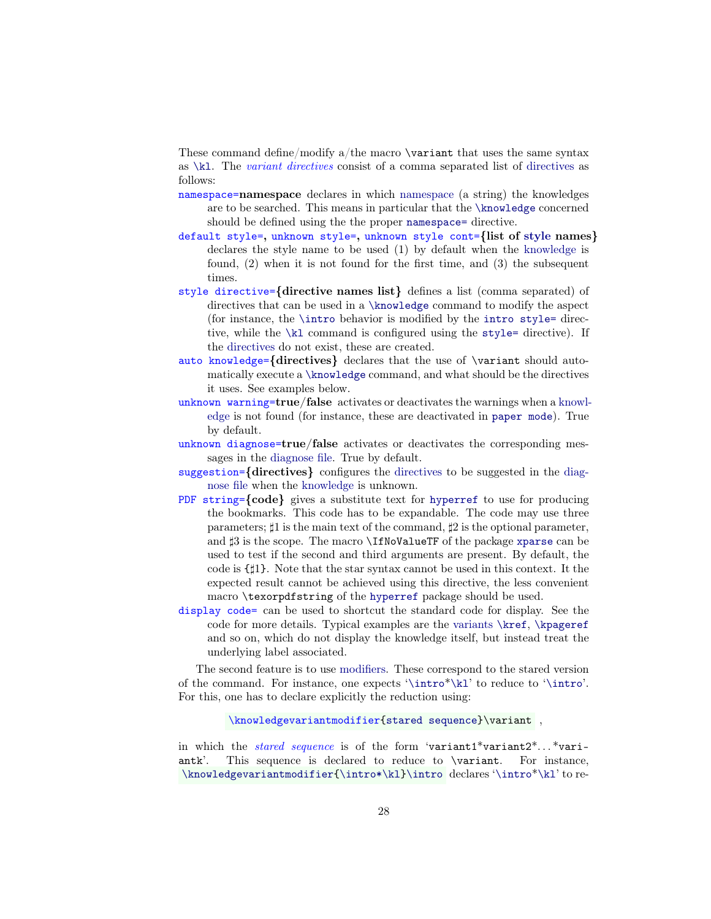<span id="page-27-1"></span>These command define/modify a/the macro  $\varphi$  that uses the same syntax as  $\kappa$ . The *variant [directives](#page-27-1)* consist of a comma separated list of directives as follows:

- <span id="page-27-4"></span>namespace=namespace declares in which [namespace](#page-17-6) (a string) the knowledges are to be searched. This means in particular that the [\knowledge](#page-18-1) concerned should be defined using the the proper [namespace=](#page-19-2) directive.
- <span id="page-27-0"></span>default style=, unknown style=, unknown style cont={list of [style](#page-22-0) names} declares the style name to be used (1) by default when the [knowledge](#page-17-1) is found, (2) when it is not found for the first time, and (3) the subsequent times.
- <span id="page-27-5"></span>style directive={directive names list} defines a list (comma separated) of directives that can be used in a [\knowledge](#page-18-1) command to modify the aspect (for instance, the [\intro](#page-38-0) behavior is modified by the [intro style=](#page-40-4) directive, while the [\kl](#page-24-1) command is configured using the [style=](#page-21-4) directive). If the directives do not exist, these are created.
- <span id="page-27-9"></span>auto knowledge={directives} declares that the use of \variant should automatically execute a [\knowledge](#page-18-1) command, and what should be the directives it uses. See examples below.
- <span id="page-27-6"></span>unknown warning=true/false activates or deactivates the warnings when a [knowl](#page-17-1)[edge](#page-17-1) is not found (for instance, these are deactivated in [paper mode](#page-14-6)). True by default.
- <span id="page-27-7"></span>unknown diagnose=true/false activates or deactivates the corresponding messages in the [diagnose file.](#page-36-0) True by default.
- <span id="page-27-8"></span>suggestion={directives} configures the directives to be suggested in the [diag](#page-36-0)[nose file](#page-36-0) when the [knowledge](#page-17-1) is unknown.
- PDF string={code} gives a substitute text for [hyperref](https://www.ctan.org/pkg/hyperref) to use for producing the bookmarks. This code has to be expandable. The code may use three parameters;  $\sharp 1$  is the main text of the command,  $\sharp 2$  is the optional parameter, and  $\sharp 3$  is the scope. The macro **\IfNoValueTF** of the package [xparse](https://www.ctan.org/pkg/xparse) can be used to test if the second and third arguments are present. By default, the code is {]1}. Note that the star syntax cannot be used in this context. It the expected result cannot be achieved using this directive, the less convenient macro \texorpdfstring of the [hyperref](https://www.ctan.org/pkg/hyperref) package should be used.
- display code= can be used to shortcut the standard code for display. See the code for more details. Typical examples are the [variants](#page-26-1) [\kref](#page-26-3), [\kpageref](#page-26-4) and so on, which do not display the knowledge itself, but instead treat the underlying label associated.

<span id="page-27-3"></span>The second feature is to use modifiers. These correspond to the stared version of the command. For instance, one expects '[\intro](#page-38-0)\*[\kl](#page-24-1)' to reduce to '[\intro](#page-38-0)'. For this, one has to declare explicitly the reduction using:

\knowledgevariantmodifier[{stared sequence}](#page-27-2)\variant ,

<span id="page-27-2"></span>in which the *stared sequence* is of the form 'variant1\*variant2\*...\*variantk'. This sequence is declared to reduce to \variant. For instance, [\knowledgevariantmodifier{](#page-27-3)[\intro\\*](#page-39-2)[\kl}](#page-24-1)[\intro](#page-38-0) declares '[\intro](#page-38-0)\*[\kl](#page-24-1)' to re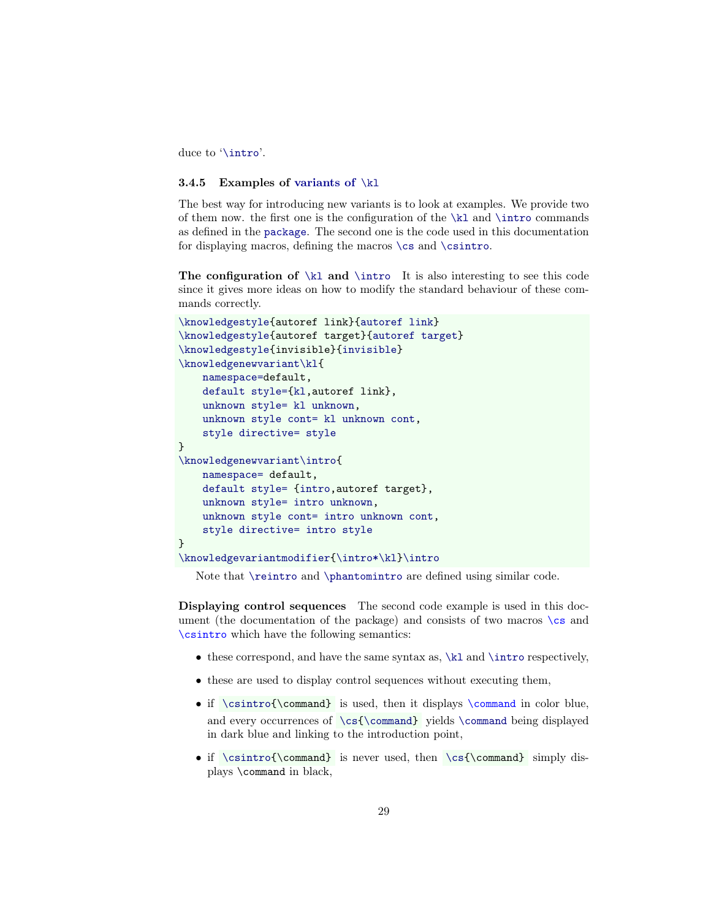duce to '[\intro](#page-38-0)'.

#### <span id="page-28-0"></span>3.4.5 Examples of [variants of](#page-26-1)  $\kappa$ l

The best way for introducing new variants is to look at examples. We provide two of them now. the first one is the configuration of the [\kl](#page-24-1) and [\intro](#page-38-0) commands as defined in the [package](#page-0-0). The second one is the code used in this documentation for displaying macros, defining the macros  $\csin$  $\csin$  and  $\csin$ 

The configuration of  $\kappa$  and  $\int$  It is also interesting to see this code since it gives more ideas on how to modify the standard behaviour of these commands correctly.

```
\knowledgestyle{autoref link}{autoref link}
\knowledgestyle{autoref target}{autoref target}
\knowledgestyle{invisible}{invisible}
\knowledgenewvariant\kl{
   namespace=default,
    default style={kl,autoref link},
   unknown style= kl unknown,
    unknown style cont= kl unknown cont,
    style directive= style
}
\knowledgenewvariant\intro{
   namespace= default,
   default style= {intro,autoref target},
    unknown style= intro unknown,
   unknown style cont= intro unknown cont,
    style directive= intro style
}
\knowledgevariantmodifier{\intro*\kl}\intro
```
Note that [\reintro](#page-39-1) and [\phantomintro](#page-39-0) are defined using similar code.

<span id="page-28-1"></span>Displaying control sequences The second code example is used in this document (the documentation of the package) and consists of two macros  $\csc$  and \csintro which have the following semantics:

- $\bullet$  these correspond, and have the same syntax as, [\kl](#page-24-1) and [\intro](#page-38-0) respectively,
- these are used to display control sequences without executing them,
- <span id="page-28-2"></span>• if [\csintro{](#page-28-1)\command} is used, then it displays \command in color blue, and every occurrences of [\cs](#page-28-1)[{\command}](#page-28-2) yields [\command](#page-28-2) being displayed in dark blue and linking to the introduction point,
- if [\csintro{](#page-28-1)\command} is never used, then [\cs{](#page-28-1)\command} simply displays \command in black,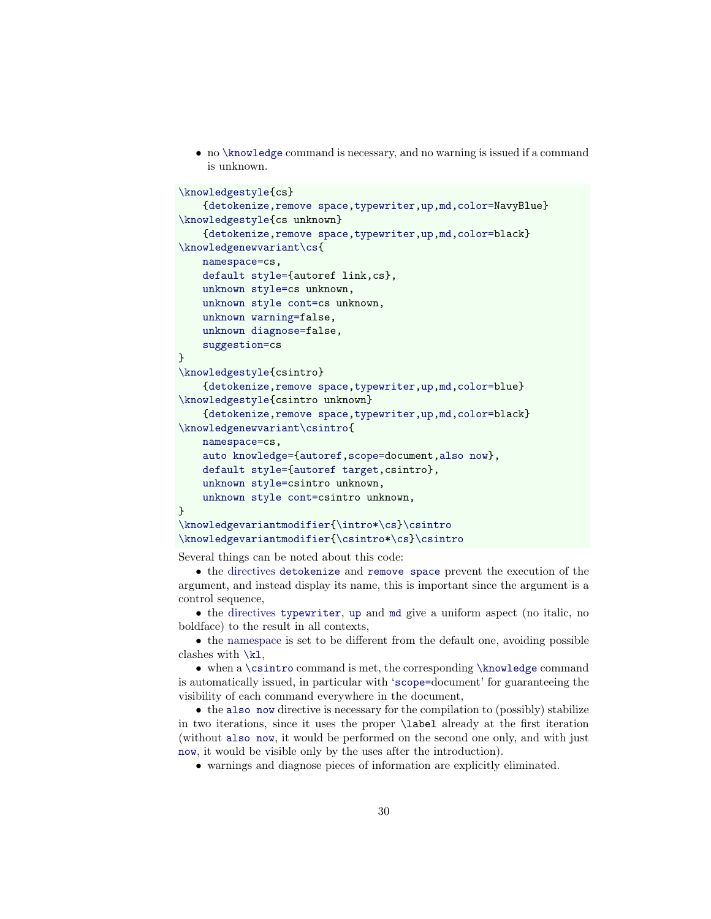• no [\knowledge](#page-18-1) command is necessary, and no warning is issued if a command is unknown.

```
\knowledgestyle{cs}
    {detokenize,remove space,typewriter,up,md,color=NavyBlue}
\knowledgestyle{cs unknown}
    {detokenize,remove space,typewriter,up,md,color=black}
\knowledgenewvariant\cs{
   namespace=cs,
    default style={autoref link,cs},
   unknown style=cs unknown,
   unknown style cont=cs unknown,
   unknown warning=false,
    unknown diagnose=false,
    suggestion=cs
}
\knowledgestyle{csintro}
    {detokenize,remove space,typewriter,up,md,color=blue}
\knowledgestyle{csintro unknown}
    {detokenize,remove space,typewriter,up,md,color=black}
\knowledgenewvariant\csintro{
   namespace=cs,
   auto knowledge={autoref,scope=document,also now},
   default style={autoref target,csintro},
    unknown style=csintro unknown,
    unknown style cont=csintro unknown,
}
\knowledgevariantmodifier{\intro*\cs}\csintro
\knowledgevariantmodifier{\csintro*\cs}\csintro
```
Several things can be noted about this code:

• the directives [detokenize](#page-21-6) and [remove space](#page-21-7) prevent the execution of the argument, and instead display its name, this is important since the argument is a control sequence,

• the directives [typewriter](#page-20-5), [up](#page-20-2) and [md](#page-20-4) give a uniform aspect (no italic, no boldface) to the result in all contexts,

• the [namespace](#page-17-6) is set to be different from the default one, avoiding possible clashes with [\kl](#page-24-1),

• when a [\csintro](#page-28-1) command is met, the corresponding [\knowledge](#page-18-1) command is automatically issued, in particular with '[scope=](#page-19-0)document' for guaranteeing the visibility of each command everywhere in the document,

• the [also now](#page-20-6) directive is necessary for the compilation to (possibly) stabilize in two iterations, since it uses the proper \label already at the first iteration (without [also now](#page-20-6), it would be performed on the second one only, and with just [now](#page-19-1), it would be visible only by the uses after the introduction).

• warnings and diagnose pieces of information are explicitly eliminated.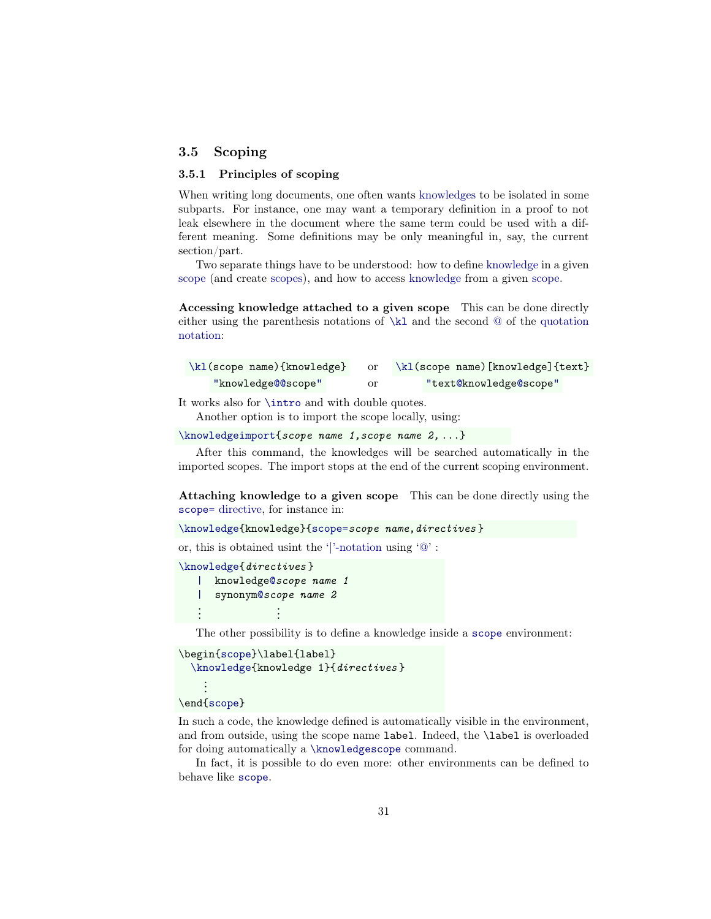# <span id="page-30-0"></span>3.5 Scoping

### <span id="page-30-1"></span>3.5.1 Principles of scoping

When writing long documents, one often wants [knowledges](#page-17-1) to be isolated in some subparts. For instance, one may want a temporary definition in a proof to not leak elsewhere in the document where the same term could be used with a different meaning. Some definitions may be only meaningful in, say, the current section/part.

Two separate things have to be understood: how to define [knowledge](#page-17-1) in a given [scope](#page-17-2) (and create [scopes\)](#page-17-2), and how to access [knowledge](#page-17-1) from a given [scope.](#page-17-2)

Accessing knowledge attached to a given scope This can be done directly either using the parenthesis notations of  $\kappa$  and the second  $\omega$  of the [quotation](#page-24-2) [notation:](#page-24-2)

| $\k1$ (scope name){knowledge} |    | \kl(scope name)[knowledge]{text} |
|-------------------------------|----|----------------------------------|
| "knowledge@@scope"            | or | "text@knowledge@scope"           |

It works also for [\intro](#page-38-0) and with double quotes.

Another option is to import the scope locally, using:

[\knowledgeimport{](#page-34-2)scope name 1,scope name 2, ...}

After this command, the knowledges will be searched automatically in the imported scopes. The import stops at the end of the current scoping environment.

Attaching knowledge to a given scope This can be done directly using the [scope=](#page-19-0) directive, for instance in:

```
\knowledge{{scope=scope name, directives }
```
or, this is obtained usint the ['|'-notation](#page-18-4) using ['@'](#page-18-4) :

[\knowledge{](#page-18-1)directives } [|](#page-18-4) knowledg[e@](#page-18-4)scope name 1 [|](#page-18-4) synony[m@](#page-18-4)scope name 2 . . . . . .

The other possibility is to define a knowledge inside a [scope](#page-32-3) environment:

```
\begin{scope}\label{label}
 \knowledge{knowledge 1}{directives }
    .
    .
```
#### . \end[{scope}](#page-32-3)

In such a code, the knowledge defined is automatically visible in the environment, and from outside, using the scope name label. Indeed, the \label is overloaded for doing automatically a [\knowledgescope](#page-33-2) command.

In fact, it is possible to do even more: other environments can be defined to behave like [scope](#page-32-3).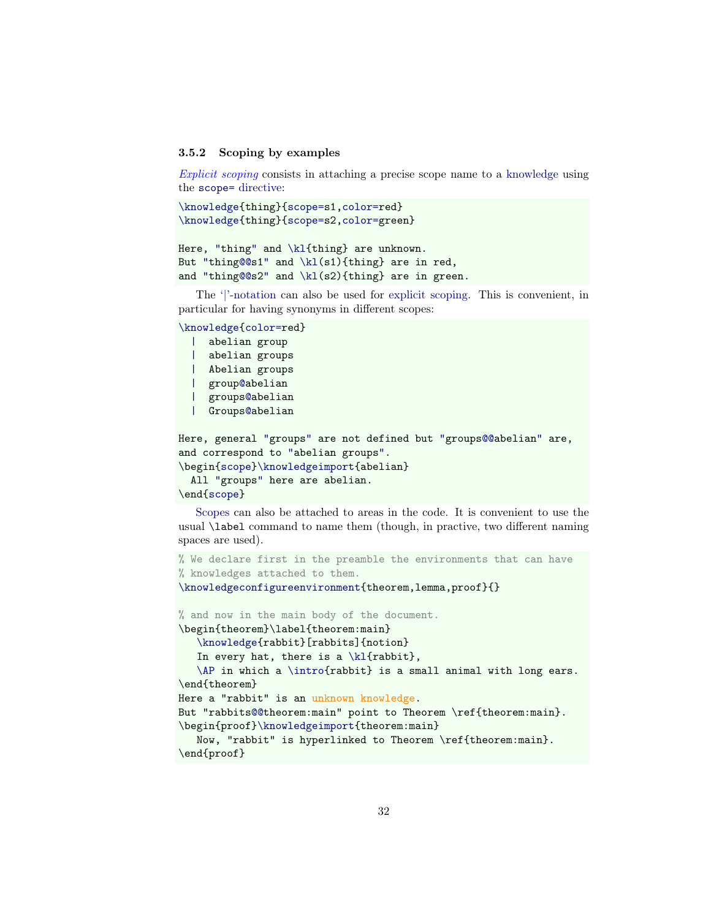#### <span id="page-31-0"></span>3.5.2 Scoping by examples

Explicit scoping consists in attaching a precise scope name to a [knowledge](#page-17-1) using the [scope=](#page-19-0) directive:

```
\knowledge{thing}{scope=s1,color=red}
\knowledge{thing}{scope=s2,color=green}
```

```
"tg"\kl{thing} are unknown.
"tg@@s1" and \kappa(\s1){thing} are in red,
"tg@@s2" and \kl(s2){thing} are in green.
```
The ['|'-notation](#page-18-4) can also be used for [explicit scoping.](#page-31-0) This is convenient, in particular for having synonyms in different scopes:

```
\knowledge{color=red}
```

```
| abelian group
 | abelian groups
 | Abelian groups
 | group@abelian
 | groups@abelian
 | Groups@abelian
Here, general "groups" are not defined but "groups@@abelian" are,
and correspond to "abelian groups".
\begin{scope}\knowledgeimport{abelian}
 All "groups" here are abelian.
\end{scope}
```
[Scopes](#page-17-2) can also be attached to areas in the code. It is convenient to use the usual \label command to name them (though, in practive, two different naming spaces are used).

```
% We declare first in the preamble the environments that can have
% knowledges attached to them.
\knowledgeconfigureenvironment{theorem,lemma,proof}{}
% and now in the main body of the document.
\begin{theorem}\label{theorem:main}
   \knowledge{rabbit}[rabbits]{notion}
   In every hat, there is a \k1\{rabbit\},
   \AP in which a \intro{rabbit} is a small animal with long ears.
\end{theorem}
Here a "rabbit" is an unknown knowledge.
s@@theorem:main" point to Theorem \ref{theorem:main}.
\begin{proof}\knowledgeimport{theorem:main}
   Now, "rabbit" is hyperlinked to Theorem \ref{theorem:main}.
\end{proof}
```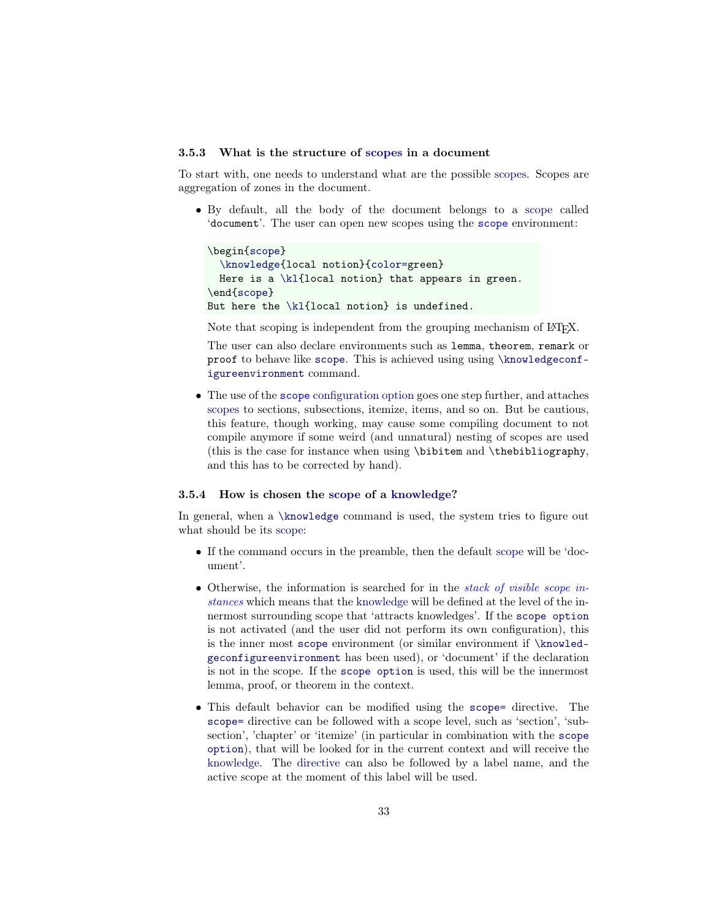#### <span id="page-32-0"></span>3.5.3 What is the structure of [scopes](#page-17-2) in a document

To start with, one needs to understand what are the possible [scopes.](#page-17-2) Scopes are aggregation of zones in the document.

<span id="page-32-3"></span>• By default, all the body of the document belongs to a [scope](#page-17-2) called 'document'. The user can open new scopes using the scope environment:

```
\begin{scope}
  \knowledge{local notion}{color=green}
  Here is a \kappa\kl{local notion} that appears in green.
\end{scope}
But here the \kl{local notion} is undefined.
```
Note that scoping is independent from the grouping mechanism of LAT<sub>EX</sub>.

The user can also declare environments such as lemma, theorem, remark or proof to behave like [scope](#page-32-3). This is achieved using using [\knowledgeconf](#page-34-1)[igureenvironment](#page-34-1) command.

<span id="page-32-2"></span>• The use of the scope [configuration option](#page-14-1) goes one step further, and attaches [scopes](#page-17-2) to sections, subsections, itemize, items, and so on. But be cautious, this feature, though working, may cause some compiling document to not compile anymore if some weird (and unnatural) nesting of scopes are used (this is the case for instance when using \bibitem and \thebibliography, and this has to be corrected by hand).

#### <span id="page-32-1"></span>3.5.4 How is chosen the [scope](#page-17-2) of a [knowledge?](#page-17-1)

In general, when a [\knowledge](#page-18-1) command is used, the system tries to figure out what should be its [scope:](#page-17-2)

- If the command occurs in the preamble, then the default [scope](#page-17-2) will be 'document'.
- <span id="page-32-4"></span>• Otherwise, the information is searched for in the *stack of visible scope in*stances which means that the [knowledge](#page-17-1) will be defined at the level of the innermost surrounding scope that 'attracts knowledges'. If the [scope option](#page-32-2) is not activated (and the user did not perform its own configuration), this is the inner most [scope](#page-32-3) environment (or similar environment if [\knowled](#page-34-1)[geconfigureenvironment](#page-34-1) has been used), or 'document' if the declaration is not in the scope. If the [scope option](#page-32-2) is used, this will be the innermost lemma, proof, or theorem in the context.
- This default behavior can be modified using the [scope=](#page-19-0) directive. The [scope=](#page-19-0) directive can be followed with a scope level, such as 'section', 'subsection', 'chapter' or 'itemize' (in particular in combination with the [scope](#page-32-2) [option](#page-32-2)), that will be looked for in the current context and will receive the [knowledge.](#page-17-1) The [directive](#page-18-3) can also be followed by a label name, and the active scope at the moment of this label will be used.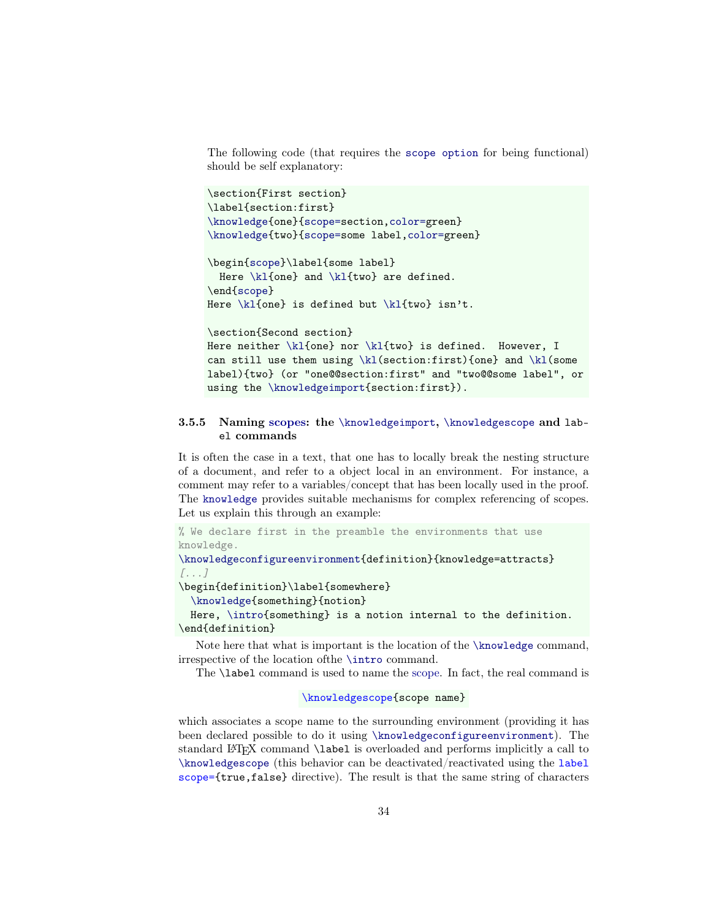The following code (that requires the [scope option](#page-32-2) for being functional) should be self explanatory:

```
\section{First section}
\label{section:first}
\knowledge{one}{scope=section,color=green}
\knowledge{two}{scope=some label,color=green}
```

```
\begin{scope}\label{some label}
  Here \k1{one} and \k1{two} are defined.
\end{scope}
Here \kappa is defined but \kappa (kl{two} isn't.
```

```
\section{Second section}
\kl{one} nor \kl{two} is defined. However, I
can still use them using \kappa \ (section:first){one} and \kappa \label){two} (or "one@@section:first" and "two@@some label", or
using the \knowledgeimport{section:first}).
```
### <span id="page-33-0"></span>3.5.5 Naming [scopes:](#page-17-2) the [\knowledgeimport](#page-34-2), [\knowledgescope](#page-33-2) and label commands

It is often the case in a text, that one has to locally break the nesting structure of a document, and refer to a object local in an environment. For instance, a comment may refer to a variables/concept that has been locally used in the proof. The [knowledge](#page-0-0) provides suitable mechanisms for complex referencing of scopes. Let us explain this through an example:

```
% We declare first in the preamble the environments that use
knowledge.
\knowledgeconfigureenvironment{definition}{knowledge=attracts}
[...]
\begin{definition}\label{somewhere}
  \knowledge{something}{notion}
 Here, \intro{something} is a notion internal to the definition.
\end{definition}
```
Note here that what is important is the location of the [\knowledge](#page-18-1) command, irrespective of the location ofthe [\intro](#page-38-0) command.

<span id="page-33-2"></span>The \label command is used to name the [scope.](#page-17-2) In fact, the real command is

```
\knowledgescope{scope name}
```
<span id="page-33-1"></span>which associates a scope name to the surrounding environment (providing it has been declared possible to do it using [\knowledgeconfigureenvironment](#page-34-1)). The standard LATEX command \label is overloaded and performs implicitly a call to [\knowledgescope](#page-33-2) (this behavior can be deactivated/reactivated using the label scope={true,false} directive). The result is that the same string of characters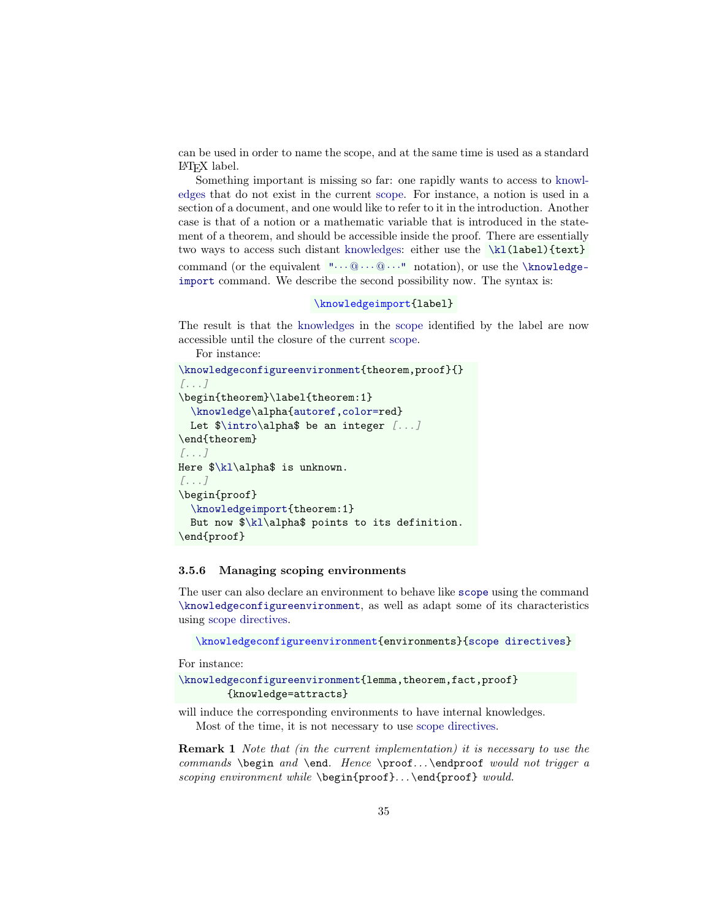can be used in order to name the scope, and at the same time is used as a standard LATEX label.

<span id="page-34-2"></span>Something important is missing so far: one rapidly wants to access to [knowl](#page-17-1)[edges](#page-17-1) that do not exist in the current [scope.](#page-17-2) For instance, a notion is used in a section of a document, and one would like to refer to it in the introduction. Another case is that of a notion or a mathematic variable that is introduced in the statement of a theorem, and should be accessible inside the proof. There are essentially two ways to access such distant [knowledges:](#page-17-1) either use the [\kl\(](#page-24-1)label){text} command (or the equivalent  $\cdots @ \cdots @ \cdots$  notation), or use the [\knowledge](#page-34-2)[import](#page-34-2) command. We describe the second possibility now. The syntax is:

#### \knowledgeimport{label}

The result is that the [knowledges](#page-17-1) in the [scope](#page-17-2) identified by the label are now accessible until the closure of the current [scope.](#page-17-2)

```
For instance:
\knowledgeconfigureenvironment{theorem,proof}{}
[...]
\begin{theorem}\label{theorem:1}
  \knowledge\alpha{autoref,color=red}
  Let \int \int \left| \phi \right| be an integer [...]
\end{theorem}
[...]
Here $\kl\alpha$ is unknown.
[...]
\begin{proof}
  \knowledgeimport{theorem:1}
  But now $\kl\alpha$ points to its definition.
\end{proof}
```
#### <span id="page-34-0"></span>3.5.6 Managing scoping environments

<span id="page-34-1"></span>The user can also declare an environment to behave like [scope](#page-32-3) using the command [\knowledgeconfigureenvironment](#page-34-1), as well as adapt some of its characteristics using [scope directives.](#page-35-1)

```
\knowledgeconfigureenvironment{environments}{scope directives}
```
For instance:

```
\knowledgeconfigureenvironment{lemma,theorem,fact,proof}
        {knowledge=attracts}
```
will induce the corresponding environments to have internal knowledges. Most of the time, it is not necessary to use [scope directives.](#page-35-1)

Remark 1 Note that (in the current implementation) it is necessary to use the commands \begin and \end. Hence \proof... \endproof would not trigger a scoping environment while \begin{proof}... \end{proof} would.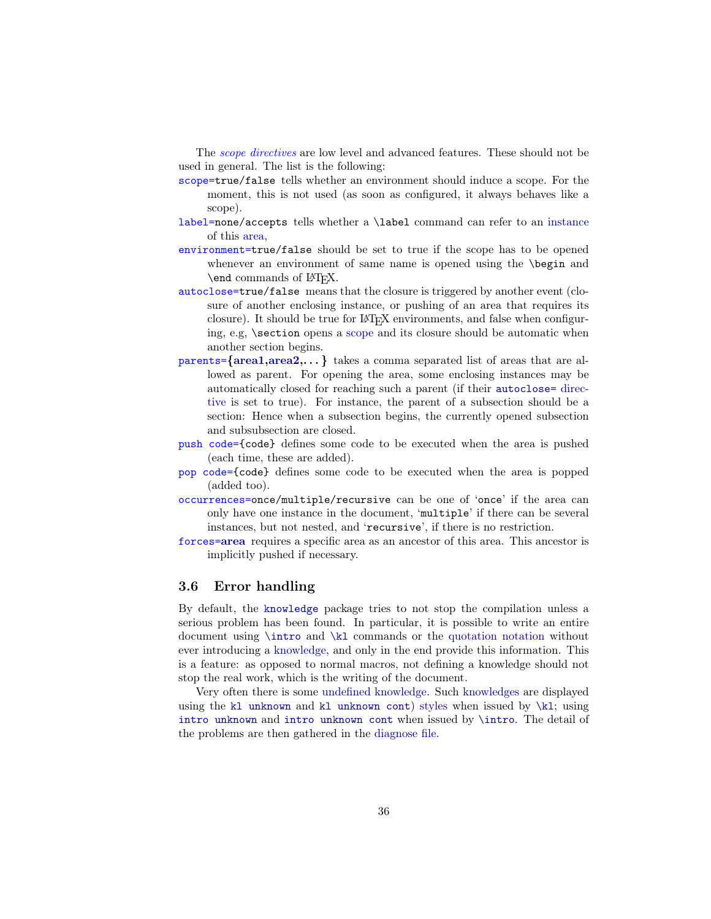<span id="page-35-1"></span>The *scope directives* are low level and advanced features. These should not be used in general. The list is the following:

- scope=true/false tells whether an environment should induce a scope. For the moment, this is not used (as soon as configured, it always behaves like a scope).
- label=none/accepts tells whether a \label command can refer to an instance of this area,
- environment=true/false should be set to true if the scope has to be opened whenever an environment of same name is opened using the **\begin** and \end commands of LAT<sub>EX</sub>.
- <span id="page-35-2"></span>autoclose=true/false means that the closure is triggered by another event (closure of another enclosing instance, or pushing of an area that requires its closure). It should be true for LAT<sub>EX</sub> environments, and false when configuring, e.g.  $\setminus$  section opens a [scope](#page-17-2) and its closure should be automatic when another section begins.
- parents={area1,area2,. . . } takes a comma separated list of areas that are allowed as parent. For opening the area, some enclosing instances may be automatically closed for reaching such a parent (if their [autoclose=](#page-35-2) [direc](#page-35-1)[tive](#page-35-1) is set to true). For instance, the parent of a subsection should be a section: Hence when a subsection begins, the currently opened subsection and subsubsection are closed.
- push code={code} defines some code to be executed when the area is pushed (each time, these are added).
- pop code={code} defines some code to be executed when the area is popped (added too).
- occurrences=once/multiple/recursive can be one of 'once' if the area can only have one instance in the document, 'multiple' if there can be several instances, but not nested, and 'recursive', if there is no restriction.
- forces=area requires a specific area as an ancestor of this area. This ancestor is implicitly pushed if necessary.

# <span id="page-35-0"></span>3.6 Error handling

By default, the [knowledge](#page-0-0) package tries to not stop the compilation unless a serious problem has been found. In particular, it is possible to write an entire document using [\intro](#page-38-0) and [\kl](#page-24-1) commands or the [quotation notation](#page-24-2) without ever introducing a [knowledge,](#page-17-1) and only in the end provide this information. This is a feature: as opposed to normal macros, not defining a knowledge should not stop the real work, which is the writing of the document.

Very often there is some [undefined knowledge.](#page-36-1) Such [knowledges](#page-17-1) are displayed using the [kl unknown](#page-22-4) and [kl unknown cont](#page-22-4)) [styles](#page-22-0) when issued by [\kl](#page-24-1); using [intro unknown](#page-22-6) and [intro unknown cont](#page-22-6) when issued by [\intro](#page-38-0). The detail of the problems are then gathered in the [diagnose file.](#page-36-0)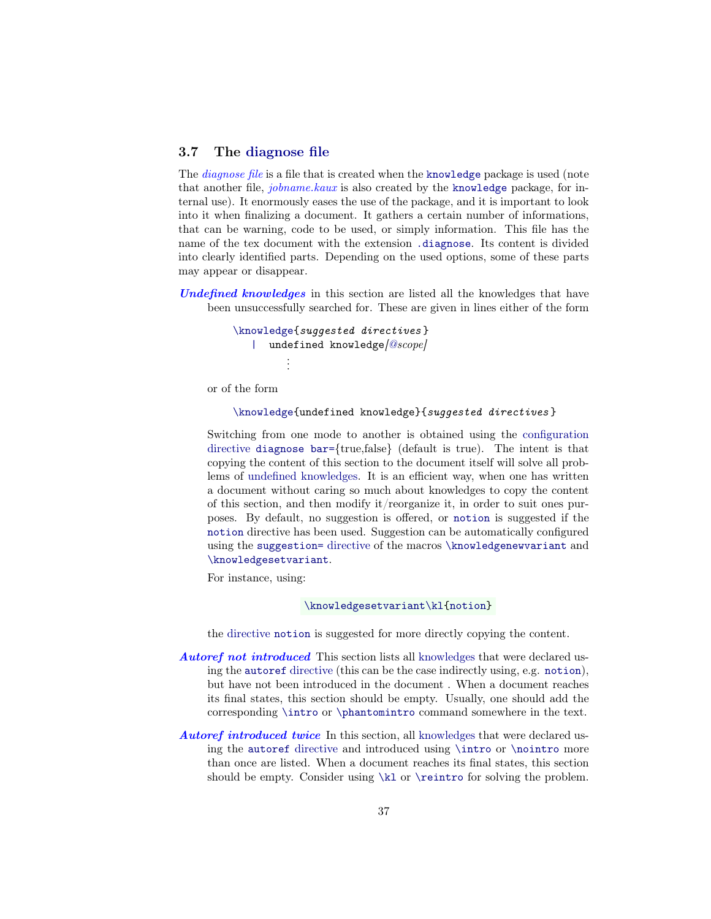### <span id="page-36-0"></span>3.7 The [diagnose file](#page-36-0)

The *diagnose file* is a file that is created when the [knowledge](#page-0-0) package is used (note that another file, jobname.kaux is also created by the [knowledge](#page-0-0) package, for internal use). It enormously eases the use of the package, and it is important to look into it when finalizing a document. It gathers a certain number of informations, that can be warning, code to be used, or simply information. This file has the name of the tex document with the extension [.diagnose](#page-36-0). Its content is divided into clearly identified parts. Depending on the used options, some of these parts may appear or disappear.

<span id="page-36-1"></span>Undefined knowledges in this section are listed all the knowledges that have been unsuccessfully searched for. These are given in lines either of the form

```
\knowledge{suggested directives }
  |[@scope]
       .
.
.
```
or of the form

[\knowledge{](#page-18-1)undefined knowledge}{suggested directives }

Switching from one mode to another is obtained using the [configuration](#page-16-0) [directive](#page-16-0) [diagnose bar=](#page-37-5){true,false} (default is true). The intent is that copying the content of this section to the document itself will solve all problems of [undefined knowledges.](#page-36-1) It is an efficient way, when one has written a document without caring so much about knowledges to copy the content of this section, and then modify it/reorganize it, in order to suit ones purposes. By default, no suggestion is offered, or [notion](#page-49-7) is suggested if the [notion](#page-49-4) directive has been used. Suggestion can be automatically configured using the [suggestion=](#page-27-8) [directive](#page-27-1) of the macros [\knowledgenewvariant](#page-26-2) and [\knowledgesetvariant](#page-26-2).

For instance, using:

[\knowledgesetvariant](#page-26-2)[\kl](#page-24-1)[{notion}](#page-49-7)

the directive [notion](#page-49-4) is suggested for more directly copying the content.

- Autoref not introduced This section lists all [knowledges](#page-17-1) that were declared using the [autoref](#page-38-0) [directive](#page-18-3) (this can be the case indirectly using, e.g. [notion](#page-49-7)), but have not been introduced in the document . When a document reaches its final states, this section should be empty. Usually, one should add the corresponding [\intro](#page-38-0) or [\phantomintro](#page-39-0) command somewhere in the text.
- Autoref introduced twice In this section, all [knowledges](#page-17-1) that were declared using the [autoref](#page-38-0) [directive](#page-18-3) and introduced using [\intro](#page-38-0) or [\nointro](#page-39-3) more than once are listed. When a document reaches its final states, this section should be empty. Consider using [\kl](#page-24-1) or [\reintro](#page-39-1) for solving the problem.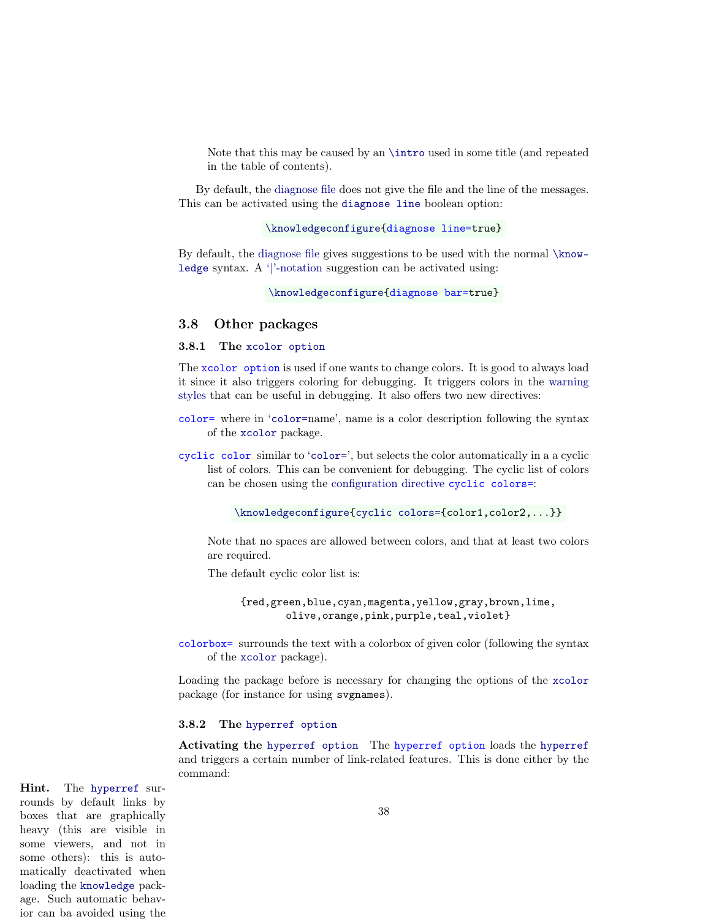Note that this may be caused by an [\intro](#page-38-0) used in some title (and repeated in the table of contents).

<span id="page-37-3"></span>By default, the [diagnose file](#page-36-0) does not give the file and the line of the messages. This can be activated using the [diagnose line](#page-37-3) boolean option:

```
\knowledgeconfigure{diagnose line=true}
```
<span id="page-37-5"></span>By default, the [diagnose file](#page-36-0) gives suggestions to be used with the normal [\know](#page-18-1)[ledge](#page-18-1) syntax. A ['|'-notation](#page-18-4) suggestion can be activated using:

```
\knowledgeconfigure{diagnose bar=true}
```
### <span id="page-37-0"></span>3.8 Other packages

### <span id="page-37-1"></span>3.8.1 The [xcolor option](#page-37-1)

The xcolor option is used if one wants to change colors. It is good to always load it since it also triggers coloring for debugging. It triggers colors in the [warning](#page-22-7) [styles](#page-22-7) that can be useful in debugging. It also offers two new directives:

- <span id="page-37-7"></span>color= where in '[color=](#page-37-7)name', name is a color description following the syntax of the [xcolor](https://www.ctan.org/pkg/xcolor) package.
- <span id="page-37-4"></span>cyclic color similar to '[color=](#page-37-7)', but selects the color automatically in a a cyclic list of colors. This can be convenient for debugging. The cyclic list of colors can be chosen using the [configuration directive](#page-16-0) cyclic colors=:

[\knowledgeconfigure](#page-16-0)[{cyclic colors={](#page-37-4)color1,color2,...}}

Note that no spaces are allowed between colors, and that at least two colors are required.

The default cyclic color list is:

{red,green,blue,cyan,magenta,yellow,gray,brown,lime, olive,orange,pink,purple,teal,violet}

<span id="page-37-8"></span>colorbox= surrounds the text with a colorbox of given color (following the syntax of the [xcolor](https://www.ctan.org/pkg/xcolor) package).

Loading the package before is necessary for changing the options of the [xcolor](https://www.ctan.org/pkg/xcolor) package (for instance for using svgnames).

#### <span id="page-37-2"></span>3.8.2 The [hyperref option](#page-37-6)

<span id="page-37-6"></span>Activating the [hyperref option](#page-37-6) The hyperref option loads the [hyperref](https://www.ctan.org/pkg/hyperref) and triggers a certain number of link-related features. This is done either by the command:

Hint. The [hyperref](https://www.ctan.org/pkg/hyperref) surrounds by default links by boxes that are graphically heavy (this are visible in some viewers, and not in some others): this is automatically deactivated when loading the [knowledge](#page-0-0) package. Such automatic behavior can ba avoided using the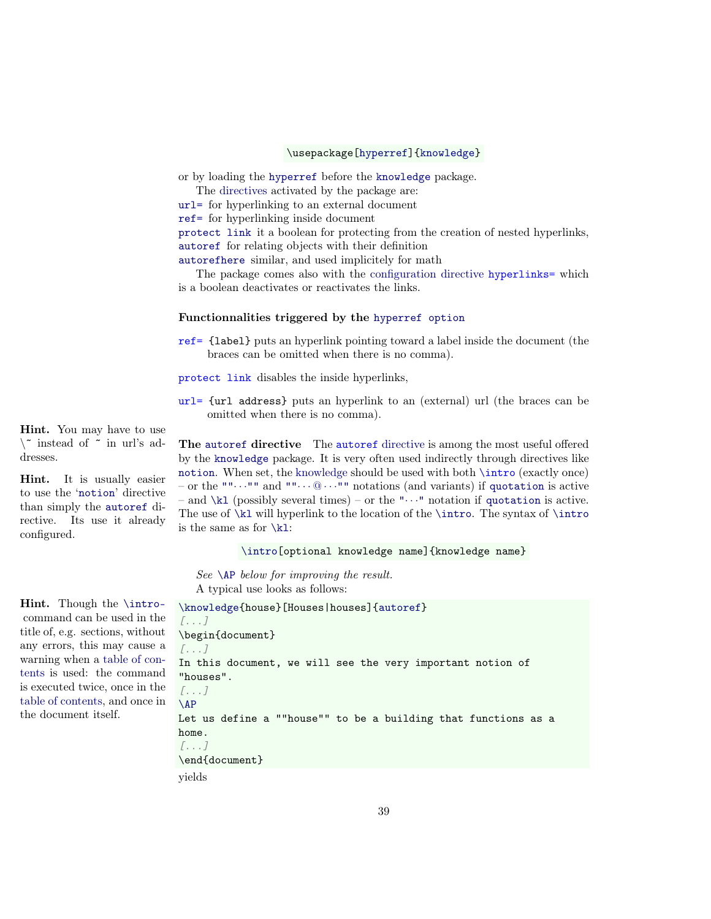#### \usepackage[\[hyperref\]](#page-37-6)[{knowledge}](#page-0-0)

or by loading the [hyperref](https://www.ctan.org/pkg/hyperref) before the [knowledge](#page-0-0) package.

The [directives](#page-18-3) activated by the package are:

[url=](#page-38-1) for hyperlinking to an external document

[ref=](#page-38-1) for hyperlinking inside document

[protect link](#page-38-1) it a boolean for protecting from the creation of nested hyperlinks, [autoref](#page-38-0) for relating objects with their definition

[autorefhere](#page-40-3) similar, and used implicitely for math

<span id="page-38-2"></span>The package comes also with the [configuration directive](#page-16-0) hyperlinks= which is a boolean deactivates or reactivates the links.

#### Functionnalities triggered by the [hyperref option](#page-37-6)

<span id="page-38-1"></span>ref= {label} puts an hyperlink pointing toward a label inside the document (the braces can be omitted when there is no comma).

protect link disables the inside hyperlinks,

url= {url address} puts an hyperlink to an (external) url (the braces can be omitted when there is no comma).

<span id="page-38-0"></span>The [autoref](#page-38-0) directive The autoref [directive](#page-18-3) is among the most useful offered by the [knowledge](#page-0-0) package. It is very often used indirectly through directives like [notion](#page-49-7). When set, the [knowledge](#page-17-1) should be used with both \intro (exactly once) – or the  $" " \cdots" "$  and  $" " \cdots @ \cdots" "$  notations (and variants) if [quotation](#page-24-2) is active – and  $\kappa$  (possibly several times) – or the " $\cdots$ " notation if [quotation](#page-24-2) is active. The use of  $\kappa$  will hyperlink to the location of the  $\int$ ntro. The syntax of  $\int$ ntro is the same as for  $\kappa$ 1:

#### [\intro\[](#page-38-0)optional knowledge name]{knowledge name}

See [\AP](#page-40-0) below for improving the result. A typical use looks as follows:

```
\knowledge{house}[Houses|houses]{autoref}
[...]
\begin{document}
[...]
In this document, we will see the very important notion of
"houses".
[...]
\AP
Let us define a ""house"" to be a building that functions as a
home.
[...]
\end{document}
```
yields

Hint. You may have to use  $\setminus$  instead of  $\tilde{ }$  in url's addresses.

Hint. It is usually easier to use the '[notion](#page-49-7)' directive than simply the [autoref](#page-38-0) directive. Its use it already configured.

Hint. Though the [\intro](#page-38-0)command can be used in the title of, e.g. sections, without any errors, this may cause a warning when a table of contents is used: the command is executed twice, once in the table of contents, and once in the document itself.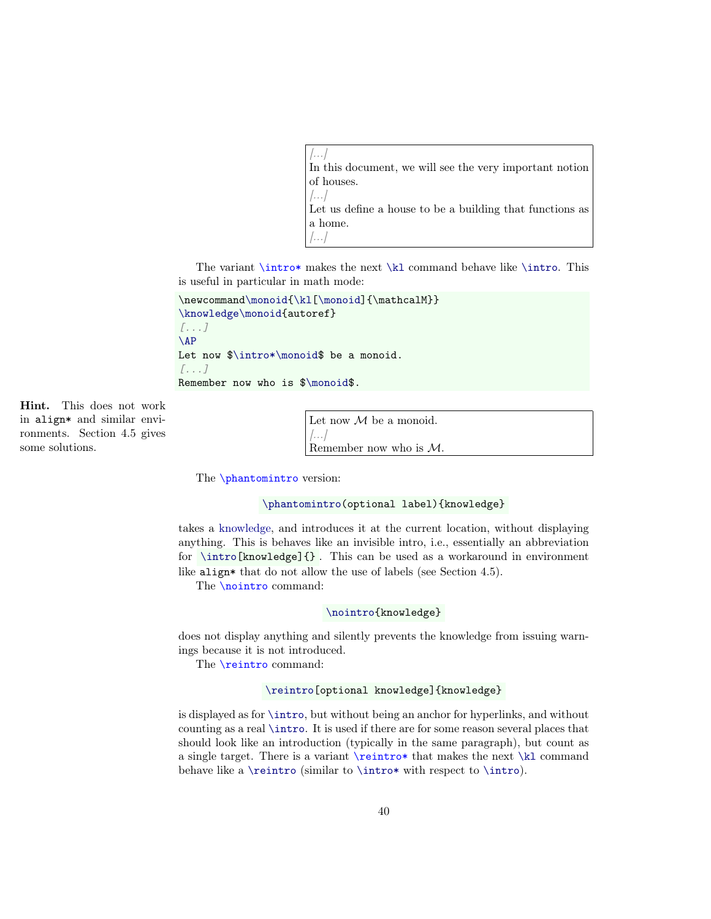[...] In this document, we will see the very important notion of [houses.](#page-39-4)  $|...|$ Let us define a house to be a building that functions as

 $\left| \ldots \right|$ The variant  $\int x \, dx$  makes the next  $\k$  command behave like  $\int x \, dx$ . This

<span id="page-39-2"></span>is useful in particular in math mode:

<span id="page-39-4"></span>a home.

```
{\kl[\monoid]{\mathcalM}}
\knowledge\monoid{autoref}
[...]
\AP
Let now \int_{\nonumber} let now \int_{\nonumber}[...]
Remember now who is $\monoid$.
```
Hint. This does not work in align\* and similar environments. Section [4.5](#page-52-1) gives some solutions.

<span id="page-39-5"></span>Let now  $\mathcal M$  be a monoid.  $\left[\ldots\right]$ Remember now who is [M](#page-39-5).

<span id="page-39-0"></span>The **\phantomintro** version:

### [\phantomintro\(](#page-39-0)optional label){knowledge}

takes a [knowledge,](#page-17-1) and introduces it at the current location, without displaying anything. This is behaves like an invisible intro, i.e., essentially an abbreviation for  $\int$ intro $[knovledge]{ }$ . This can be used as a workaround in environment like align\* that do not allow the use of labels (see Section [4.5\)](#page-52-1).

<span id="page-39-3"></span>The **\nointro** command:

#### [\nointro{](#page-39-3)knowledge}

does not display anything and silently prevents the knowledge from issuing warnings because it is not introduced.

<span id="page-39-1"></span>The \reintro command:

#### [\reintro\[](#page-39-1)optional knowledge]{knowledge}

is displayed as for [\intro](#page-38-0), but without being an anchor for hyperlinks, and without counting as a real [\intro](#page-38-0). It is used if there are for some reason several places that should look like an introduction (typically in the same paragraph), but count as a single target. There is a variant \reintro\* that makes the next [\kl](#page-24-1) command behave like a  $\reintro (similar to \intro* with respect to \intro).$  $\reintro (similar to \intro* with respect to \intro).$  $\reintro (similar to \intro* with respect to \intro).$  $\reintro (similar to \intro* with respect to \intro).$  $\reintro (similar to \intro* with respect to \intro).$  $\reintro (similar to \intro* with respect to \intro).$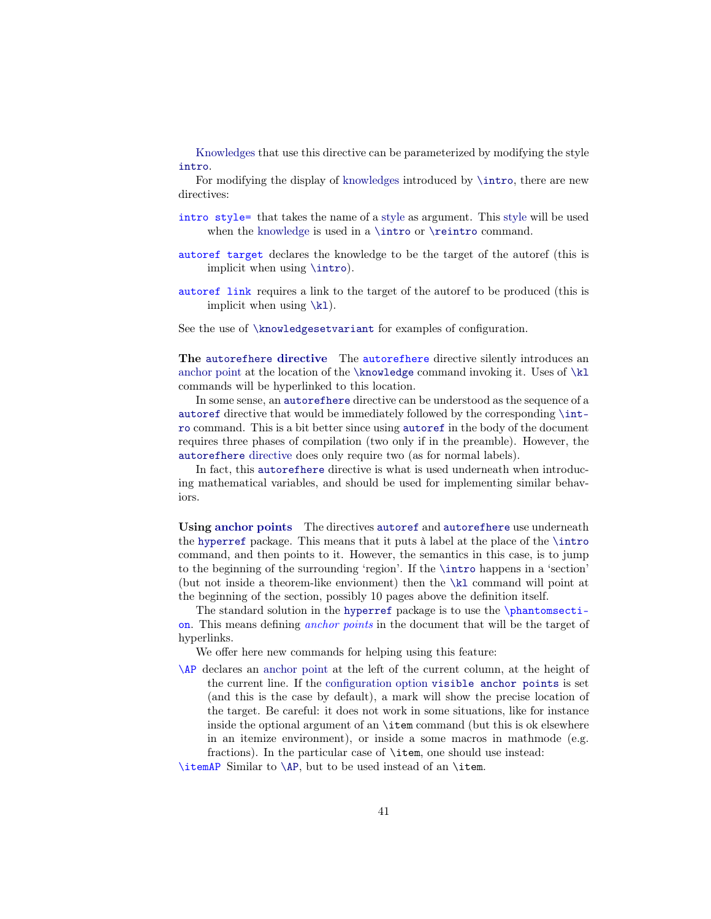[Knowledges](#page-17-1) that use this directive can be parameterized by modifying the style [intro](#page-22-3).

For modifying the display of [knowledges](#page-17-1) introduced by [\intro](#page-38-0), there are new directives:

- <span id="page-40-4"></span>intro style= that takes the name of a [style](#page-22-0) as argument. This [style](#page-22-0) will be used when the [knowledge](#page-17-1) is used in a [\intro](#page-38-0) or [\reintro](#page-39-1) command.
- <span id="page-40-6"></span>autoref target declares the knowledge to be the target of the autoref (this is implicit when using [\intro](#page-38-0)).
- <span id="page-40-5"></span>autoref link requires a link to the target of the autoref to be produced (this is implicit when using  $\kappa$ .

See the use of [\knowledgesetvariant](#page-26-2) for examples of configuration.

<span id="page-40-3"></span>The [autorefhere](#page-40-3) [directive](#page-18-3) The autorefhere directive silently introduces an [anchor point](#page-40-1) at the location of the  $\kappa$  command invoking it. Uses of  $\k$ commands will be hyperlinked to this location.

In some sense, an [autorefhere](#page-40-3) directive can be understood as the sequence of a [autoref](#page-38-0) directive that would be immediately followed by the corresponding [\int](#page-38-0)[ro](#page-38-0) command. This is a bit better since using [autoref](#page-38-0) in the body of the document requires three phases of compilation (two only if in the preamble). However, the [autorefhere](#page-40-3) [directive](#page-18-3) does only require two (as for normal labels).

In fact, this [autorefhere](#page-40-3) directive is what is used underneath when introducing mathematical variables, and should be used for implementing similar behaviors.

Using [anchor points](#page-40-1) The directives [autoref](#page-38-0) and [autorefhere](#page-40-3) use underneath the [hyperref](https://www.ctan.org/pkg/hyperref) package. This means that it puts à label at the place of the [\intro](#page-38-0) command, and then points to it. However, the semantics in this case, is to jump to the beginning of the surrounding 'region'. If the [\intro](#page-38-0) happens in a 'section' (but not inside a theorem-like envionment) then the [\kl](#page-24-1) command will point at the beginning of the section, possibly 10 pages above the definition itself.

<span id="page-40-1"></span>The standard solution in the [hyperref](https://www.ctan.org/pkg/hyperref) package is to use the \phantomsection. This means defining anchor points in the document that will be the target of hyperlinks.

We offer here new commands for helping using this feature:

<span id="page-40-0"></span>\AP declares an [anchor point](#page-40-1) at the left of the current column, at the height of the current line. If the [configuration option](#page-14-1) [visible anchor points](#page-41-0) is set (and this is the case by default), a mark will show the precise location of the target. Be careful: it does not work in some situations, like for instance inside the optional argument of an \item command (but this is ok elsewhere in an itemize environment), or inside a some macros in mathmode (e.g. fractions). In the particular case of \item, one should use instead:

<span id="page-40-2"></span>\itemAP Similar to [\AP](#page-40-0), but to be used instead of an \item.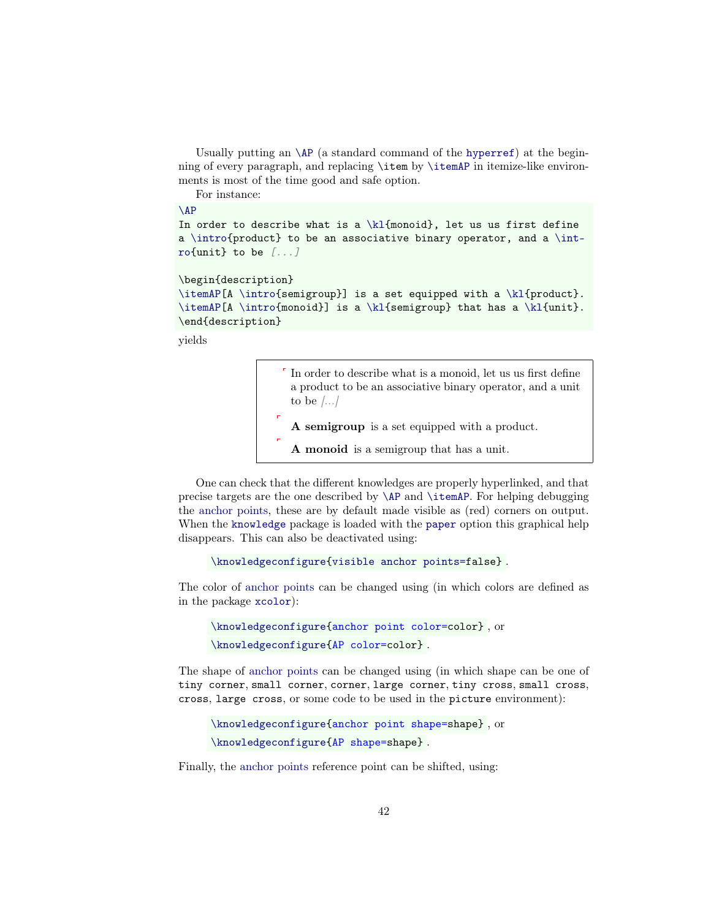Usually putting an  $\AP$  (a standard command of the [hyperref](https://www.ctan.org/pkg/hyperref)) at the beginning of every paragraph, and replacing \item by [\itemAP](#page-40-2) in itemize-like environments is most of the time good and safe option.

For instance:

 $\Lambda$ 

```
In order to describe what is a \kl{monoid}, let us us first define
a \intro{product} to be an associative binary operator, and a \int-
ro{unit} to be [...]
```

```
\begin{description}
```

```
\itemAP[A \intro{semigroup}] is a set equipped with a \kl{product}.
\itemAP[A \intro{monoid}] is a \kl{semigroup} that has a \kl{unit}.
\end{description}
```
yields

<span id="page-41-5"></span><span id="page-41-4"></span><span id="page-41-3"></span>In order to describe what is a [monoid,](#page-41-3) let us us first define a product to be an associative binary operator, and a unit to be  $|...|$ A semigroup is a set equipped with a [product.](#page-41-4) A monoid is a [semigroup](#page-41-5) that has a [unit.](#page-41-4)

<span id="page-41-0"></span>One can check that the different knowledges are properly hyperlinked, and that precise targets are the one described by [\AP](#page-40-0) and [\itemAP](#page-40-2). For helping debugging the [anchor points,](#page-40-1) these are by default made visible as (red) corners on output. When the [knowledge](#page-0-0) package is loaded with the [paper](#page-14-6) option this graphical help disappears. This can also be deactivated using:

```
\knowledgeconfigure{visible anchor points=false} .
```
<span id="page-41-2"></span>The color of [anchor points](#page-40-1) can be changed using (in which colors are defined as in the package [xcolor](https://www.ctan.org/pkg/xcolor)):

```
\knowledgeconfigure{anchor point color=color} , or
\knowledgeconfigure{AP color=color} .
```
<span id="page-41-1"></span>The shape of [anchor points](#page-40-1) can be changed using (in which shape can be one of tiny corner, small corner, corner, large corner, tiny cross, small cross, cross, large cross, or some code to be used in the picture environment):

```
\knowledgeconfigure{anchor point shape=shape} , or
\knowledgeconfigure{AP shape=shape} .
```
Finally, the [anchor points](#page-40-1) reference point can be shifted, using: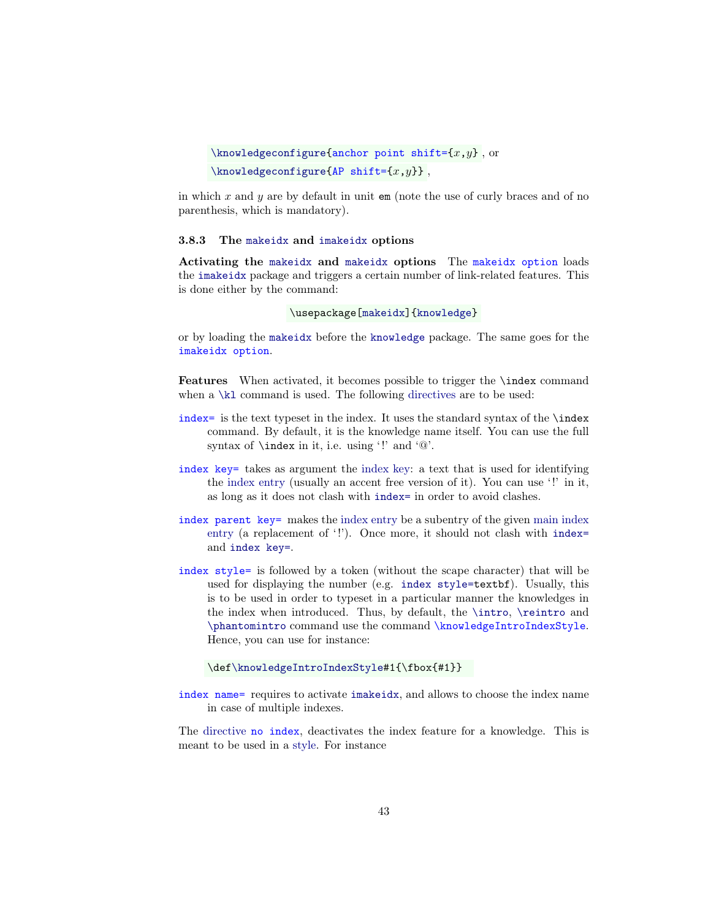```
\knowledgeconfigure{anchor point shift={x, y}, or
\hbox{\texttt{knowledge} configurations}
```
in which  $x$  and  $y$  are by default in unit  $em$  (note the use of curly braces and of no parenthesis, which is mandatory).

#### <span id="page-42-0"></span>3.8.3 The [makeidx](#page-42-1) and [imakeidx](#page-42-1) options

<span id="page-42-1"></span>Activating the [makeidx](#page-42-1) and [makeidx](#page-42-1) options The makeidx option loads the [imakeidx](https://www.ctan.org/pkg/imakeidx) package and triggers a certain number of link-related features. This is done either by the command:

#### \usepackage[\[makeidx\]](#page-42-1)[{knowledge}](#page-0-0)

or by loading the [makeidx](https://www.ctan.org/pkg/makeidx) before the [knowledge](#page-0-0) package. The same goes for the imakeidx option.

Features When activated, it becomes possible to trigger the **\index** command when a  $\kappa$  command is used. The following [directives](#page-18-3) are to be used:

- <span id="page-42-4"></span>index= is the text typeset in the index. It uses the standard syntax of the  $\hat{}$  index command. By default, it is the knowledge name itself. You can use the full syntax of \index in it, i.e. using '!' and '@'.
- <span id="page-42-5"></span>index key= takes as argument the index key: a text that is used for identifying the index entry (usually an accent free version of it). You can use '!' in it, as long as it does not clash with [index=](#page-42-4) in order to avoid clashes.
- <span id="page-42-7"></span>index parent key= makes the index entry be a subentry of the given main index entry (a replacement of '!'). Once more, it should not clash with indexand [index key=](#page-42-5).
- <span id="page-42-6"></span>index style= is followed by a token (without the scape character) that will be used for displaying the number (e.g. [index style=t](#page-42-6)extbf). Usually, this is to be used in order to typeset in a particular manner the knowledges in the index when introduced. Thus, by default, the [\intro](#page-38-0), [\reintro](#page-39-1) and [\phantomintro](#page-39-0) command use the command \knowledgeIntroIndexStyle. Hence, you can use for instance:

#### \de[f\knowledgeIntroIndexStyle#](#page-42-6)1{\fbox{#1}}

<span id="page-42-3"></span>index name= requires to activate [imakeidx](#page-42-1), and allows to choose the index name in case of multiple indexes.

<span id="page-42-2"></span>The directive no index, deactivates the index feature for a knowledge. This is meant to be used in a [style.](#page-22-0) For instance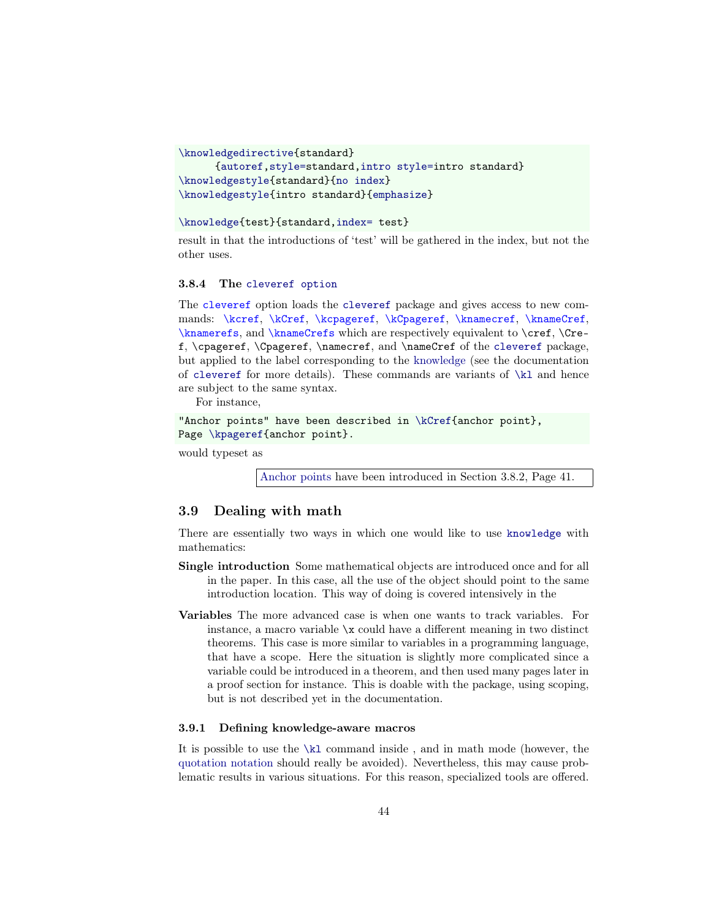```
\knowledgedirective{standard}
      {autoref,style=standard,intro style=intro standard}
\knowledgestyle{standard}{no index}
\knowledgestyle{intro standard}{emphasize}
```
#### [\knowledge{](#page-18-1)test}{standard[,index=](#page-42-4) test}

result in that the introductions of 'test' will be gathered in the index, but not the other uses.

#### <span id="page-43-0"></span>3.8.4 The [cleveref option](#page-43-0)

The cleveref option loads the [cleveref](https://www.ctan.org/pkg/cleveref) package and gives access to new commands: \kcref, \kCref, \kcpageref, \kCpageref, \knamecref, \knameCref, \knamerefs, and \knameCrefs which are respectively equivalent to \cref, \Cref, \cpageref, \Cpageref, \namecref, and \nameCref of the [cleveref](https://www.ctan.org/pkg/cleveref) package, but applied to the label corresponding to the [knowledge](#page-17-1) (see the documentation of [cleveref](https://www.ctan.org/pkg/cleveref) for more details). These commands are variants of [\kl](#page-24-1) and hence are subject to the same syntax.

For instance,

"Anchor points" have been described in [\kCref{](#page-43-0)anchor point}, Page [\kpageref{](#page-26-4)anchor point}.

would typeset as

[Anchor points](#page-40-1) have been introduced in Section [3.8.2,](#page-40-1) Page [41.](#page-40-1)

# <span id="page-43-1"></span>3.9 Dealing with math

There are essentially two ways in which one would like to use [knowledge](#page-0-0) with mathematics:

- Single introduction Some mathematical objects are introduced once and for all in the paper. In this case, all the use of the object should point to the same introduction location. This way of doing is covered intensively in the
- Variables The more advanced case is when one wants to track variables. For instance, a macro variable \x could have a different meaning in two distinct theorems. This case is more similar to variables in a programming language, that have a scope. Here the situation is slightly more complicated since a variable could be introduced in a theorem, and then used many pages later in a proof section for instance. This is doable with the package, using scoping, but is not described yet in the documentation.

# <span id="page-43-2"></span>3.9.1 Defining knowledge-aware macros

It is possible to use the [\kl](#page-24-1) command inside , and in math mode (however, the [quotation notation](#page-24-2) should really be avoided). Nevertheless, this may cause problematic results in various situations. For this reason, specialized tools are offered.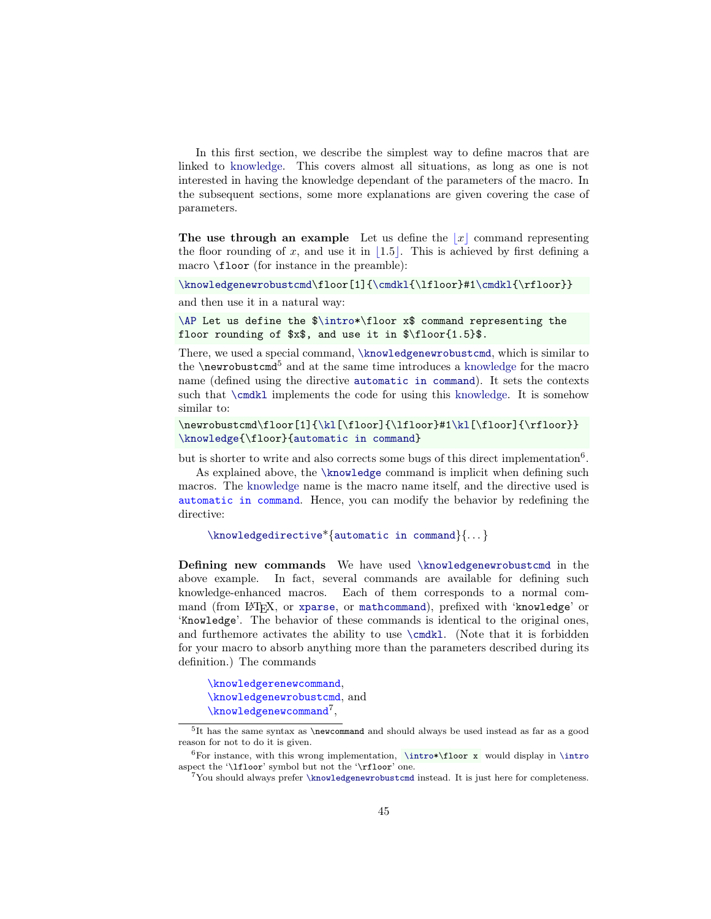In this first section, we describe the simplest way to define macros that are linked to [knowledge.](#page-17-1) This covers almost all situations, as long as one is not interested in having the knowledge dependant of the parameters of the macro. In the subsequent sections, some more explanations are given covering the case of parameters.

<span id="page-44-1"></span>The use through an example Let us define the  $|x|$  command representing the floor rounding of x, and use it in  $\vert 1.5\vert$ . This is achieved [b](#page-44-1)y first defining a macro \floor (for instance in the preamble):

[\knowledgenewrobustcmd\](#page-44-0)floor[1][{\cmdkl{](#page-45-0)\lfloor}#[1\cmdkl{](#page-45-0)\rfloor}}

and then use it in a natural way:

[\AP](#page-40-0) Let us define the [\\$\intro\\*](#page-38-0)\floor x\$ command representing the floor rounding of \$x\$, and use it in \$\floor{1.5}\$.

There, we used a special command, [\knowledgenewrobustcmd](#page-44-0), which is similar to the \newrobustcmd[5](#page-44-2) and at the same time introduces a [knowledge](#page-17-1) for the macro name (defined using the directive [automatic in command](#page-44-3)). It sets the contexts such that [\cmdkl](#page-45-0) implements the code for using this [knowledge.](#page-17-1) It is somehow similar to:

```
\newrobustcmd\floor[1]{\kl[\floor]{\lfloor}#1\kl[\floor]{\rfloor}}
\knowledge{\floor}{automatic in command}
```
but is shorter to write and also corrects some bugs of this direct implementation<sup>[6](#page-44-4)</sup>.

<span id="page-44-3"></span>As explained above, the [\knowledge](#page-18-1) command is implicit when defining such macros. The [knowledge](#page-17-1) name is the macro name itself, and the directive used is automatic in command. Hence, you can modify the behavior by redefining the directive:

```
\knowledgedirective*{automatic in command}{. . . }
```
Defining new commands We have used [\knowledgenewrobustcmd](#page-44-0) in the above example. In fact, several commands are available for defining such knowledge-enhanced macros. Each of them corresponds to a normal command (from LATEX, or [xparse](https://www.ctan.org/pkg/xparse), or [mathcommand](https://www.ctan.org/pkg/mathcommand)), prefixed with 'knowledge' or 'Knowledge'. The behavior of these commands is identical to the original ones, and furthemore activates the ability to use [\cmdkl](#page-45-0). (Note that it is forbidden for your macro to absorb anything more than the parameters described during its definition.) The commands

<span id="page-44-0"></span>\knowledgerenewcommand, \knowledgenewrobustcmd, and  $\hbox{\tt knowledgenewcommand}^7,$  $\hbox{\tt knowledgenewcommand}^7,$  $\hbox{\tt knowledgenewcommand}^7,$ 

<span id="page-44-2"></span><sup>5</sup> It has the same syntax as \newcommand and should always be used instead as far as a good reason for not to do it is given.

<span id="page-44-4"></span> $6$ For instance, with this wrong implementation, [\intro\\*](#page-38-0)\floor x would display in [\intro](#page-38-0) aspect the '\lfloor' symbol but not the '\rfloor' one.

<span id="page-44-5"></span><sup>7</sup>You should always prefer [\knowledgenewrobustcmd](#page-44-0) instead. It is just here for completeness.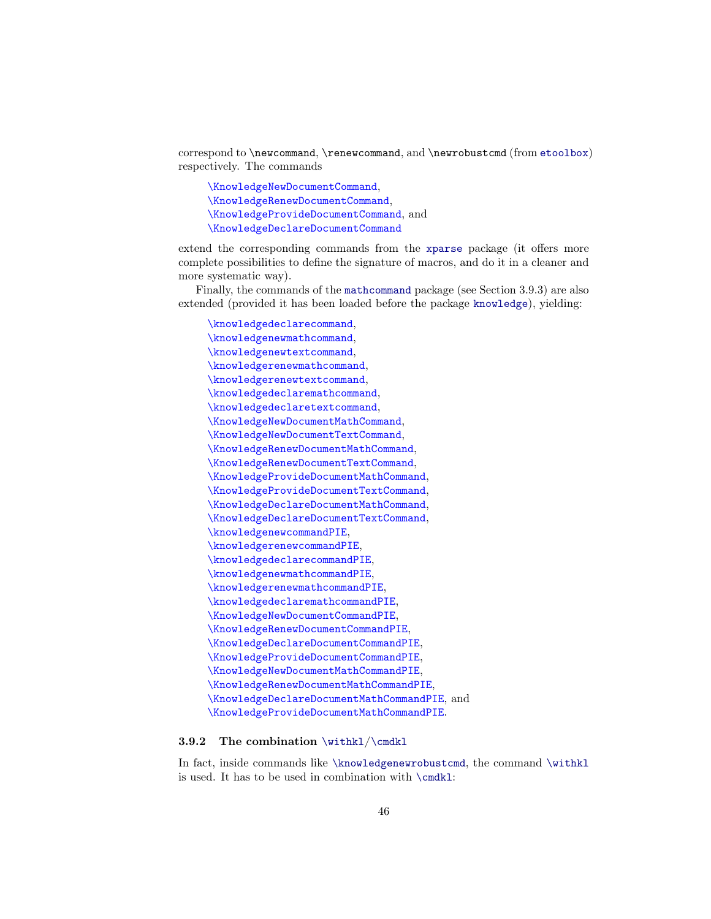correspond to \newcommand, \renewcommand, and \newrobustcmd (from [etoolbox](https://www.ctan.org/pkg/etoolbox)) respectively. The commands

\KnowledgeNewDocumentCommand, \KnowledgeRenewDocumentCommand, \KnowledgeProvideDocumentCommand, and \KnowledgeDeclareDocumentCommand

extend the corresponding commands from the [xparse](https://www.ctan.org/pkg/xparse) package (it offers more complete possibilities to define the signature of macros, and do it in a cleaner and more systematic way).

<span id="page-45-1"></span>Finally, the commands of the [mathcommand](https://www.ctan.org/pkg/mathcommand) package (see Section [3.9.3\)](#page-46-0) are also extended (provided it has been loaded before the package [knowledge](#page-0-0)), yielding:

\knowledgedeclarecommand, \knowledgenewmathcommand, \knowledgenewtextcommand, \knowledgerenewmathcommand, \knowledgerenewtextcommand, \knowledgedeclaremathcommand, \knowledgedeclaretextcommand, \KnowledgeNewDocumentMathCommand, \KnowledgeNewDocumentTextCommand, \KnowledgeRenewDocumentMathCommand, \KnowledgeRenewDocumentTextCommand, \KnowledgeProvideDocumentMathCommand, \KnowledgeProvideDocumentTextCommand, \KnowledgeDeclareDocumentMathCommand, \KnowledgeDeclareDocumentTextCommand, \knowledgenewcommandPIE, \knowledgerenewcommandPIE, \knowledgedeclarecommandPIE, \knowledgenewmathcommandPIE, \knowledgerenewmathcommandPIE, \knowledgedeclaremathcommandPIE, \KnowledgeNewDocumentCommandPIE, \KnowledgeRenewDocumentCommandPIE, \KnowledgeDeclareDocumentCommandPIE, \KnowledgeProvideDocumentCommandPIE, \KnowledgeNewDocumentMathCommandPIE, \KnowledgeRenewDocumentMathCommandPIE, \KnowledgeDeclareDocumentMathCommandPIE, and \KnowledgeProvideDocumentMathCommandPIE.

#### <span id="page-45-0"></span>3.9.2 The combination  $\width{withk1/\cmdk1}$

In fact, inside commands like [\knowledgenewrobustcmd](#page-44-0), the command [\withkl](#page-45-0) is used. It has to be used in combination with [\cmdkl](#page-45-0):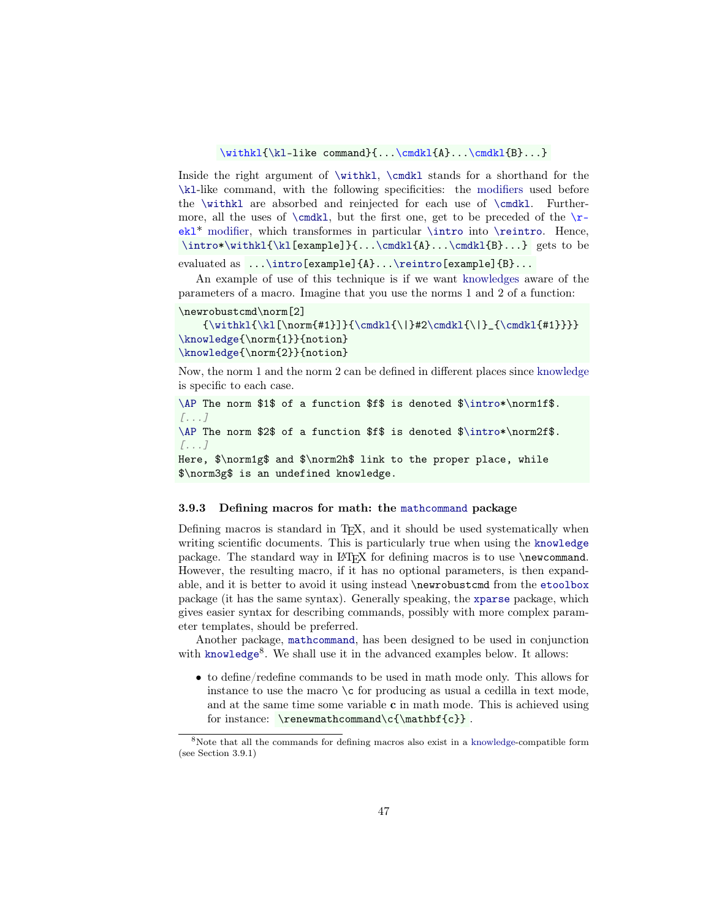#### \withkl[{\kl-](#page-24-1)like command}{...\cmdkl{A}...\cmdkl{B}...}

Inside the right argument of [\withkl](#page-45-0), [\cmdkl](#page-45-0) stands for a shorthand for the [\kl](#page-24-1)-like command, with the following specificities: the modifiers used before the [\withkl](#page-45-0) are absorbed and reinjected for each use of [\cmdkl](#page-45-0). Furthermore, all the uses of  $\end{math}$ , but the first one, get to be preceded of the  $\r$ ekl\* modifier, which transformes in particular [\intro](#page-38-0) into [\reintro](#page-39-1). Hence, [\intro](#page-38-0)[\\*\withkl{](#page-45-0)[\kl\[](#page-24-1)example]}{..[.\cmdkl{](#page-45-0)A}..[.\cmdkl{](#page-45-0)B}...} gets to be

#### evaluated as ... \intro[example]{A}... \reintro[example]{B}...

An example of use of this technique is if we want [knowledges](#page-17-1) aware of the parameters of a macro. Imagine that you use the norms 1 and 2 of a function:

```
\newrobustcmd\norm[2]
```

```
{\withk1{\lambda}[\normal{#1}]}{\cmdk1{\{\!\}}#2\cmdk1{\{\!\}}_{\cmdk1{\#1}}\}\knowledge{\norm{1}}{notion}
\knowledge{\norm{2}}{notion}
```
Now, the norm 1 and the norm 2 can be defined in different places since [knowledge](#page-17-1) is specific to each case.

[\AP](#page-40-0) The norm \$1\$ of a function \$f\$ is denoted [\\$\intro\\*](#page-38-0)\norm1f\$. [...] [\AP](#page-40-0) The norm \$2\$ of a function \$f\$ is denoted [\\$\intro\\*](#page-38-0)\norm2f\$. [...] Here, \$\norm1g\$ and \$\norm2h\$ link to the proper place, while

\$\norm3g\$ is an undefined knowledge.

#### <span id="page-46-0"></span>3.9.3 Defining macros for math: the [mathcommand](https://www.ctan.org/pkg/mathcommand) package

Defining macros is standard in T<sub>E</sub>X, and it should be used systematically when writing scientific documents. This is particularly true when using the [knowledge](#page-0-0) package. The standard way in LATEX for defining macros is to use \newcommand. However, the resulting macro, if it has no optional parameters, is then expandable, and it is better to avoid it using instead \newrobustcmd from the [etoolbox](https://www.ctan.org/pkg/etoolbox) package (it has the same syntax). Generally speaking, the [xparse](https://www.ctan.org/pkg/xparse) package, which gives easier syntax for describing commands, possibly with more complex parameter templates, should be preferred.

Another package, [mathcommand](https://www.ctan.org/pkg/mathcommand), has been designed to be used in conjunction with [knowledge](#page-0-0)<sup>[8](#page-46-1)</sup>. We shall use it in the advanced examples below. It allows:

• to define/redefine commands to be used in math mode only. This allows for instance to use the macro \c for producing as usual a cedilla in text mode, and at the same time some variable  $c$  in math mode. This is achieved using for instance:  $\remathcommand\c{\mathbf{c}}$ .

<span id="page-46-1"></span><sup>8</sup>Note that all the commands for defining macros also exist in a [knowledge-](#page-17-1)compatible form (see Section [3.9.1\)](#page-43-2)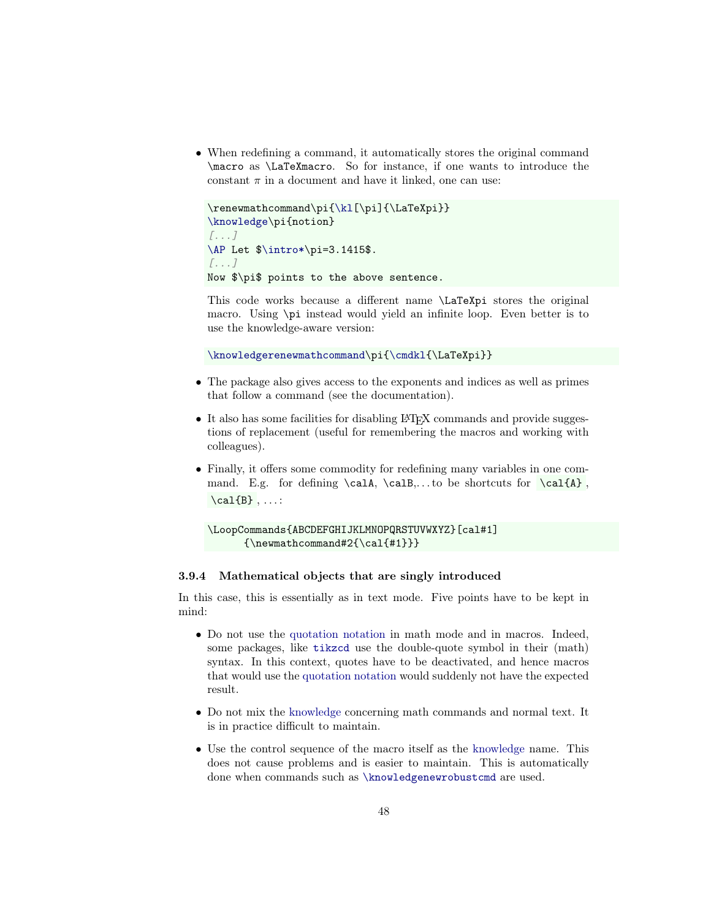• When redefining a command, it automatically stores the original command \macro as \LaTeXmacro. So for instance, if one wants to introduce the constant  $\pi$  in a document and have it linked, one can use:

```
{\kl[\pi]{\LaTeXpi}}
\knowledge\pi{notion}
[...]
\AP Let $\intro*\pi=3.1415$.
[...]
Now $\pi$ points to the above sentence.
```
This code works because a different name \LaTeXpi stores the original macro. Using \pi instead would yield an infinite loop. Even better is to use the knowledge-aware version:

[\knowledgerenewmathcommand\](#page-45-1)pi[{\cmdkl{](#page-45-0)\LaTeXpi}}

- The package also gives access to the exponents and indices as well as primes that follow a command (see the documentation).
- It also has some facilities for disabling LAT<sub>EX</sub> commands and provide suggestions of replacement (useful for remembering the macros and working with colleagues).
- Finally, it offers some commodity for redefining many variables in one command. E.g. for defining  $\cal A, \cal B, \ldots$  be shortcuts for  $\cal A$  ,  $\cal$ al{B}, ...:

```
\LoopCommands{ABCDEFGHIJKLMNOPQRSTUVWXYZ}[cal#1]
      {\n    newmath command #2{\cal{+1}}\}
```
#### <span id="page-47-0"></span>3.9.4 Mathematical objects that are singly introduced

In this case, this is essentially as in text mode. Five points have to be kept in mind:

- Do not use the [quotation notation](#page-24-2) in math mode and in macros. Indeed, some packages, like [tikzcd](https://www.ctan.org/pkg/tikz-cd) use the double-quote symbol in their (math) syntax. In this context, quotes have to be deactivated, and hence macros that would use the [quotation notation](#page-24-2) would suddenly not have the expected result.
- Do not mix the [knowledge](#page-17-1) concerning math commands and normal text. It is in practice difficult to maintain.
- Use the control sequence of the macro itself as the [knowledge](#page-17-1) name. This does not cause problems and is easier to maintain. This is automatically done when commands such as [\knowledgenewrobustcmd](#page-44-0) are used.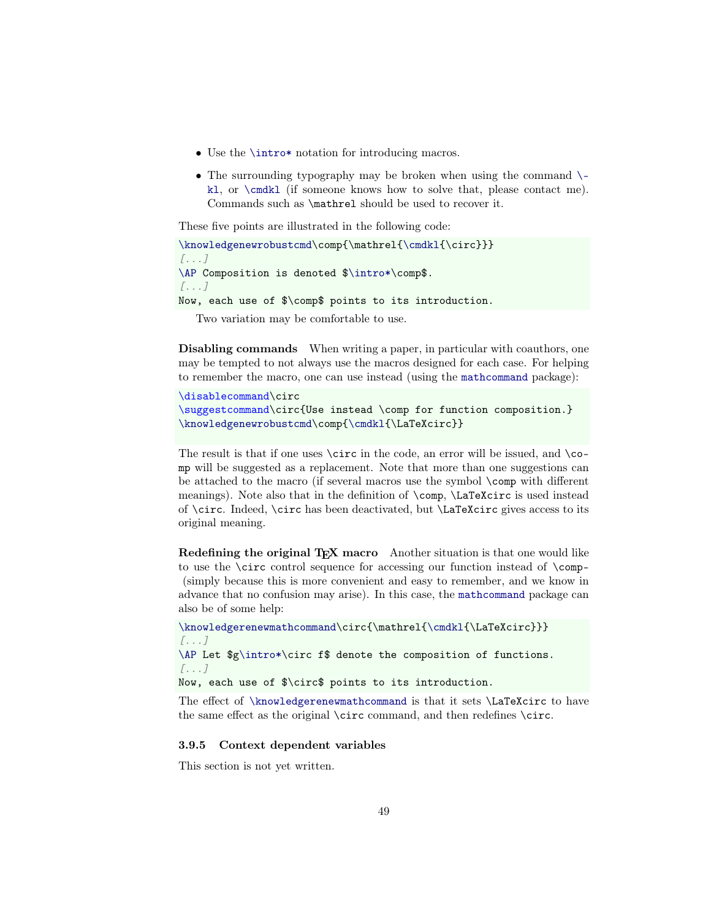- Use the **[\intro\\*](#page-39-2)** notation for introducing macros.
- The surrounding typography may be broken when using the command  $\setminus$ [kl](#page-24-1), or [\cmdkl](#page-45-0) (if someone knows how to solve that, please contact me). Commands such as \mathrel should be used to recover it.

These five points are illustrated in the following code:

```
\knowledgenewrobustcmd\{\cmdkl{\circ}}}
[...]
\AP Composition is denoted $\intro*\comp$.
[...]
Now, each use of $\comp$ points to its introduction.
```
Two variation may be comfortable to use.

Disabling commands When writing a paper, in particular with coauthors, one may be tempted to not always use the macros designed for each case. For helping to remember the macro, one can use instead (using the [mathcommand](https://www.ctan.org/pkg/mathcommand) package):

```
\disablecommand\circ
\suggestcommand\circ{Use instead \comp for function composition.}
\knowledgenewrobustcmd\comp{\cmdkl{\LaTeXcirc}}
```
The result is that if one uses  $\circ$  in the code, an error will be issued, and  $\circ$ mp will be suggested as a replacement. Note that more than one suggestions can be attached to the macro (if several macros use the symbol \comp with different meanings). Note also that in the definition of \comp, \LaTeXcirc is used instead of  $\circ$ . Indeed,  $\circ$  has been deactivated, but  $\L{aTeXcirc}$  gives access to its original meaning.

Redefining the original TEX macro Another situation is that one would like to use the \circ control sequence for accessing our function instead of \comp- (simply because this is more convenient and easy to remember, and we know in advance that no confusion may arise). In this case, the [mathcommand](https://www.ctan.org/pkg/mathcommand) package can also be of some help:

```
\knowledgerenewmathcommand\{\cmdkl{\LaTeXcirc}}}
[...]
\AP Let $g\intro*\circ f$ denote the composition of functions.
[...]
```
Now, each use of \$\circ\$ points to its introduction.

The effect of [\knowledgerenewmathcommand](#page-45-1) is that it sets \LaTeXcirc to have the same effect as the original \circ command, and then redefines \circ.

### <span id="page-48-0"></span>3.9.5 Context dependent variables

This section is not yet written.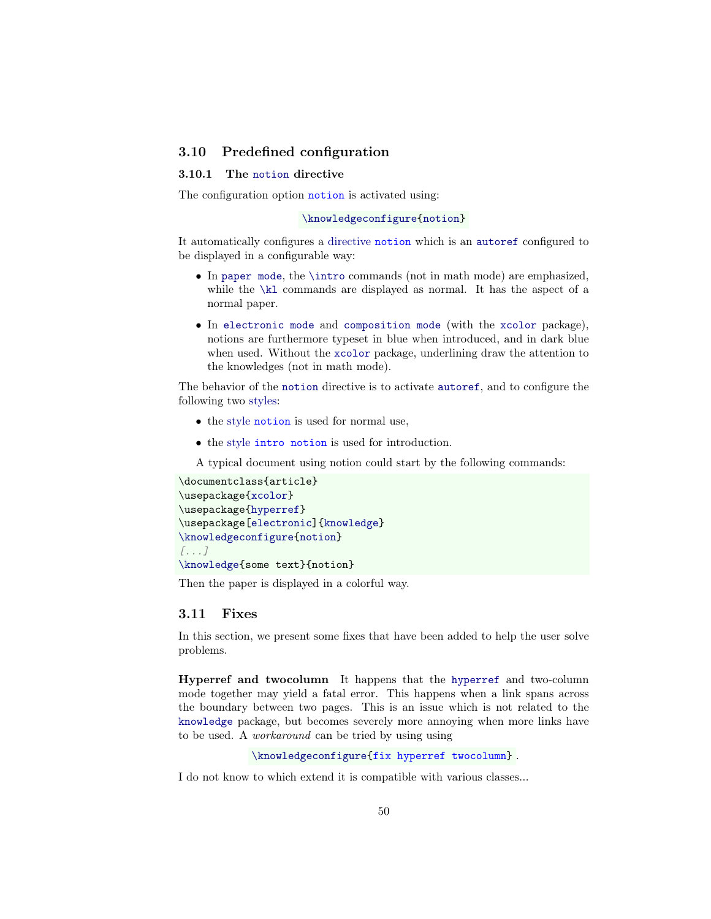# <span id="page-49-0"></span>3.10 Predefined configuration

### <span id="page-49-1"></span>3.10.1 The [notion](#page-49-4) directive

<span id="page-49-4"></span>The configuration option **notion** is activated using:

#### [\knowledgeconfigure{](#page-16-0)[notion}](#page-49-4)

<span id="page-49-7"></span>It automatically configures a [directive](#page-18-3) notion which is an [autoref](#page-38-0) configured to be displayed in a configurable way:

- In [paper mode](#page-14-6), the [\intro](#page-38-0) commands (not in math mode) are emphasized, while the  $\kappa$  commands are displayed as normal. It has the aspect of a normal paper.
- In [electronic mode](#page-14-5) and [composition mode](#page-14-4) (with the [xcolor](https://www.ctan.org/pkg/xcolor) package), notions are furthermore typeset in blue when introduced, and in dark blue when used. Without the [xcolor](https://www.ctan.org/pkg/xcolor) package, underlining draw the attention to the knowledges (not in math mode).

The behavior of the [notion](#page-49-7) directive is to activate [autoref](#page-38-0), and to configure the following two [styles:](#page-22-0)

- <span id="page-49-5"></span>• the [style](#page-22-0) notion is used for normal use,
- <span id="page-49-6"></span>• the [style](#page-22-0) intro notion is used for introduction.

A typical document using notion could start by the following commands:

```
\documentclass{article}
\usepackage{xcolor}
\usepackage{hyperref}
\usepackage[electronic]{knowledge}
\knowledgeconfigure{notion}
[...]
\knowledge{some text}{notion}
```
Then the paper is displayed in a colorful way.

#### <span id="page-49-2"></span>3.11 Fixes

In this section, we present some fixes that have been added to help the user solve problems.

<span id="page-49-3"></span>Hyperref and twocolumn It happens that the [hyperref](https://www.ctan.org/pkg/hyperref) and two-column mode together may yield a fatal error. This happens when a link spans across the boundary between two pages. This is an issue which is not related to the [knowledge](#page-0-0) package, but becomes severely more annoying when more links have to be used. A workaround can be tried by using using

```
\knowledgeconfigure{fix hyperref twocolumn} .
```
I do not know to which extend it is compatible with various classes...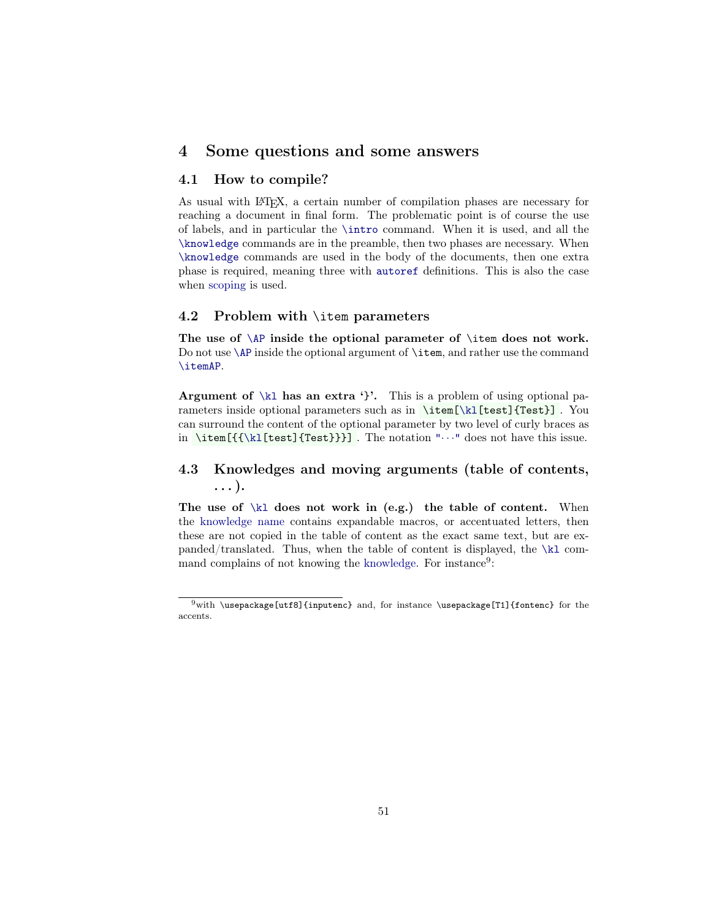# <span id="page-50-0"></span>4 Some questions and some answers

# <span id="page-50-1"></span>4.1 How to compile?

As usual with LATEX, a certain number of compilation phases are necessary for reaching a document in final form. The problematic point is of course the use of labels, and in particular the [\intro](#page-38-0) command. When it is used, and all the [\knowledge](#page-18-1) commands are in the preamble, then two phases are necessary. When [\knowledge](#page-18-1) commands are used in the body of the documents, then one extra phase is required, meaning three with [autoref](#page-38-0) definitions. This is also the case when [scoping](#page-30-0) is used.

### <span id="page-50-2"></span>4.2 Problem with \item parameters

The use of  $\AP$  inside the optional parameter of  $\item$  does not work. Do not use  $\AP$  inside the optional argument of  $\item$ , and rather use the command [\itemAP](#page-40-2).

Argument of  $\kappa$ l has an extra '}'. This is a problem of using optional parameters inside optional parameters such as in \item[\[\kl\[](#page-24-1)test]{Test}] . You can surround the content of the optional parameter by two level of curly braces as in  $\item[{\{\kappa1[test]\{Test\}}\}].$  The notation " $\cdots$ " does not have this issue.

# <span id="page-50-3"></span>4.3 Knowledges and moving arguments (table of contents, . . . ).

The use of  $\kappa$  does not work in (e.g.) the table of content. When the [knowledge name](#page-17-7) contains expandable macros, or accentuated letters, then these are not copied in the table of content as the exact same text, but are expanded/translated. Thus, when the table of content is displayed, the [\kl](#page-24-1) command complains of not knowing the [knowledge.](#page-17-1) For instance<sup>[9](#page-50-4)</sup>:

<span id="page-50-4"></span> $9$ with \usepackage[utf8]{inputenc} and, for instance \usepackage[T1]{fontenc} for the accents.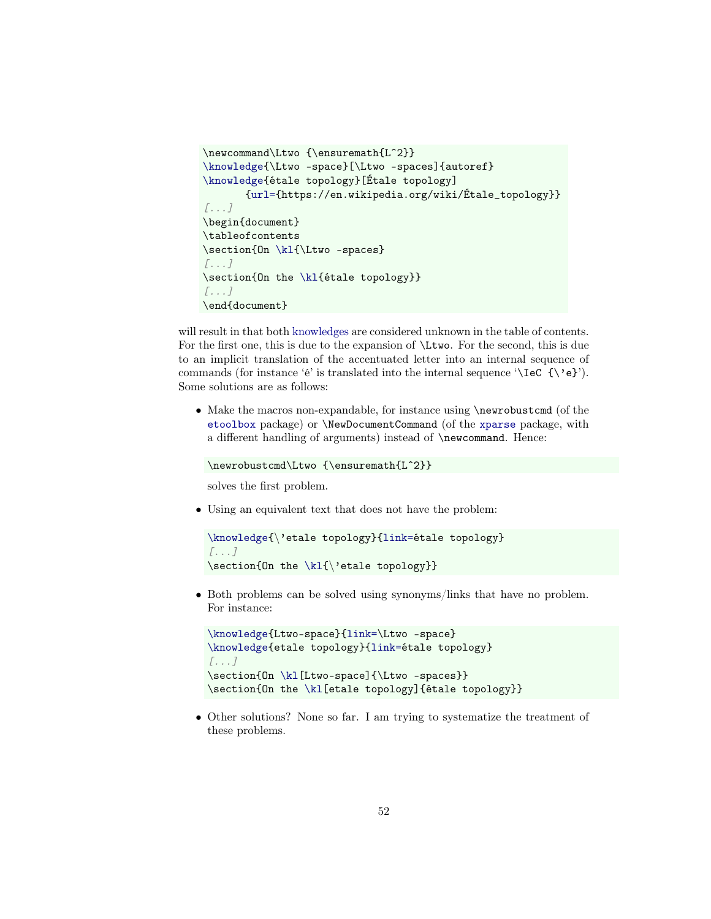```
\newcommand\Ltwo {\ensuremath{Lˆ2}}
\knowledge{\Ltwo -space}[\Ltwo -spaces]{autoref}
\knowledge{étale topology}[Étale topology]
       {url={https://en.wikipedia.org/wiki/Étale_topology}}
[...]
\begin{document}
\tableofcontents
\section{On \kl{\Ltwo -spaces}
[...]
\section{On the \kl{étale topology}}
[...]
\end{document}
```
will result in that both [knowledges](#page-17-1) are considered unknown in the table of contents. For the first one, this is due to the expansion of \Ltwo. For the second, this is due to an implicit translation of the accentuated letter into an internal sequence of commands (for instance 'é' is translated into the internal sequence ' $\{e'\}\$ '). Some solutions are as follows:

• Make the macros non-expandable, for instance using **\newrobustcmd** (of the [etoolbox](https://www.ctan.org/pkg/etoolbox) package) or \NewDocumentCommand (of the [xparse](https://www.ctan.org/pkg/xparse) package, with a different handling of arguments) instead of \newcommand. Hence:

```
\newrobustcmd\Ltwo {\ensuremath{Lˆ2}}
```
solves the first problem.

• Using an equivalent text that does not have the problem:

```
\knowledge{\'etale topology}{link=étale topology}
[...]
\section{On the \kl{\'etale topology}}
```
• Both problems can be solved using synonyms/links that have no problem. For instance:

```
\knowledge{Ltwo-space}{link=\Ltwo -space}
\knowledge{etale topology}{link=étale topology}
[...]
\section{On \kl[Ltwo-space]{\Ltwo -spaces}}
\section{On the \kl[etale topology]{étale topology}}
```
• Other solutions? None so far. I am trying to systematize the treatment of these problems.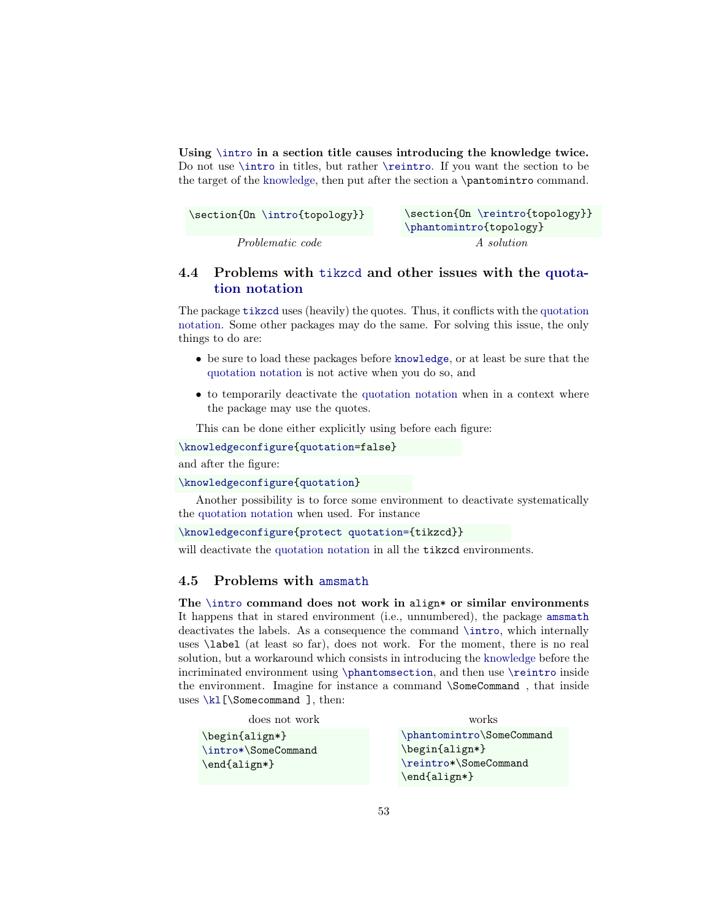Using [\intro](#page-38-0) in a section title causes introducing the knowledge twice. Do not use [\intro](#page-38-0) in titles, but rather [\reintro](#page-39-1). If you want the section to be the target of the [knowledge,](#page-17-1) then put after the section a \pantomintro command.

| \section{On \intro{topology}} | \section{On \reintro{topology}}<br>\phantomintro{topology} |
|-------------------------------|------------------------------------------------------------|
| <i>Problematic code</i>       | A solution                                                 |

# <span id="page-52-0"></span>4.4 Problems with [tikzcd](https://www.ctan.org/pkg/tikz-cd) and other issues with the [quota](#page-24-2)[tion notation](#page-24-2)

The package [tikzcd](https://www.ctan.org/pkg/tikz-cd) uses (heavily) the quotes. Thus, it conflicts with the [quotation](#page-24-2) [notation.](#page-24-2) Some other packages may do the same. For solving this issue, the only things to do are:

- be sure to load these packages before [knowledge](#page-0-0), or at least be sure that the [quotation notation](#page-24-2) is not active when you do so, and
- to temporarily deactivate the [quotation notation](#page-24-2) when in a context where the package may use the quotes.

This can be done either explicitly using before each figure:

[\knowledgeconfigure{](#page-16-0)[quotation=](#page-24-2)false}

and after the figure:

#### [\knowledgeconfigure{](#page-16-0)[quotation}](#page-24-2)

Another possibility is to force some environment to deactivate systematically the [quotation notation](#page-24-2) when used. For instance

```
\knowledgeconfigure{protect quotation={tikzcd}}
```
will deactivate the [quotation notation](#page-24-2) in all the **[tikzcd](#page-52-0)** environments.

# <span id="page-52-1"></span>4.5 Problems with [amsmath](https://www.ctan.org/pkg/amsmath)

The  $\int$ intro command does not work in align\* or similar environments It happens that in stared environment (i.e., unnumbered), the package [amsmath](https://www.ctan.org/pkg/amsmath) deactivates the labels. As a consequence the command [\intro](#page-38-0), which internally uses \label (at least so far), does not work. For the moment, there is no real solution, but a workaround which consists in introducing the [knowledge](#page-17-1) before the incriminated environment using [\phantomsection](#page-40-1), and then use [\reintro](#page-39-1) inside the environment. Imagine for instance a command \SomeCommand , that inside uses [\kl\[](#page-24-1)\Somecommand ], then:

| does not work                                                       | works                                                                                                                                                            |
|---------------------------------------------------------------------|------------------------------------------------------------------------------------------------------------------------------------------------------------------|
| $\begin{align*} \begin{cases} \frac{1}{g} \end{cases} \end{align*}$ | \phantomintro\SomeCommand                                                                                                                                        |
| \intro*\SomeCommand                                                 | $\begin{align*} \begin{cases} \frac{1}{\sqrt{2}} & \text{if } \frac{1}{\sqrt{2}} \\ \frac{1}{\sqrt{2}} & \text{if } \frac{1}{\sqrt{2}} \end{cases} \end{align*}$ |
| $\end{align*}$                                                      | \reintro*\SomeCommand                                                                                                                                            |
|                                                                     | $\end{align*}$                                                                                                                                                   |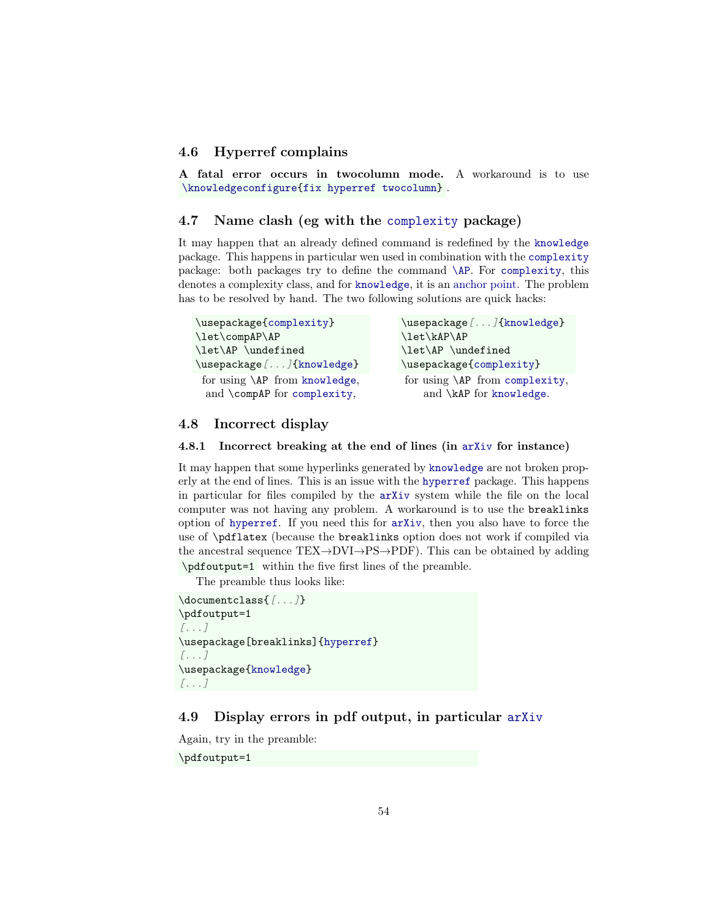# <span id="page-53-0"></span>4.6 Hyperref complains

A fatal error occurs in twocolumn mode. A workaround is to use [\knowledgeconfigure{](#page-16-0)[fix hyperref twocolumn}](#page-49-3) .

# <span id="page-53-1"></span>4.7 Name clash (eg with the [complexity](https://www.ctan.org/pkg/complexity) package)

It may happen that an already defined command is redefined by the [knowledge](#page-0-0) package. This happens in particular wen used in combination with the [complexity](https://www.ctan.org/pkg/complexity) package: both packages try to define the command [\AP](#page-40-0). For [complexity](https://www.ctan.org/pkg/complexity), this denotes a complexity class, and for [knowledge](#page-0-0), it is an [anchor point.](#page-40-1) The problem has to be resolved by hand. The two following solutions are quick hacks:

| \usepackage [] {knowledge}     |
|--------------------------------|
|                                |
|                                |
|                                |
| for using \AP from complexity, |
|                                |
|                                |

# <span id="page-53-2"></span>4.8 Incorrect display

#### <span id="page-53-3"></span>4.8.1 Incorrect breaking at the end of lines (in [arXiv](https://arxiv.org/) for instance)

It may happen that some hyperlinks generated by [knowledge](#page-0-0) are not broken properly at the end of lines. This is an issue with the [hyperref](https://www.ctan.org/pkg/hyperref) package. This happens in particular for files compiled by the [arXiv](https://arxiv.org/) system while the file on the local computer was not having any problem. A workaround is to use the breaklinks option of [hyperref](https://www.ctan.org/pkg/hyperref). If you need this for [arXiv](https://arxiv.org/), then you also have to force the use of \pdflatex (because the breaklinks option does not work if compiled via the ancestral sequence  $TEX\rightarrow DVI\rightarrow PS\rightarrow PDF$ ). This can be obtained by adding \pdfoutput=1 within the five first lines of the preamble.

The preamble thus looks like:

```
\documentclass{[...]}
\pdfoutput=1
[...]
\usepackage[breaklinks]{hyperref}
[...]
\usepackage{knowledge}
[...]
```
# <span id="page-53-4"></span>4.9 Display errors in pdf output, in particular [arXiv](https://arxiv.org/)

Again, try in the preamble:

\pdfoutput=1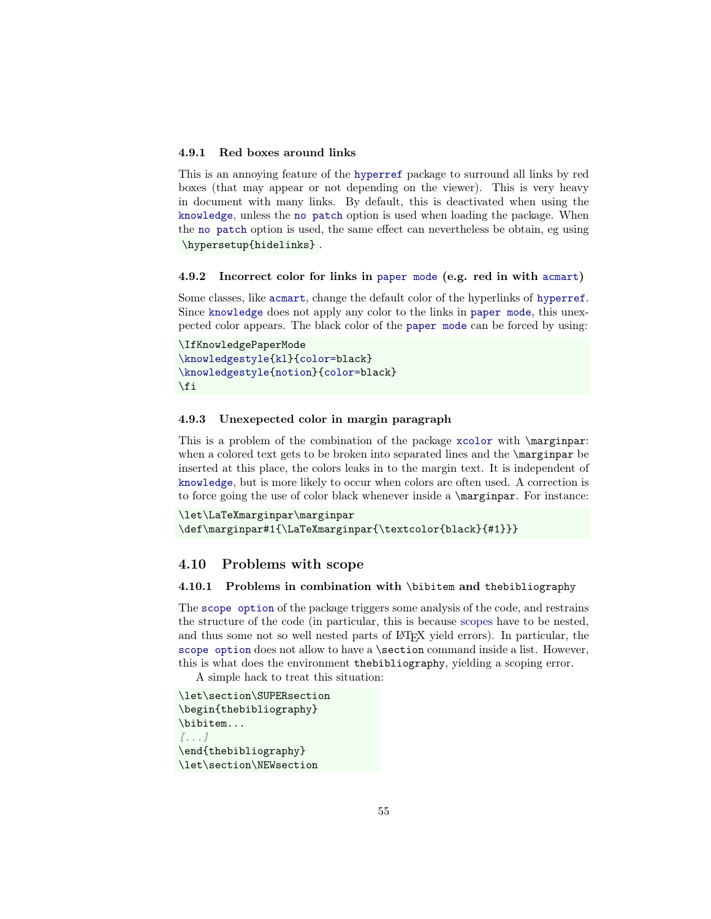### <span id="page-54-0"></span>4.9.1 Red boxes around links

This is an annoying feature of the [hyperref](https://www.ctan.org/pkg/hyperref) package to surround all links by red boxes (that may appear or not depending on the viewer). This is very heavy in document with many links. By default, this is deactivated when using the [knowledge](#page-0-0), unless the [no patch](#page-17-4) option is used when loading the package. When the [no patch](#page-17-4) option is used, the same effect can nevertheless be obtain, eg using \hypersetup{hidelinks} .

#### <span id="page-54-1"></span>4.9.2 Incorrect color for links in [paper mode](#page-14-6) (e.g. red in with [acmart](https://www.ctan.org/pkg/acmart))

Some classes, like [acmart](https://www.ctan.org/pkg/acmart), change the default color of the hyperlinks of [hyperref](https://www.ctan.org/pkg/hyperref). Since [knowledge](#page-0-0) does not apply any color to the links in [paper mode](#page-14-6), this unexpected color appears. The black color of the [paper mode](#page-14-6) can be forced by using:

```
\IfKnowledgePaperMode
\knowledgestyle{kl}{color=black}
\knowledgestyle{notion}{color=black}
\fi
```
### <span id="page-54-2"></span>4.9.3 Unexepected color in margin paragraph

This is a problem of the combination of the package [xcolor](https://www.ctan.org/pkg/xcolor) with \marginpar: when a colored text gets to be broken into separated lines and the **\marginpar** be inserted at this place, the colors leaks in to the margin text. It is independent of [knowledge](#page-0-0), but is more likely to occur when colors are often used. A correction is to force going the use of color black whenever inside a \marginpar. For instance:

```
\let\LaTeXmarginpar\marginpar
\def\marginpar#1{\LaTeXmarginpar{\textcolor{black}{#1}}}
```
## <span id="page-54-3"></span>4.10 Problems with scope

#### <span id="page-54-4"></span>4.10.1 Problems in combination with \bibitem and thebibliography

The [scope option](#page-32-2) of the package triggers some analysis of the code, and restrains the structure of the code (in particular, this is because [scopes](#page-17-2) have to be nested, and thus some not so well nested parts of LAT<sub>EX</sub> yield errors). In particular, the [scope option](#page-32-2) does not allow to have a \section command inside a list. However, this is what does the environment thebibliography, yielding a scoping error.

A simple hack to treat this situation:

```
\let\section\SUPERsection
\begin{thebibliography}
\bibitem...
[...]
\end{thebibliography}
\let\section\NEWsection
```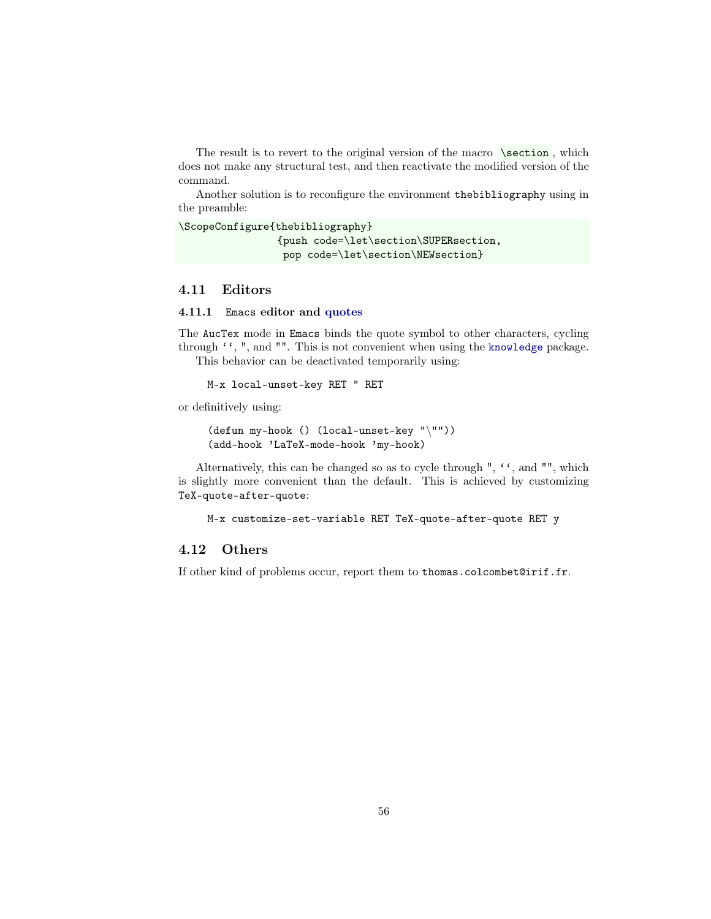The result is to revert to the original version of the macro  $\setminus$  section, which does not make any structural test, and then reactivate the modified version of the command.

Another solution is to reconfigure the environment thebibliography using in the preamble:

```
\ScopeConfigure{thebibliography}
                {push code=\let\section\SUPERsection,
                 pop code=\let\section\NEWsection}
```
# <span id="page-55-0"></span>4.11 Editors

#### <span id="page-55-1"></span>4.11.1 Emacs editor and [quotes](#page-24-2)

The AucTex mode in Emacs binds the quote symbol to other characters, cycling through "', ", and "". This is not convenient when using the [knowledge](#page-0-0) package. This behavior can be deactivated temporarily using:

M-x local-unset-key RET " RET

or definitively using:

```
(defun my-hook () (local-unset-key "\""))
(add-hook 'LaTeX-mode-hook 'my-hook)
```
Alternatively, this can be changed so as to cycle through ", "', and "", which is slightly more convenient than the default. This is achieved by customizing TeX-quote-after-quote:

```
M-x customize-set-variable RET TeX-quote-after-quote RET y
```
# <span id="page-55-2"></span>4.12 Others

If other kind of problems occur, report them to thomas.colcombet@irif.fr.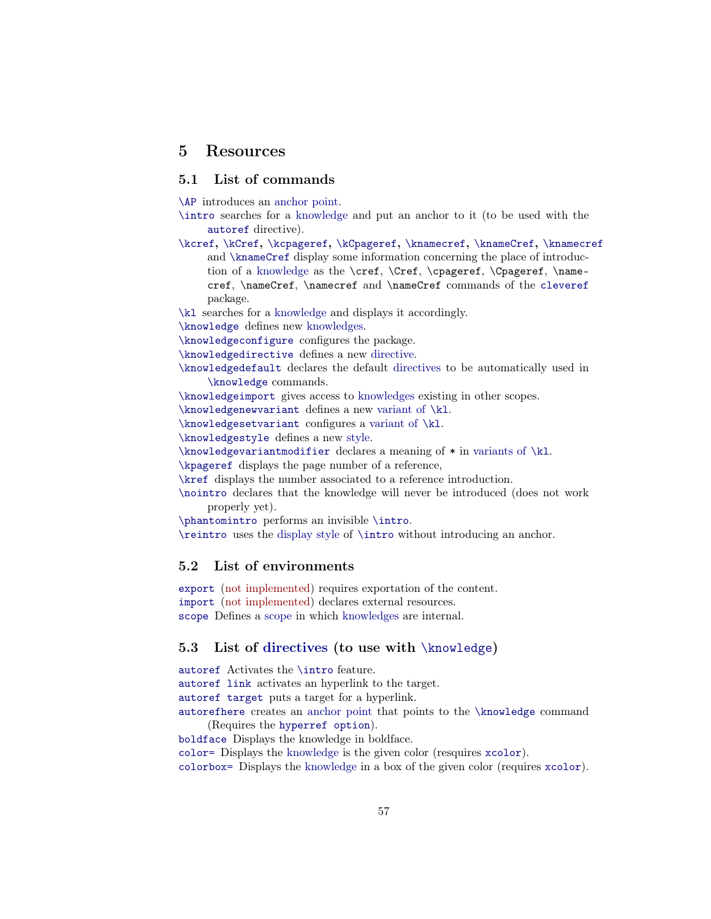# <span id="page-56-0"></span>5 Resources

# <span id="page-56-1"></span>5.1 List of commands

[\AP](#page-40-0) introduces an [anchor point.](#page-40-1)

- [\intro](#page-38-0) searches for a [knowledge](#page-17-1) and put an anchor to it (to be used with the [autoref](#page-38-0) directive).
- [\kcref](#page-43-0), [\kCref](#page-43-0), [\kcpageref](#page-43-0), [\kCpageref](#page-43-0), [\knamecref](#page-43-0), [\knameCref](#page-43-0), \knamecref and [\knameCref](#page-43-0) display some information concerning the place of introduction of a [knowledge](#page-17-1) as the \cref, \Cref, \cpageref, \Cpageref, \namecref, \nameCref, \namecref and \nameCref commands of the [cleveref](https://www.ctan.org/pkg/cleveref) package.

[\kl](#page-24-1) searches for a [knowledge](#page-17-1) and displays it accordingly.

[\knowledge](#page-18-1) defines new [knowledges.](#page-17-1)

[\knowledgeconfigure](#page-16-0) configures the package.

[\knowledgedirective](#page-22-1) defines a new [directive.](#page-18-3)

[\knowledgedefault](#page-23-1) declares the default [directives](#page-18-3) to be automatically used in [\knowledge](#page-18-1) commands.

[\knowledgeimport](#page-34-2) gives access to [knowledges](#page-17-1) existing in other scopes.

[\knowledgenewvariant](#page-26-2) defines a new [variant of](#page-26-1) [\kl](#page-24-1).

[\knowledgesetvariant](#page-26-2) configures a [variant of](#page-26-1) [\kl](#page-24-1).

[\knowledgestyle](#page-22-2) defines a new [style.](#page-22-0)

[\knowledgevariantmodifier](#page-27-3) declares a meaning of \* in [variants of](#page-26-1) [\kl](#page-24-1).

[\kpageref](#page-26-4) displays the page number of a reference,

[\kref](#page-26-3) displays the number associated to a reference introduction.

[\nointro](#page-39-3) declares that the knowledge will never be introduced (does not work properly yet).

[\phantomintro](#page-39-0) performs an invisible [\intro](#page-38-0).

[\reintro](#page-39-1) uses the [display style](#page-22-0) of [\intro](#page-38-0) without introducing an anchor.

### <span id="page-56-2"></span>5.2 List of environments

export (not implemented) requires exportation of the content. import (not implemented) declares external resources. [scope](#page-32-3) Defines a [scope](#page-17-2) in which [knowledges](#page-17-1) are internal.

# <span id="page-56-3"></span>5.3 List of directives (to use with [\knowledge](#page-18-1))

[autoref](#page-38-0) Activates the [\intro](#page-38-0) feature. [autoref link](#page-40-5) activates an hyperlink to the target. [autoref target](#page-40-6) puts a target for a hyperlink. [autorefhere](#page-40-3) creates an [anchor point](#page-40-1) that points to the [\knowledge](#page-18-1) command (Requires the [hyperref option](#page-37-6)). [boldface](#page-20-4) Displays the knowledge in boldface. [color=](#page-37-7) Displays the [knowledge](#page-17-1) is the given color (resquires [xcolor](#page-37-1)).

[colorbox=](#page-37-8) Displays the [knowledge](#page-17-1) in a box of the given color (requires [xcolor](#page-37-1)).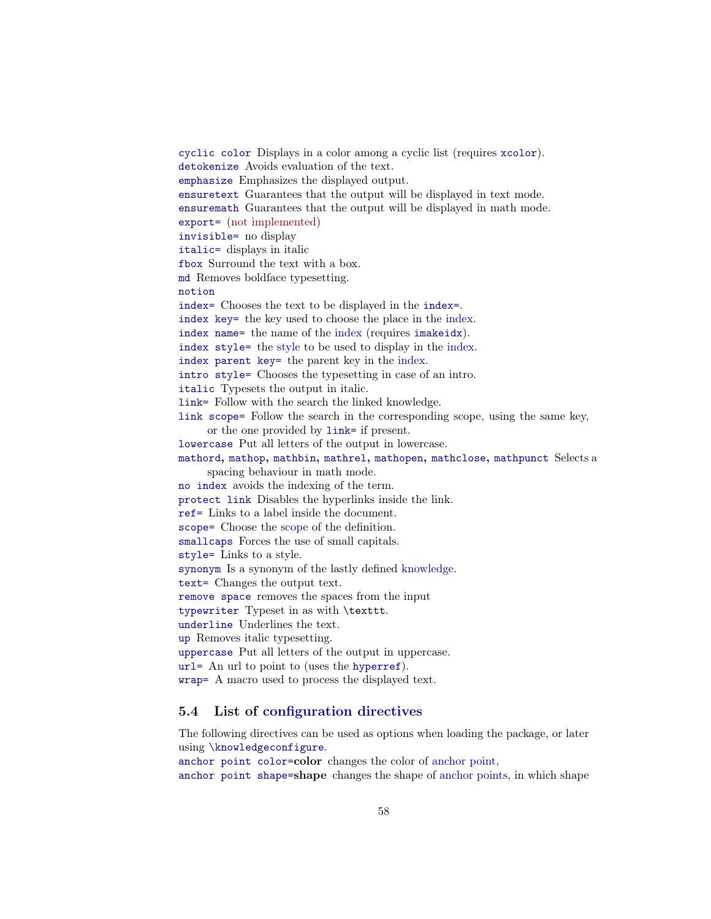[cyclic color](#page-37-4) Displays in a color among a cyclic list (requires [xcolor](#page-37-1)). [detokenize](#page-21-6) Avoids evaluation of the text. [emphasize](#page-20-3) Emphasizes the displayed output. [ensuretext](#page-20-7) Guarantees that the output will be displayed in text mode. [ensuremath](#page-20-8) Guarantees that the output will be displayed in math mode. [export=](#page-19-3) (not implemented) [invisible=](#page-21-5) no display [italic=](#page-20-2) displays in italic [fbox](#page-20-9) Surround the text with a box. [md](#page-20-4) Removes boldface typesetting. [notion](#page-49-7) [index=](#page-42-4) Chooses the text to be displayed in the [index=](#page-42-4). [index key=](#page-42-5) the key used to choose the place in the index. [index name=](#page-42-3) the name of the index (requires [imakeidx](#page-42-1)). [index style=](#page-42-6) the [style](#page-22-0) to be used to display in the index. [index parent key=](#page-42-7) the parent key in the index. [intro style=](#page-40-4) Chooses the typesetting in case of an intro. [italic](#page-20-2) Typesets the output in italic. [link=](#page-21-2) Follow with the search the linked knowledge. [link scope=](#page-21-8) Follow the search in the corresponding scope, using the same key, or the one provided by [link=](#page-21-2) if present. [lowercase](#page-21-9) Put all letters of the output in lowercase. [mathord](#page-20-10), [mathop](#page-20-10), [mathbin](#page-20-10), [mathrel](#page-20-10), [mathopen](#page-20-10), [mathclose](#page-20-10), [mathpunct](#page-20-10) Selects a spacing behaviour in math mode. [no index](#page-42-2) avoids the indexing of the term. [protect link](#page-38-1) Disables the hyperlinks inside the link. [ref=](#page-38-1) Links to a label inside the document. [scope=](#page-19-0) Choose the [scope](#page-17-2) of the definition. [smallcaps](#page-20-1) Forces the use of small capitals. [style=](#page-21-4) Links to a style. [synonym](#page-21-0) Is a synonym of the lastly defined [knowledge.](#page-17-1) [text=](#page-21-1) Changes the output text. [remove space](#page-21-7) removes the spaces from the input [typewriter](#page-20-5) Typeset in as with \texttt. [underline](#page-20-11) Underlines the text. [up](#page-20-2) Removes italic typesetting. [uppercase](#page-21-10) Put all letters of the output in uppercase. [url=](#page-38-1) An url to point to (uses the [hyperref](https://www.ctan.org/pkg/hyperref)). [wrap=](#page-21-3) A macro used to process the displayed text.

# <span id="page-57-0"></span>5.4 List of [configuration directives](#page-16-0)

The following directives can be used as options when loading the package, or later using [\knowledgeconfigure](#page-16-0).

[anchor point color=](#page-41-2)color changes the color of [anchor point,](#page-40-1)

[anchor point shape=](#page-41-1)shape changes the shape of [anchor points,](#page-40-1) in which shape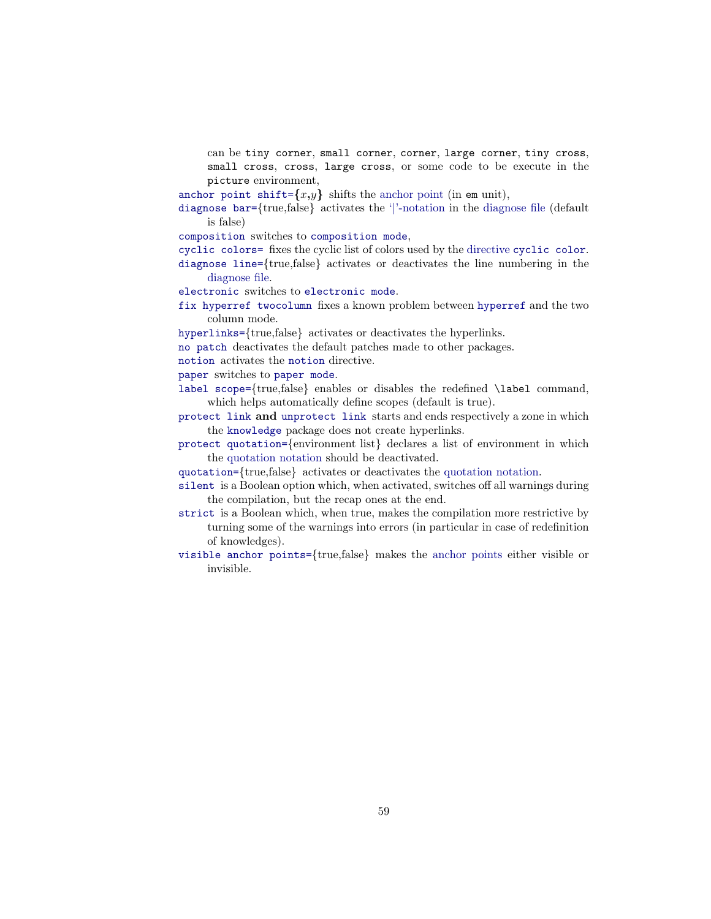can be tiny corner, small corner, corner, large corner, tiny cross, small cross, cross, large cross, or some code to be execute in the picture environment,

[anchor point shift=](#page-41-1) $\{x,y\}$  shifts the [anchor point](#page-40-1) (in em unit),

[diagnose bar=](#page-37-5){true,false} activates the ['|'-notation](#page-18-4) in the [diagnose file](#page-36-0) (default is false)

[composition](#page-14-4) switches to [composition mode](#page-14-4),

[cyclic colors=](#page-37-4) fixes the cyclic list of colors used by the directive [cyclic color](#page-37-4).

[diagnose line=](#page-37-3){true,false} activates or deactivates the line numbering in the [diagnose file.](#page-36-0)

[electronic](#page-14-5) switches to [electronic mode](#page-14-5).

[fix hyperref twocolumn](#page-49-3) fixes a known problem between [hyperref](https://www.ctan.org/pkg/hyperref) and the two column mode.

[hyperlinks=](#page-38-2){true,false} activates or deactivates the hyperlinks.

[no patch](#page-17-4) deactivates the default patches made to other packages.

[notion](#page-49-4) activates the [notion](#page-49-7) directive.

[paper](#page-14-6) switches to [paper mode](#page-14-6).

[label scope=](#page-33-1){true,false} enables or disables the redefined \label command, which helps automatically define scopes (default is true).

[protect link](#page-16-1) and [unprotect link](#page-16-1) starts and ends respectively a zone in which the [knowledge](#page-0-0) package does not create hyperlinks.

[protect quotation=](#page-25-4){environment list} declares a list of environment in which the [quotation notation](#page-24-2) should be deactivated.

[quotation=](#page-24-2){true,false} activates or deactivates the [quotation notation.](#page-24-2)

[silent](#page-17-5) is a Boolean option which, when activated, switches off all warnings during the compilation, but the recap ones at the end.

[strict](#page-17-3) is a Boolean which, when true, makes the compilation more restrictive by turning some of the warnings into errors (in particular in case of redefinition of knowledges).

[visible anchor points=](#page-41-0){true,false} makes the [anchor points](#page-40-1) either visible or invisible.